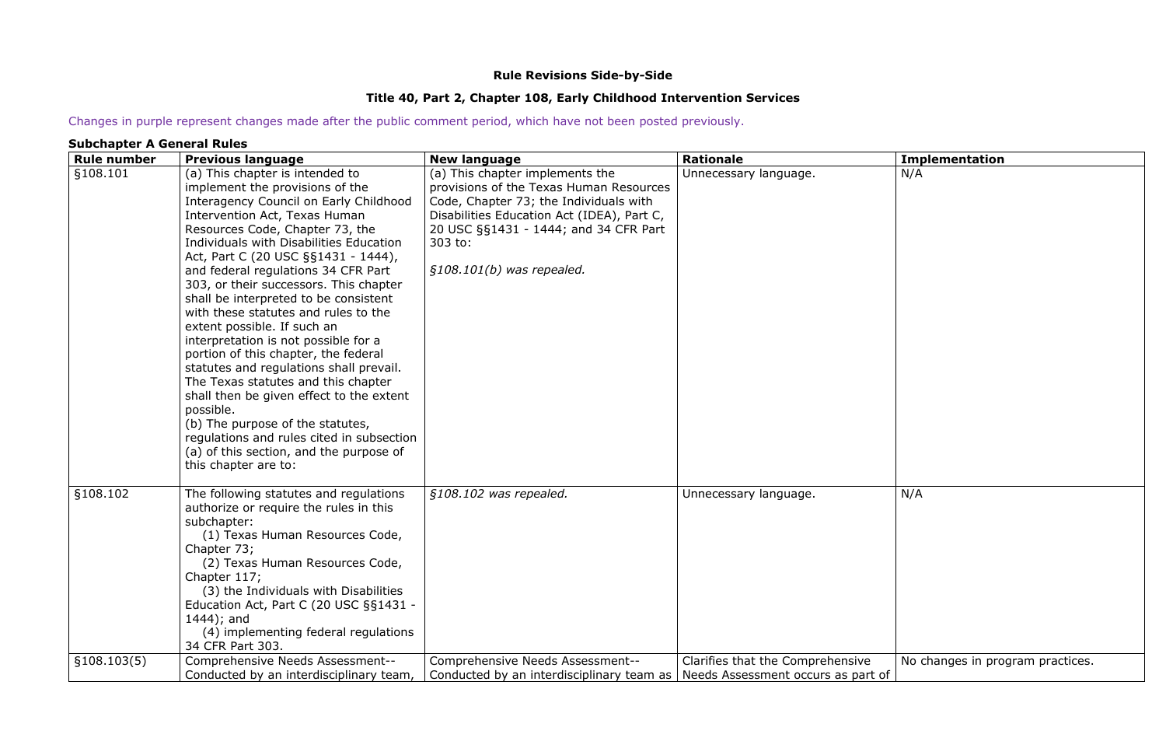### **Rule Revisions Side-by-Side**

### **Title 40, Part 2, Chapter 108, Early Childhood Intervention Services**

Changes in purple represent changes made after the public comment period, which have not been posted previously.

### **Subchapter A General Rules**

| <b>Rule number</b> | <b>Previous language</b>                                                                                                                                                                                                                                                                                                                                                                                                                                                                                                                                                                                                                                                                                                                                                                                                                           | <b>New language</b>                                                                                                                                                                                                                                   | <b>Rationale</b>                 | <b>Implementation</b>            |
|--------------------|----------------------------------------------------------------------------------------------------------------------------------------------------------------------------------------------------------------------------------------------------------------------------------------------------------------------------------------------------------------------------------------------------------------------------------------------------------------------------------------------------------------------------------------------------------------------------------------------------------------------------------------------------------------------------------------------------------------------------------------------------------------------------------------------------------------------------------------------------|-------------------------------------------------------------------------------------------------------------------------------------------------------------------------------------------------------------------------------------------------------|----------------------------------|----------------------------------|
| §108.101           | (a) This chapter is intended to<br>implement the provisions of the<br>Interagency Council on Early Childhood<br>Intervention Act, Texas Human<br>Resources Code, Chapter 73, the<br>Individuals with Disabilities Education<br>Act, Part C (20 USC §§1431 - 1444),<br>and federal regulations 34 CFR Part<br>303, or their successors. This chapter<br>shall be interpreted to be consistent<br>with these statutes and rules to the<br>extent possible. If such an<br>interpretation is not possible for a<br>portion of this chapter, the federal<br>statutes and regulations shall prevail.<br>The Texas statutes and this chapter<br>shall then be given effect to the extent<br>possible.<br>(b) The purpose of the statutes,<br>regulations and rules cited in subsection<br>(a) of this section, and the purpose of<br>this chapter are to: | (a) This chapter implements the<br>provisions of the Texas Human Resources<br>Code, Chapter 73; the Individuals with<br>Disabilities Education Act (IDEA), Part C,<br>20 USC §§1431 - 1444; and 34 CFR Part<br>303 to:<br>$$108.101(b)$ was repealed. | Unnecessary language.            | N/A                              |
| §108.102           | The following statutes and regulations<br>authorize or require the rules in this<br>subchapter:<br>(1) Texas Human Resources Code,<br>Chapter 73;<br>(2) Texas Human Resources Code,<br>Chapter 117;<br>(3) the Individuals with Disabilities<br>Education Act, Part C (20 USC §§1431 -<br>$1444$ ); and<br>(4) implementing federal regulations<br>34 CFR Part 303.                                                                                                                                                                                                                                                                                                                                                                                                                                                                               | §108.102 was repealed.                                                                                                                                                                                                                                | Unnecessary language.            | N/A                              |
| \$108.103(5)       | Comprehensive Needs Assessment--<br>Conducted by an interdisciplinary team,                                                                                                                                                                                                                                                                                                                                                                                                                                                                                                                                                                                                                                                                                                                                                                        | Comprehensive Needs Assessment--<br>Conducted by an interdisciplinary team as   Needs Assessment occurs as part of                                                                                                                                    | Clarifies that the Comprehensive | No changes in program practices. |
|                    |                                                                                                                                                                                                                                                                                                                                                                                                                                                                                                                                                                                                                                                                                                                                                                                                                                                    |                                                                                                                                                                                                                                                       |                                  |                                  |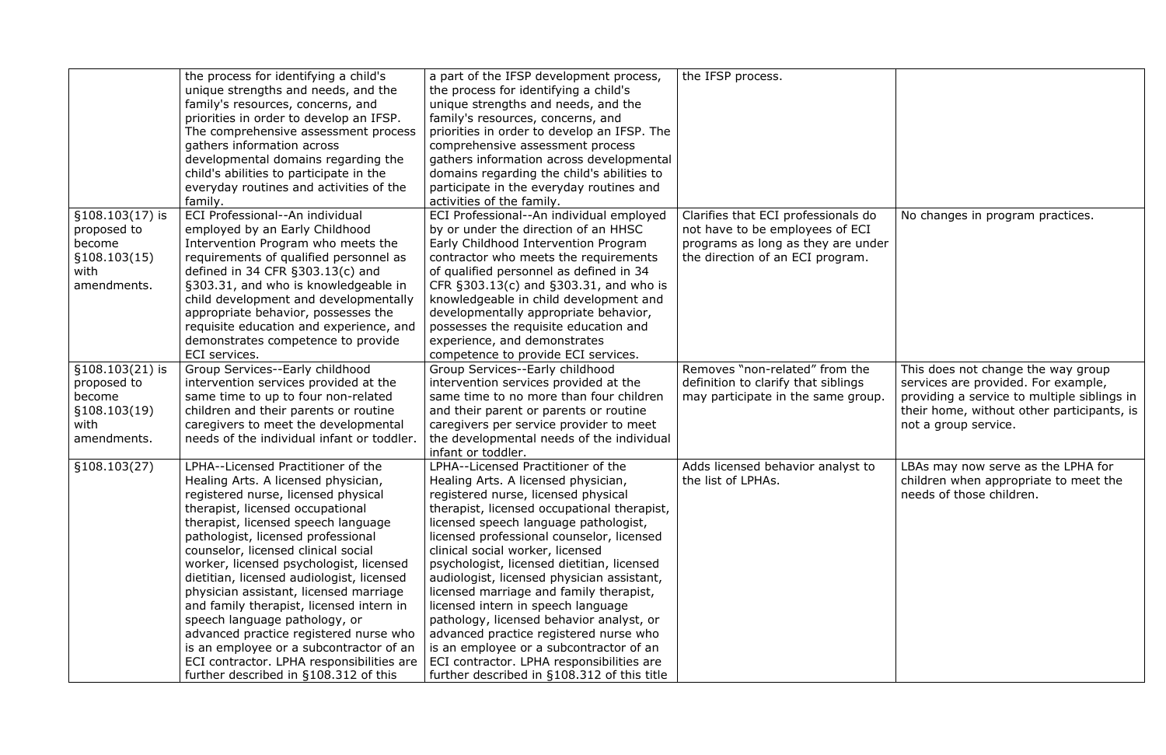|                   | the process for identifying a child's      | a part of the IFSP development process,     | the IFSP process.                   |
|-------------------|--------------------------------------------|---------------------------------------------|-------------------------------------|
|                   | unique strengths and needs, and the        | the process for identifying a child's       |                                     |
|                   | family's resources, concerns, and          | unique strengths and needs, and the         |                                     |
|                   | priorities in order to develop an IFSP.    | family's resources, concerns, and           |                                     |
|                   | The comprehensive assessment process       | priorities in order to develop an IFSP. The |                                     |
|                   | gathers information across                 | comprehensive assessment process            |                                     |
|                   | developmental domains regarding the        | gathers information across developmental    |                                     |
|                   | child's abilities to participate in the    | domains regarding the child's abilities to  |                                     |
|                   | everyday routines and activities of the    | participate in the everyday routines and    |                                     |
|                   | family.                                    | activities of the family.                   |                                     |
| $$108.103(17)$ is | ECI Professional--An individual            | ECI Professional--An individual employed    | Clarifies that ECI professionals do |
| proposed to       | employed by an Early Childhood             | by or under the direction of an HHSC        | not have to be employees of ECI     |
| become            | Intervention Program who meets the         | Early Childhood Intervention Program        | programs as long as they are under  |
| \$108.103(15)     | requirements of qualified personnel as     | contractor who meets the requirements       | the direction of an ECI program.    |
| with              | defined in 34 CFR $§303.13(c)$ and         | of qualified personnel as defined in 34     |                                     |
| amendments.       | §303.31, and who is knowledgeable in       | CFR §303.13(c) and §303.31, and who is      |                                     |
|                   | child development and developmentally      | knowledgeable in child development and      |                                     |
|                   | appropriate behavior, possesses the        | developmentally appropriate behavior,       |                                     |
|                   | requisite education and experience, and    | possesses the requisite education and       |                                     |
|                   | demonstrates competence to provide         | experience, and demonstrates                |                                     |
|                   | ECI services.                              | competence to provide ECI services.         |                                     |
| §108.103(21) is   | Group Services--Early childhood            | Group Services--Early childhood             | Removes "non-related" from the      |
| proposed to       | intervention services provided at the      | intervention services provided at the       | definition to clarify that siblings |
| become            | same time to up to four non-related        | same time to no more than four children     | may participate in the same group.  |
| §108.103(19)      | children and their parents or routine      | and their parent or parents or routine      |                                     |
| with              | caregivers to meet the developmental       | caregivers per service provider to meet     |                                     |
| amendments.       | needs of the individual infant or toddler. | the developmental needs of the individual   |                                     |
|                   |                                            | infant or toddler.                          |                                     |
| \$108.103(27)     | LPHA--Licensed Practitioner of the         | LPHA--Licensed Practitioner of the          | Adds licensed behavior analyst to   |
|                   | Healing Arts. A licensed physician,        | Healing Arts. A licensed physician,         | the list of LPHAs.                  |
|                   | registered nurse, licensed physical        | registered nurse, licensed physical         |                                     |
|                   | therapist, licensed occupational           | therapist, licensed occupational therapist, |                                     |
|                   | therapist, licensed speech language        | licensed speech language pathologist,       |                                     |
|                   | pathologist, licensed professional         | licensed professional counselor, licensed   |                                     |
|                   | counselor, licensed clinical social        | clinical social worker, licensed            |                                     |
|                   | worker, licensed psychologist, licensed    | psychologist, licensed dietitian, licensed  |                                     |
|                   | dietitian, licensed audiologist, licensed  | audiologist, licensed physician assistant,  |                                     |
|                   | physician assistant, licensed marriage     | licensed marriage and family therapist,     |                                     |
|                   | and family therapist, licensed intern in   | licensed intern in speech language          |                                     |
|                   | speech language pathology, or              | pathology, licensed behavior analyst, or    |                                     |
|                   | advanced practice registered nurse who     | advanced practice registered nurse who      |                                     |
|                   | is an employee or a subcontractor of an    | is an employee or a subcontractor of an     |                                     |
|                   | ECI contractor. LPHA responsibilities are  | ECI contractor. LPHA responsibilities are   |                                     |
|                   | further described in §108.312 of this      | further described in §108.312 of this title |                                     |

| als do<br>f ECI<br>e under<br>ram. | No changes in program practices.                                                                                                                                                               |
|------------------------------------|------------------------------------------------------------------------------------------------------------------------------------------------------------------------------------------------|
| า the<br>ngs<br>group.             | This does not change the way group<br>services are provided. For example,<br>providing a service to multiple siblings in<br>their home, without other participants, is<br>not a group service. |
| yst to                             | LBAs may now serve as the LPHA for<br>children when appropriate to meet the<br>needs of those children.                                                                                        |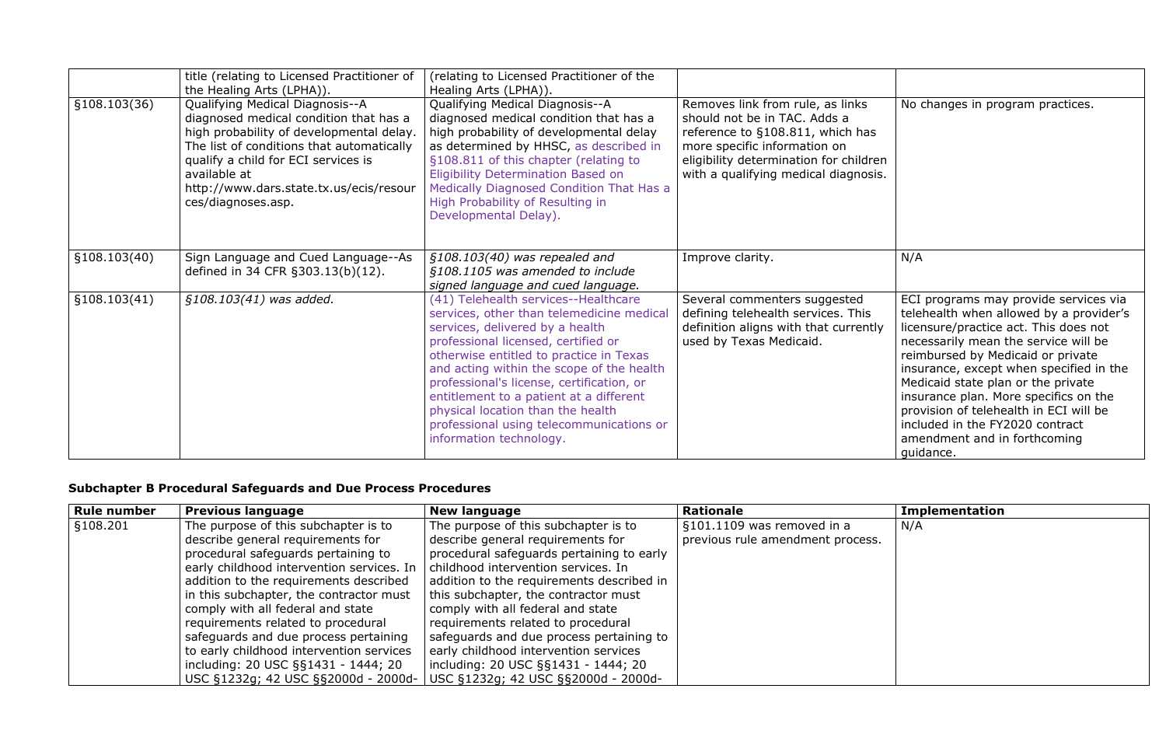|              | title (relating to Licensed Practitioner of<br>the Healing Arts (LPHA)).                                                                                                                                                                                                                   | (relating to Licensed Practitioner of the<br>Healing Arts (LPHA)).                                                                                                                                                                                                                                                                                                                                                                                      |                                                                                                                                                                                                                        |                                                                                         |
|--------------|--------------------------------------------------------------------------------------------------------------------------------------------------------------------------------------------------------------------------------------------------------------------------------------------|---------------------------------------------------------------------------------------------------------------------------------------------------------------------------------------------------------------------------------------------------------------------------------------------------------------------------------------------------------------------------------------------------------------------------------------------------------|------------------------------------------------------------------------------------------------------------------------------------------------------------------------------------------------------------------------|-----------------------------------------------------------------------------------------|
| §108.103(36) | Qualifying Medical Diagnosis--A<br>diagnosed medical condition that has a<br>high probability of developmental delay.<br>The list of conditions that automatically<br>qualify a child for ECI services is<br>available at<br>http://www.dars.state.tx.us/ecis/resour<br>ces/diagnoses.asp. | Qualifying Medical Diagnosis--A<br>diagnosed medical condition that has a<br>high probability of developmental delay<br>as determined by HHSC, as described in<br>§108.811 of this chapter (relating to<br><b>Eligibility Determination Based on</b><br>Medically Diagnosed Condition That Has a<br>High Probability of Resulting in<br>Developmental Delay).                                                                                           | Removes link from rule, as links<br>should not be in TAC. Adds a<br>reference to §108.811, which has<br>more specific information on<br>eligibility determination for children<br>with a qualifying medical diagnosis. | No                                                                                      |
| §108.103(40) | Sign Language and Cued Language--As<br>defined in 34 CFR §303.13(b)(12).                                                                                                                                                                                                                   | $$108.103(40)$ was repealed and<br>§108.1105 was amended to include<br>signed language and cued language.                                                                                                                                                                                                                                                                                                                                               | Improve clarity.                                                                                                                                                                                                       | N/A                                                                                     |
| §108.103(41) | §108.103(41) was added.                                                                                                                                                                                                                                                                    | (41) Telehealth services--Healthcare<br>services, other than telemedicine medical<br>services, delivered by a health<br>professional licensed, certified or<br>otherwise entitled to practice in Texas<br>and acting within the scope of the health<br>professional's license, certification, or<br>entitlement to a patient at a different<br>physical location than the health<br>professional using telecommunications or<br>information technology. | Several commenters suggested<br>defining telehealth services. This<br>definition aligns with that currently<br>used by Texas Medicaid.                                                                                 | ECI<br>tele<br>lice<br>nec<br>rein<br>insu<br>Mec<br>insu<br>pro<br>incl<br>ame<br>guio |

| $\overline{\text{S}}$ | No changes in program practices.                                                                                                                                                                                                                                                                                                                                                                                                                           |
|-----------------------|------------------------------------------------------------------------------------------------------------------------------------------------------------------------------------------------------------------------------------------------------------------------------------------------------------------------------------------------------------------------------------------------------------------------------------------------------------|
| has                   |                                                                                                                                                                                                                                                                                                                                                                                                                                                            |
| Idren<br>าosis.       |                                                                                                                                                                                                                                                                                                                                                                                                                                                            |
|                       | N/A                                                                                                                                                                                                                                                                                                                                                                                                                                                        |
| d<br>าiร<br>ently     | ECI programs may provide services via<br>telehealth when allowed by a provider's<br>licensure/practice act. This does not<br>necessarily mean the service will be<br>reimbursed by Medicaid or private<br>insurance, except when specified in the<br>Medicaid state plan or the private<br>insurance plan. More specifics on the<br>provision of telehealth in ECI will be<br>included in the FY2020 contract<br>amendment and in forthcoming<br>guidance. |

# **Subchapter B Procedural Safeguards and Due Process Procedures**

| <b>Rule number</b> | <b>Previous language</b>                  | <b>New language</b>                       | <b>Rationale</b>                 | <b>Implementation</b> |
|--------------------|-------------------------------------------|-------------------------------------------|----------------------------------|-----------------------|
| §108.201           | The purpose of this subchapter is to      | The purpose of this subchapter is to      | §101.1109 was removed in a       | N/A                   |
|                    | describe general requirements for         | describe general requirements for         | previous rule amendment process. |                       |
|                    | procedural safeguards pertaining to       | procedural safeguards pertaining to early |                                  |                       |
|                    | early childhood intervention services. In | childhood intervention services. In       |                                  |                       |
|                    | addition to the requirements described    | addition to the requirements described in |                                  |                       |
|                    | in this subchapter, the contractor must   | this subchapter, the contractor must      |                                  |                       |
|                    | comply with all federal and state         | comply with all federal and state         |                                  |                       |
|                    | requirements related to procedural        | requirements related to procedural        |                                  |                       |
|                    | safeguards and due process pertaining     | safeguards and due process pertaining to  |                                  |                       |
|                    | to early childhood intervention services  | early childhood intervention services     |                                  |                       |
|                    | including: 20 USC §§1431 - 1444; 20       | including: 20 USC §§1431 - 1444; 20       |                                  |                       |
|                    | USC §1232g; 42 USC §§2000d - 2000d-       | USC §1232g; 42 USC §§2000d - 2000d-       |                                  |                       |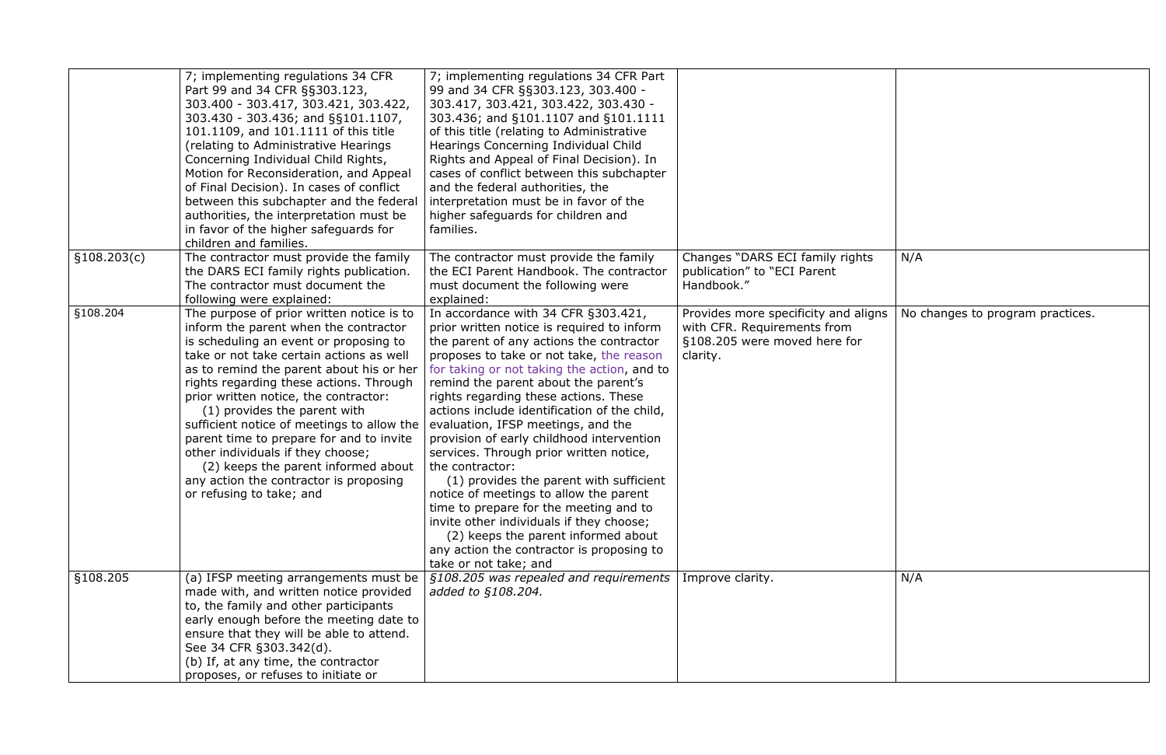|              | 7; implementing regulations 34 CFR<br>Part 99 and 34 CFR §§303.123,<br>303.400 - 303.417, 303.421, 303.422,<br>303.430 - 303.436; and §§101.1107,<br>101.1109, and 101.1111 of this title<br>(relating to Administrative Hearings)<br>Concerning Individual Child Rights,<br>Motion for Reconsideration, and Appeal<br>of Final Decision). In cases of conflict<br>between this subchapter and the federal<br>authorities, the interpretation must be<br>in favor of the higher safeguards for<br>children and families.                                                             | 7; implementing regulations 34 CFR Part<br>99 and 34 CFR §§303.123, 303.400 -<br>303.417, 303.421, 303.422, 303.430 -<br>303.436; and §101.1107 and §101.1111<br>of this title (relating to Administrative<br>Hearings Concerning Individual Child<br>Rights and Appeal of Final Decision). In<br>cases of conflict between this subchapter<br>and the federal authorities, the<br>interpretation must be in favor of the<br>higher safeguards for children and<br>families.                                                                                                                                                                                                                                                                                                                       |                                                                                                                 |      |
|--------------|--------------------------------------------------------------------------------------------------------------------------------------------------------------------------------------------------------------------------------------------------------------------------------------------------------------------------------------------------------------------------------------------------------------------------------------------------------------------------------------------------------------------------------------------------------------------------------------|----------------------------------------------------------------------------------------------------------------------------------------------------------------------------------------------------------------------------------------------------------------------------------------------------------------------------------------------------------------------------------------------------------------------------------------------------------------------------------------------------------------------------------------------------------------------------------------------------------------------------------------------------------------------------------------------------------------------------------------------------------------------------------------------------|-----------------------------------------------------------------------------------------------------------------|------|
| \$108.203(c) | The contractor must provide the family<br>the DARS ECI family rights publication.<br>The contractor must document the<br>following were explained:                                                                                                                                                                                                                                                                                                                                                                                                                                   | The contractor must provide the family<br>the ECI Parent Handbook. The contractor<br>must document the following were<br>explained:                                                                                                                                                                                                                                                                                                                                                                                                                                                                                                                                                                                                                                                                | Changes "DARS ECI family rights<br>publication" to "ECI Parent<br>Handbook."                                    | N/A  |
| §108.204     | The purpose of prior written notice is to<br>inform the parent when the contractor<br>is scheduling an event or proposing to<br>take or not take certain actions as well<br>as to remind the parent about his or her<br>rights regarding these actions. Through<br>prior written notice, the contractor:<br>(1) provides the parent with<br>sufficient notice of meetings to allow the<br>parent time to prepare for and to invite<br>other individuals if they choose;<br>(2) keeps the parent informed about<br>any action the contractor is proposing<br>or refusing to take; and | In accordance with 34 CFR §303.421,<br>prior written notice is required to inform<br>the parent of any actions the contractor<br>proposes to take or not take, the reason<br>for taking or not taking the action, and to<br>remind the parent about the parent's<br>rights regarding these actions. These<br>actions include identification of the child,<br>evaluation, IFSP meetings, and the<br>provision of early childhood intervention<br>services. Through prior written notice,<br>the contractor:<br>(1) provides the parent with sufficient<br>notice of meetings to allow the parent<br>time to prepare for the meeting and to<br>invite other individuals if they choose;<br>(2) keeps the parent informed about<br>any action the contractor is proposing to<br>take or not take; and | Provides more specificity and aligns<br>with CFR. Requirements from<br>§108.205 were moved here for<br>clarity. | No ( |
| §108.205     | (a) IFSP meeting arrangements must be<br>made with, and written notice provided<br>to, the family and other participants<br>early enough before the meeting date to<br>ensure that they will be able to attend.<br>See 34 CFR §303.342(d).<br>(b) If, at any time, the contractor<br>proposes, or refuses to initiate or                                                                                                                                                                                                                                                             | §108.205 was repealed and requirements<br>added to §108.204.                                                                                                                                                                                                                                                                                                                                                                                                                                                                                                                                                                                                                                                                                                                                       | Improve clarity.                                                                                                | N/A  |

| Changes "DARS ECI family rights<br>publication" to "ECI Parent<br>Handbook."                                    | N/A                              |
|-----------------------------------------------------------------------------------------------------------------|----------------------------------|
| Provides more specificity and aligns<br>with CFR. Requirements from<br>§108.205 were moved here for<br>clarity. | No changes to program practices. |
| Improve clarity.                                                                                                | N/A                              |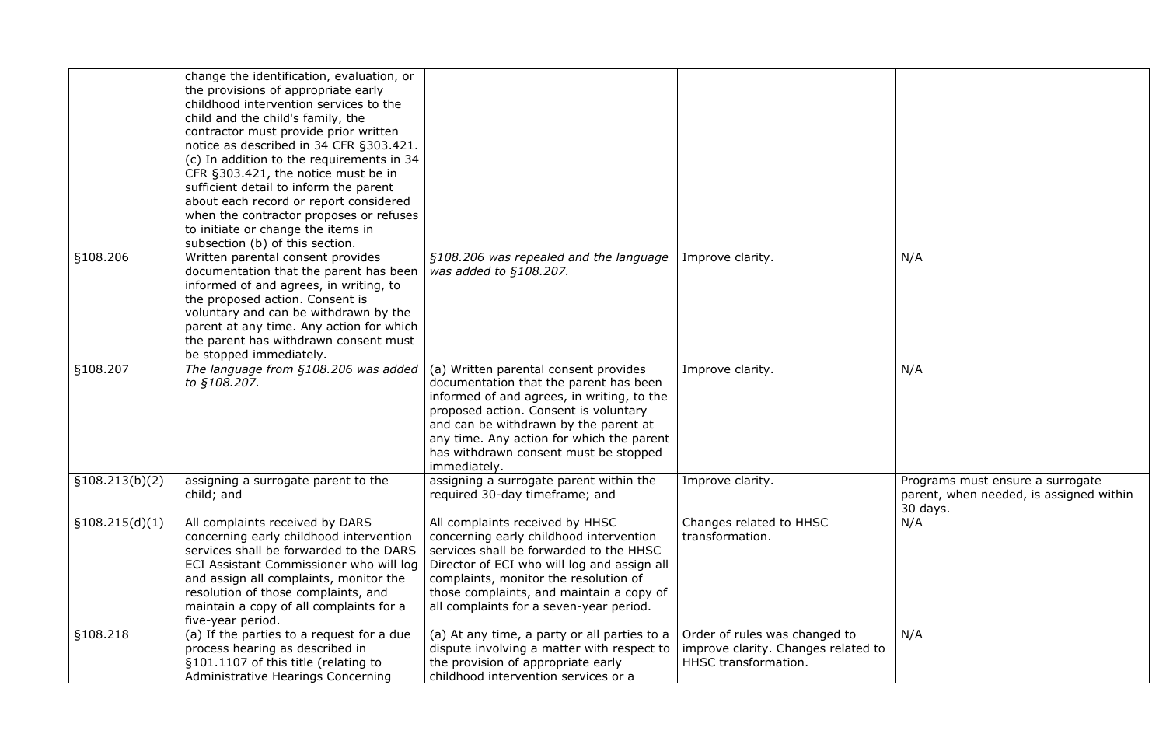|                 | change the identification, evaluation, or<br>the provisions of appropriate early<br>childhood intervention services to the<br>child and the child's family, the<br>contractor must provide prior written<br>notice as described in 34 CFR §303.421.<br>(c) In addition to the requirements in 34<br>CFR §303.421, the notice must be in<br>sufficient detail to inform the parent<br>about each record or report considered<br>when the contractor proposes or refuses<br>to initiate or change the items in<br>subsection (b) of this section. |                                                                                                                                                                                                                                                                                                                       |                                                                                              |                                 |
|-----------------|-------------------------------------------------------------------------------------------------------------------------------------------------------------------------------------------------------------------------------------------------------------------------------------------------------------------------------------------------------------------------------------------------------------------------------------------------------------------------------------------------------------------------------------------------|-----------------------------------------------------------------------------------------------------------------------------------------------------------------------------------------------------------------------------------------------------------------------------------------------------------------------|----------------------------------------------------------------------------------------------|---------------------------------|
| §108.206        | Written parental consent provides<br>documentation that the parent has been<br>informed of and agrees, in writing, to<br>the proposed action. Consent is<br>voluntary and can be withdrawn by the<br>parent at any time. Any action for which<br>the parent has withdrawn consent must<br>be stopped immediately.                                                                                                                                                                                                                               | §108.206 was repealed and the language<br>was added to §108.207.                                                                                                                                                                                                                                                      | Improve clarity.                                                                             | N/A                             |
| §108.207        | The language from §108.206 was added<br>to §108.207.                                                                                                                                                                                                                                                                                                                                                                                                                                                                                            | (a) Written parental consent provides<br>documentation that the parent has been<br>informed of and agrees, in writing, to the<br>proposed action. Consent is voluntary<br>and can be withdrawn by the parent at<br>any time. Any action for which the parent<br>has withdrawn consent must be stopped<br>immediately. | Improve clarity.                                                                             | N/A                             |
| \$108.213(b)(2) | assigning a surrogate parent to the<br>child; and                                                                                                                                                                                                                                                                                                                                                                                                                                                                                               | assigning a surrogate parent within the<br>required 30-day timeframe; and                                                                                                                                                                                                                                             | Improve clarity.                                                                             | Prod<br>pare<br>30 <sub>0</sub> |
| \$108.215(d)(1) | All complaints received by DARS<br>concerning early childhood intervention<br>services shall be forwarded to the DARS<br>ECI Assistant Commissioner who will log<br>and assign all complaints, monitor the<br>resolution of those complaints, and<br>maintain a copy of all complaints for a<br>five-year period.                                                                                                                                                                                                                               | All complaints received by HHSC<br>concerning early childhood intervention<br>services shall be forwarded to the HHSC<br>Director of ECI who will log and assign all<br>complaints, monitor the resolution of<br>those complaints, and maintain a copy of<br>all complaints for a seven-year period.                  | Changes related to HHSC<br>transformation.                                                   | N/A                             |
| §108.218        | (a) If the parties to a request for a due<br>process hearing as described in<br>§101.1107 of this title (relating to<br>Administrative Hearings Concerning                                                                                                                                                                                                                                                                                                                                                                                      | (a) At any time, a party or all parties to a<br>dispute involving a matter with respect to<br>the provision of appropriate early<br>childhood intervention services or a                                                                                                                                              | Order of rules was changed to<br>improve clarity. Changes related to<br>HHSC transformation. | N/A                             |

| Improve clarity.                                                                             | N/A                                                        |
|----------------------------------------------------------------------------------------------|------------------------------------------------------------|
| Improve clarity.                                                                             | N/A                                                        |
| Improve clarity.                                                                             | Programs must ensure a surrogate                           |
| Changes related to HHSC<br>transformation.                                                   | parent, when needed, is assigned within<br>30 days.<br>N/A |
| Order of rules was changed to<br>improve clarity. Changes related to<br>HHSC transformation. | N/A                                                        |
|                                                                                              |                                                            |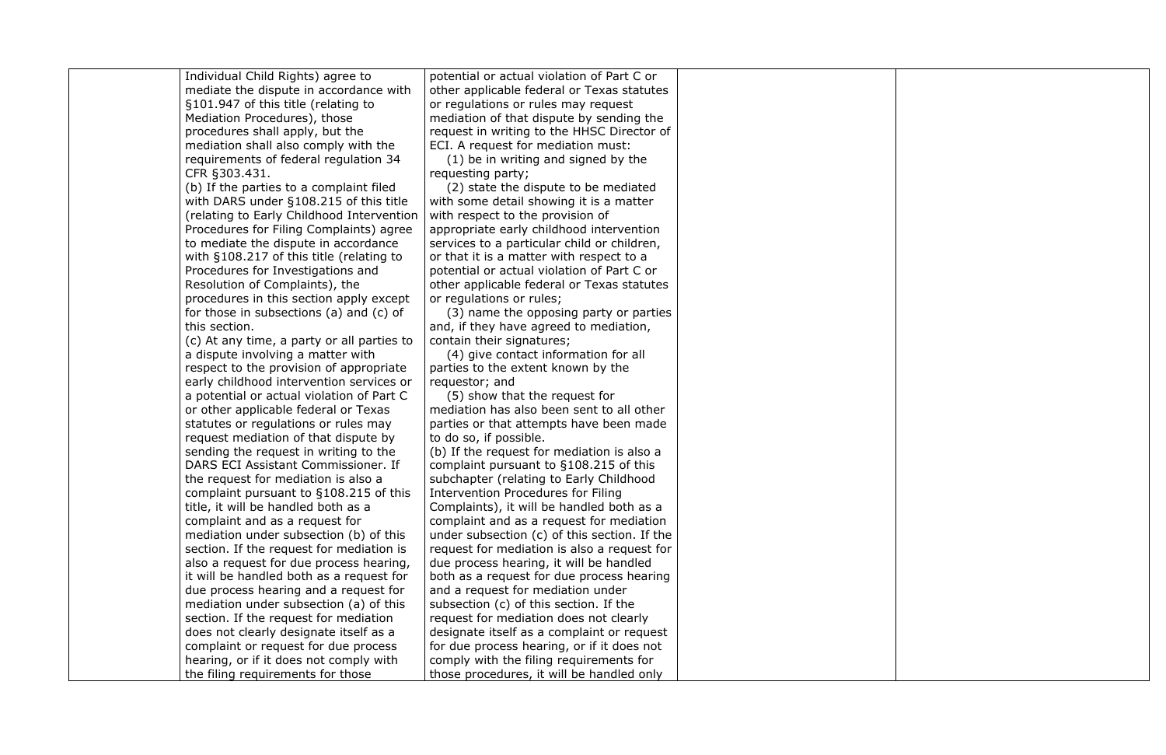| Individual Child Rights) agree to          | potential or actual violation of Part C or   |  |
|--------------------------------------------|----------------------------------------------|--|
| mediate the dispute in accordance with     | other applicable federal or Texas statutes   |  |
| §101.947 of this title (relating to        | or regulations or rules may request          |  |
| Mediation Procedures), those               | mediation of that dispute by sending the     |  |
| procedures shall apply, but the            | request in writing to the HHSC Director of   |  |
| mediation shall also comply with the       | ECI. A request for mediation must:           |  |
| requirements of federal regulation 34      | (1) be in writing and signed by the          |  |
| CFR §303.431.                              | requesting party;                            |  |
| (b) If the parties to a complaint filed    | (2) state the dispute to be mediated         |  |
| with DARS under §108.215 of this title     | with some detail showing it is a matter      |  |
| (relating to Early Childhood Intervention  | with respect to the provision of             |  |
| Procedures for Filing Complaints) agree    | appropriate early childhood intervention     |  |
| to mediate the dispute in accordance       | services to a particular child or children,  |  |
| with $§108.217$ of this title (relating to | or that it is a matter with respect to a     |  |
| Procedures for Investigations and          | potential or actual violation of Part C or   |  |
| Resolution of Complaints), the             | other applicable federal or Texas statutes   |  |
| procedures in this section apply except    | or regulations or rules;                     |  |
| for those in subsections (a) and (c) of    | (3) name the opposing party or parties       |  |
| this section.                              | and, if they have agreed to mediation,       |  |
| (c) At any time, a party or all parties to | contain their signatures;                    |  |
| a dispute involving a matter with          | (4) give contact information for all         |  |
| respect to the provision of appropriate    | parties to the extent known by the           |  |
| early childhood intervention services or   | requestor; and                               |  |
| a potential or actual violation of Part C  | (5) show that the request for                |  |
| or other applicable federal or Texas       | mediation has also been sent to all other    |  |
| statutes or regulations or rules may       | parties or that attempts have been made      |  |
| request mediation of that dispute by       | to do so, if possible.                       |  |
| sending the request in writing to the      | (b) If the request for mediation is also a   |  |
| DARS ECI Assistant Commissioner. If        | complaint pursuant to §108.215 of this       |  |
| the request for mediation is also a        | subchapter (relating to Early Childhood      |  |
| complaint pursuant to §108.215 of this     | <b>Intervention Procedures for Filing</b>    |  |
| title, it will be handled both as a        | Complaints), it will be handled both as a    |  |
| complaint and as a request for             | complaint and as a request for mediation     |  |
| mediation under subsection (b) of this     | under subsection (c) of this section. If the |  |
| section. If the request for mediation is   | request for mediation is also a request for  |  |
| also a request for due process hearing,    | due process hearing, it will be handled      |  |
| it will be handled both as a request for   | both as a request for due process hearing    |  |
| due process hearing and a request for      | and a request for mediation under            |  |
| mediation under subsection (a) of this     | subsection (c) of this section. If the       |  |
| section. If the request for mediation      | request for mediation does not clearly       |  |
| does not clearly designate itself as a     | designate itself as a complaint or request   |  |
| complaint or request for due process       | for due process hearing, or if it does not   |  |
| hearing, or if it does not comply with     | comply with the filing requirements for      |  |
| the filing requirements for those          | those procedures, it will be handled only    |  |

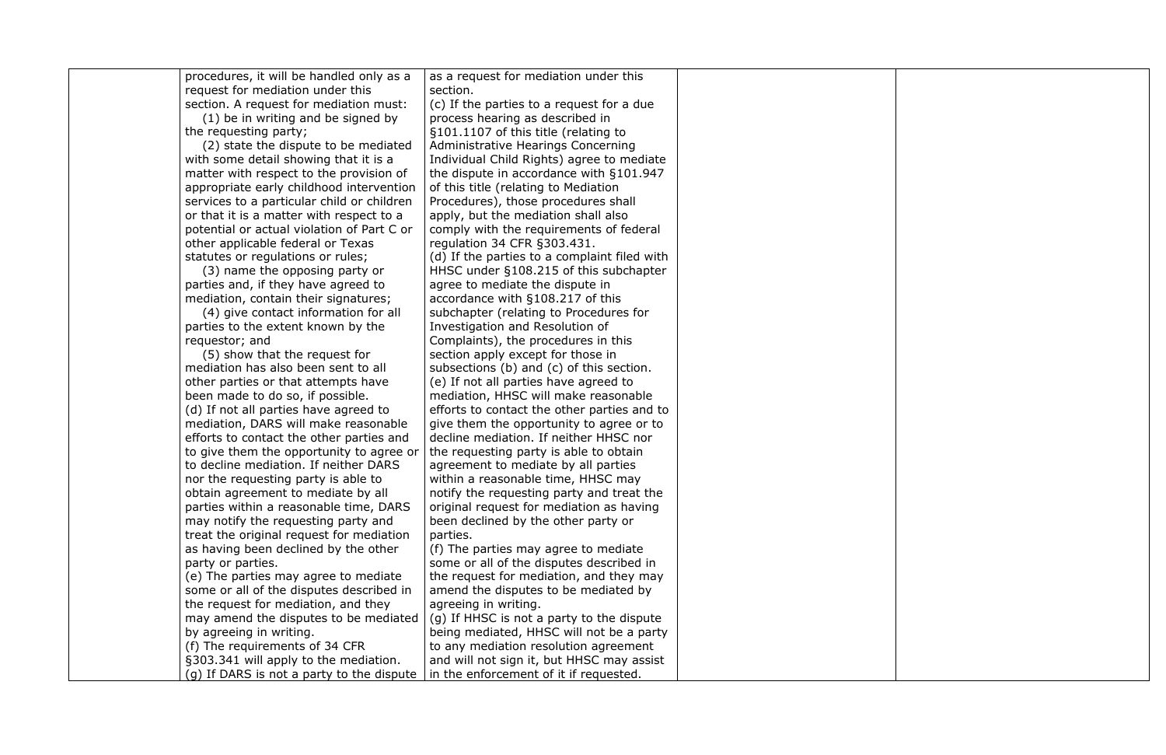procedures, it will be handled only as a



as a request for mediation under this

| request for mediation under this           | section.                                     |  |
|--------------------------------------------|----------------------------------------------|--|
| section. A request for mediation must:     | (c) If the parties to a request for a due    |  |
| (1) be in writing and be signed by         | process hearing as described in              |  |
| the requesting party;                      | §101.1107 of this title (relating to         |  |
| (2) state the dispute to be mediated       | <b>Administrative Hearings Concerning</b>    |  |
| with some detail showing that it is a      | Individual Child Rights) agree to mediate    |  |
| matter with respect to the provision of    | the dispute in accordance with §101.947      |  |
| appropriate early childhood intervention   | of this title (relating to Mediation         |  |
| services to a particular child or children | Procedures), those procedures shall          |  |
| or that it is a matter with respect to a   | apply, but the mediation shall also          |  |
| potential or actual violation of Part C or | comply with the requirements of federal      |  |
| other applicable federal or Texas          | regulation 34 CFR §303.431.                  |  |
| statutes or regulations or rules;          | (d) If the parties to a complaint filed with |  |
| (3) name the opposing party or             | HHSC under §108.215 of this subchapter       |  |
| parties and, if they have agreed to        | agree to mediate the dispute in              |  |
| mediation, contain their signatures;       | accordance with §108.217 of this             |  |
| (4) give contact information for all       | subchapter (relating to Procedures for       |  |
| parties to the extent known by the         | Investigation and Resolution of              |  |
| requestor; and                             | Complaints), the procedures in this          |  |
| (5) show that the request for              | section apply except for those in            |  |
| mediation has also been sent to all        | subsections (b) and (c) of this section.     |  |
| other parties or that attempts have        | (e) If not all parties have agreed to        |  |
| been made to do so, if possible.           | mediation, HHSC will make reasonable         |  |
| (d) If not all parties have agreed to      | efforts to contact the other parties and to  |  |
| mediation, DARS will make reasonable       | give them the opportunity to agree or to     |  |
| efforts to contact the other parties and   | decline mediation. If neither HHSC nor       |  |
| to give them the opportunity to agree or   | the requesting party is able to obtain       |  |
| to decline mediation. If neither DARS      | agreement to mediate by all parties          |  |
| nor the requesting party is able to        | within a reasonable time, HHSC may           |  |
| obtain agreement to mediate by all         | notify the requesting party and treat the    |  |
| parties within a reasonable time, DARS     | original request for mediation as having     |  |
| may notify the requesting party and        | been declined by the other party or          |  |
| treat the original request for mediation   | parties.                                     |  |
| as having been declined by the other       | (f) The parties may agree to mediate         |  |
| party or parties.                          | some or all of the disputes described in     |  |
| (e) The parties may agree to mediate       | the request for mediation, and they may      |  |
| some or all of the disputes described in   | amend the disputes to be mediated by         |  |
| the request for mediation, and they        | agreeing in writing.                         |  |
| may amend the disputes to be mediated      | (g) If HHSC is not a party to the dispute    |  |
| by agreeing in writing.                    | being mediated, HHSC will not be a party     |  |
| (f) The requirements of 34 CFR             | to any mediation resolution agreement        |  |
| §303.341 will apply to the mediation.      | and will not sign it, but HHSC may assist    |  |
| (g) If DARS is not a party to the dispute  | in the enforcement of it if requested.       |  |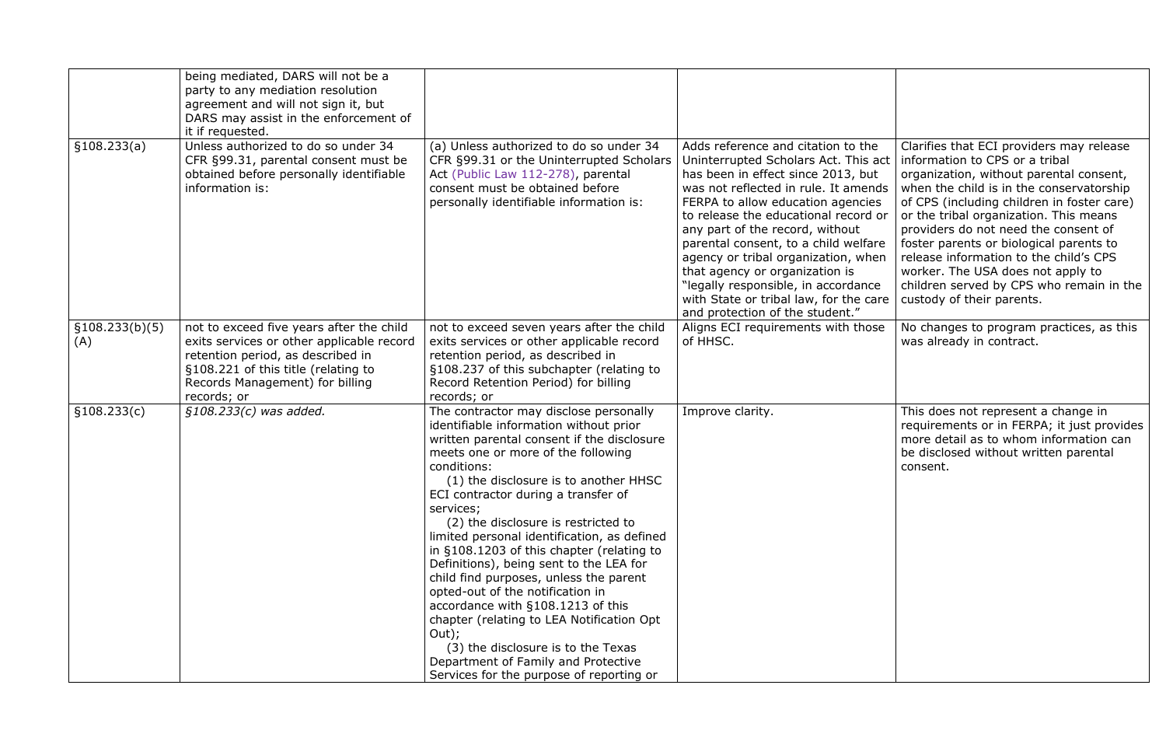|                        | being mediated, DARS will not be a<br>party to any mediation resolution<br>agreement and will not sign it, but<br>DARS may assist in the enforcement of<br>it if requested.                                         |                                                                                                                                                                                                                                                                                                                                                                                                                                                                                                                                                                                                                                                                                                                                                                  |                                                                                                                                                                                                                                                                                                                                                                                                                                                                                                               |                                                                                                                                                                                                                                                                                                                                                                                                                                                                                                      |
|------------------------|---------------------------------------------------------------------------------------------------------------------------------------------------------------------------------------------------------------------|------------------------------------------------------------------------------------------------------------------------------------------------------------------------------------------------------------------------------------------------------------------------------------------------------------------------------------------------------------------------------------------------------------------------------------------------------------------------------------------------------------------------------------------------------------------------------------------------------------------------------------------------------------------------------------------------------------------------------------------------------------------|---------------------------------------------------------------------------------------------------------------------------------------------------------------------------------------------------------------------------------------------------------------------------------------------------------------------------------------------------------------------------------------------------------------------------------------------------------------------------------------------------------------|------------------------------------------------------------------------------------------------------------------------------------------------------------------------------------------------------------------------------------------------------------------------------------------------------------------------------------------------------------------------------------------------------------------------------------------------------------------------------------------------------|
| \$108.233(a)           | Unless authorized to do so under 34<br>CFR §99.31, parental consent must be<br>obtained before personally identifiable<br>information is:                                                                           | (a) Unless authorized to do so under 34<br>CFR §99.31 or the Uninterrupted Scholars<br>Act (Public Law 112-278), parental<br>consent must be obtained before<br>personally identifiable information is:                                                                                                                                                                                                                                                                                                                                                                                                                                                                                                                                                          | Adds reference and citation to the<br>Uninterrupted Scholars Act. This act<br>has been in effect since 2013, but<br>was not reflected in rule. It amends<br>FERPA to allow education agencies<br>to release the educational record or<br>any part of the record, without<br>parental consent, to a child welfare<br>agency or tribal organization, when<br>that agency or organization is<br>"legally responsible, in accordance<br>with State or tribal law, for the care<br>and protection of the student." | Clarifies that ECI providers may release<br>information to CPS or a tribal<br>organization, without parental consent,<br>when the child is in the conservatorship<br>of CPS (including children in foster care)<br>or the tribal organization. This means<br>providers do not need the consent of<br>foster parents or biological parents to<br>release information to the child's CPS<br>worker. The USA does not apply to<br>children served by CPS who remain in the<br>custody of their parents. |
| \$108.233(b)(5)<br>(A) | not to exceed five years after the child<br>exits services or other applicable record<br>retention period, as described in<br>§108.221 of this title (relating to<br>Records Management) for billing<br>records; or | not to exceed seven years after the child<br>exits services or other applicable record<br>retention period, as described in<br>§108.237 of this subchapter (relating to<br>Record Retention Period) for billing<br>records; or                                                                                                                                                                                                                                                                                                                                                                                                                                                                                                                                   | Aligns ECI requirements with those<br>of HHSC.                                                                                                                                                                                                                                                                                                                                                                                                                                                                | No changes to program practices, as this<br>was already in contract.                                                                                                                                                                                                                                                                                                                                                                                                                                 |
| §108.233(c)            | $$108.233(c)$ was added.                                                                                                                                                                                            | The contractor may disclose personally<br>identifiable information without prior<br>written parental consent if the disclosure<br>meets one or more of the following<br>conditions:<br>(1) the disclosure is to another HHSC<br>ECI contractor during a transfer of<br>services;<br>(2) the disclosure is restricted to<br>limited personal identification, as defined<br>in §108.1203 of this chapter (relating to<br>Definitions), being sent to the LEA for<br>child find purposes, unless the parent<br>opted-out of the notification in<br>accordance with §108.1213 of this<br>chapter (relating to LEA Notification Opt<br>Out);<br>(3) the disclosure is to the Texas<br>Department of Family and Protective<br>Services for the purpose of reporting or | Improve clarity.                                                                                                                                                                                                                                                                                                                                                                                                                                                                                              | This does not represent a change in<br>requirements or in FERPA; it just provides<br>more detail as to whom information can<br>be disclosed without written parental<br>consent.                                                                                                                                                                                                                                                                                                                     |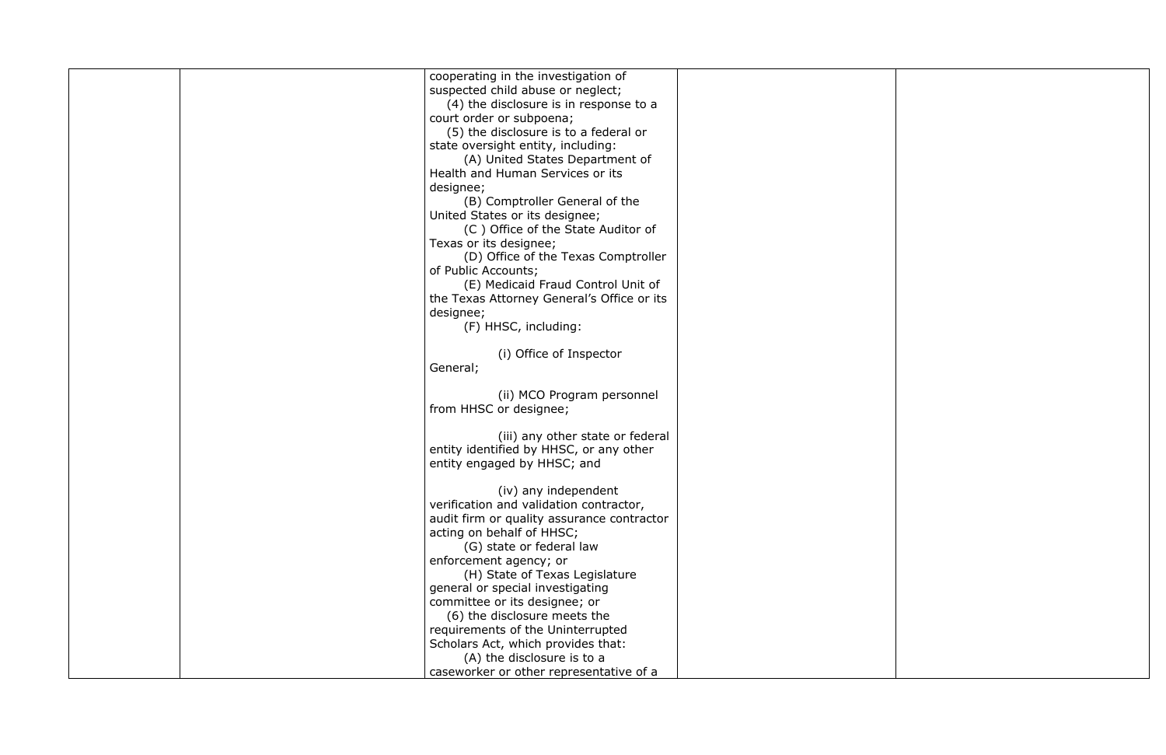|  | cooperating in the investigation of        |  |
|--|--------------------------------------------|--|
|  | suspected child abuse or neglect;          |  |
|  | (4) the disclosure is in response to a     |  |
|  | court order or subpoena;                   |  |
|  | (5) the disclosure is to a federal or      |  |
|  | state oversight entity, including:         |  |
|  |                                            |  |
|  | (A) United States Department of            |  |
|  | Health and Human Services or its           |  |
|  | designee;                                  |  |
|  | (B) Comptroller General of the             |  |
|  | United States or its designee;             |  |
|  | (C) Office of the State Auditor of         |  |
|  | Texas or its designee;                     |  |
|  | (D) Office of the Texas Comptroller        |  |
|  | of Public Accounts;                        |  |
|  | (E) Medicaid Fraud Control Unit of         |  |
|  | the Texas Attorney General's Office or its |  |
|  | designee;                                  |  |
|  | (F) HHSC, including:                       |  |
|  |                                            |  |
|  | (i) Office of Inspector                    |  |
|  | General;                                   |  |
|  |                                            |  |
|  | (ii) MCO Program personnel                 |  |
|  | from HHSC or designee;                     |  |
|  |                                            |  |
|  | (iii) any other state or federal           |  |
|  | entity identified by HHSC, or any other    |  |
|  | entity engaged by HHSC; and                |  |
|  |                                            |  |
|  | (iv) any independent                       |  |
|  | verification and validation contractor,    |  |
|  | audit firm or quality assurance contractor |  |
|  | acting on behalf of HHSC;                  |  |
|  | (G) state or federal law                   |  |
|  | enforcement agency; or                     |  |
|  | (H) State of Texas Legislature             |  |
|  | general or special investigating           |  |
|  | committee or its designee; or              |  |
|  | (6) the disclosure meets the               |  |
|  | requirements of the Uninterrupted          |  |
|  |                                            |  |
|  | Scholars Act, which provides that:         |  |
|  | (A) the disclosure is to a                 |  |
|  | caseworker or other representative of a    |  |

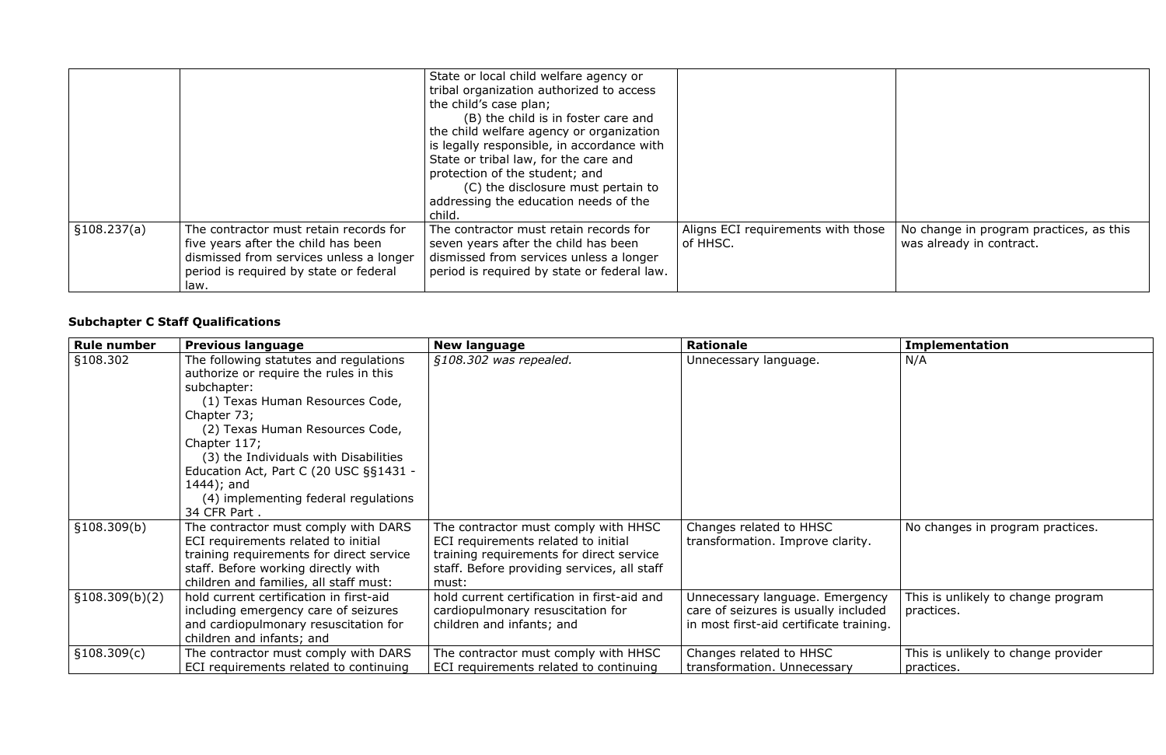|              |                                                                                                                                                                            | State or local child welfare agency or<br>tribal organization authorized to access<br>the child's case plan;<br>(B) the child is in foster care and<br>the child welfare agency or organization<br>is legally responsible, in accordance with<br>State or tribal law, for the care and<br>protection of the student; and<br>(C) the disclosure must pertain to<br>addressing the education needs of the<br>child. |                                                |
|--------------|----------------------------------------------------------------------------------------------------------------------------------------------------------------------------|-------------------------------------------------------------------------------------------------------------------------------------------------------------------------------------------------------------------------------------------------------------------------------------------------------------------------------------------------------------------------------------------------------------------|------------------------------------------------|
| \$108.237(a) | The contractor must retain records for<br>five years after the child has been<br>dismissed from services unless a longer<br>period is required by state or federal<br>law. | The contractor must retain records for<br>seven years after the child has been<br>dismissed from services unless a longer<br>period is required by state or federal law.                                                                                                                                                                                                                                          | Aligns ECI requirements with those<br>of HHSC. |

| h those | No change in program practices, as this<br>was already in contract. |
|---------|---------------------------------------------------------------------|

### **Subchapter C Staff Qualifications**

| <b>Rule number</b> | <b>Previous language</b>                                                                                                                                                                                                                                                                                                                                        | <b>New language</b>                                                                                                                                                             | <b>Rationale</b>                                                                                                   | <b>Implementation</b>                             |
|--------------------|-----------------------------------------------------------------------------------------------------------------------------------------------------------------------------------------------------------------------------------------------------------------------------------------------------------------------------------------------------------------|---------------------------------------------------------------------------------------------------------------------------------------------------------------------------------|--------------------------------------------------------------------------------------------------------------------|---------------------------------------------------|
| §108.302           | The following statutes and regulations<br>authorize or require the rules in this<br>subchapter:<br>(1) Texas Human Resources Code,<br>Chapter 73;<br>(2) Texas Human Resources Code,<br>Chapter 117;<br>(3) the Individuals with Disabilities<br>Education Act, Part C (20 USC §§1431 -<br>$1444$ ; and<br>(4) implementing federal regulations<br>34 CFR Part. | §108.302 was repealed.                                                                                                                                                          | Unnecessary language.                                                                                              | N/A                                               |
| §108.309(b)        | The contractor must comply with DARS<br>ECI requirements related to initial<br>training requirements for direct service<br>staff. Before working directly with<br>children and families, all staff must:                                                                                                                                                        | The contractor must comply with HHSC<br>ECI requirements related to initial<br>training requirements for direct service<br>staff. Before providing services, all staff<br>must: | Changes related to HHSC<br>transformation. Improve clarity.                                                        | No changes in program practices.                  |
| §108.309(b)(2)     | hold current certification in first-aid<br>including emergency care of seizures<br>and cardiopulmonary resuscitation for<br>children and infants; and                                                                                                                                                                                                           | hold current certification in first-aid and<br>cardiopulmonary resuscitation for<br>children and infants; and                                                                   | Unnecessary language. Emergency<br>care of seizures is usually included<br>in most first-aid certificate training. | This is unlikely to change program<br>practices.  |
| §108.309(c)        | The contractor must comply with DARS<br>ECI requirements related to continuing                                                                                                                                                                                                                                                                                  | The contractor must comply with HHSC<br>ECI requirements related to continuing                                                                                                  | Changes related to HHSC<br>transformation. Unnecessary                                                             | This is unlikely to change provider<br>practices. |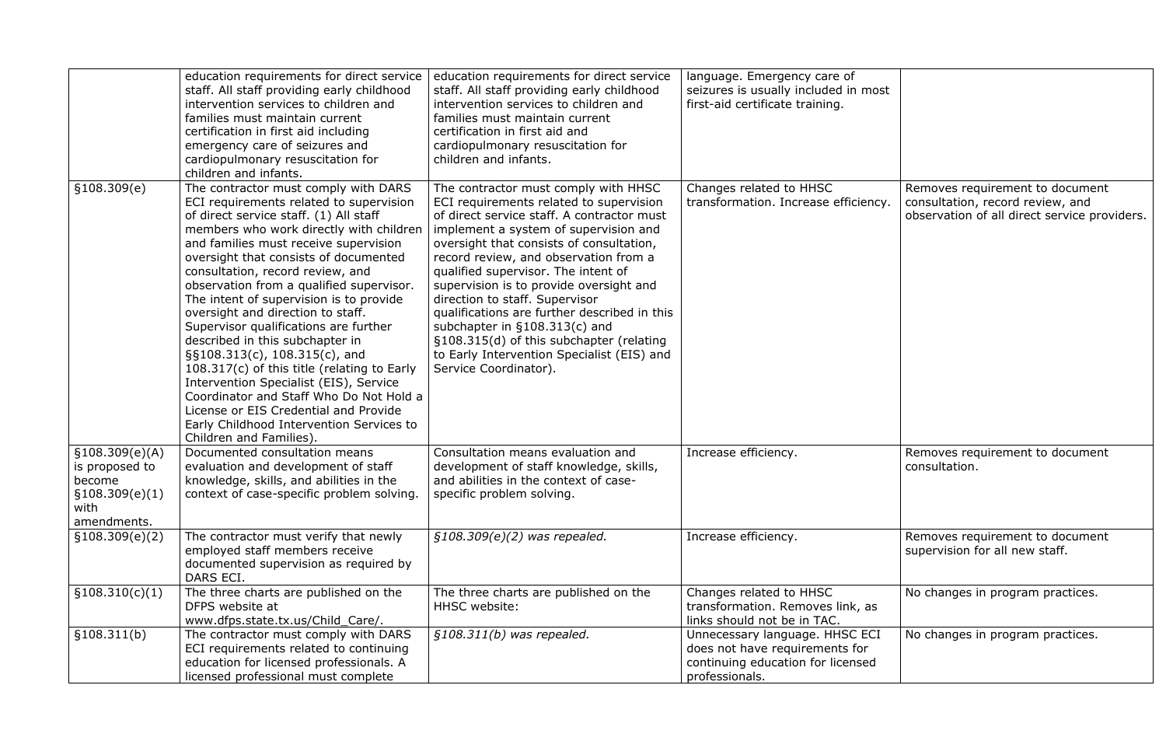|                                                                                       | education requirements for direct service<br>staff. All staff providing early childhood<br>intervention services to children and<br>families must maintain current<br>certification in first aid including<br>emergency care of seizures and<br>cardiopulmonary resuscitation for<br>children and infants.                                                                                                                                                                                                                                                                                                                                                                                                                                                                              | education requirements for direct service<br>staff. All staff providing early childhood<br>intervention services to children and<br>families must maintain current<br>certification in first aid and<br>cardiopulmonary resuscitation for<br>children and infants.                                                                                                                                                                                                                                                                                                                     | language. Emergency care of<br>seizures is usually included in most<br>first-aid certificate training.                  |                                                                                                               |
|---------------------------------------------------------------------------------------|-----------------------------------------------------------------------------------------------------------------------------------------------------------------------------------------------------------------------------------------------------------------------------------------------------------------------------------------------------------------------------------------------------------------------------------------------------------------------------------------------------------------------------------------------------------------------------------------------------------------------------------------------------------------------------------------------------------------------------------------------------------------------------------------|----------------------------------------------------------------------------------------------------------------------------------------------------------------------------------------------------------------------------------------------------------------------------------------------------------------------------------------------------------------------------------------------------------------------------------------------------------------------------------------------------------------------------------------------------------------------------------------|-------------------------------------------------------------------------------------------------------------------------|---------------------------------------------------------------------------------------------------------------|
| \$108.309(e)                                                                          | The contractor must comply with DARS<br>ECI requirements related to supervision<br>of direct service staff. (1) All staff<br>members who work directly with children<br>and families must receive supervision<br>oversight that consists of documented<br>consultation, record review, and<br>observation from a qualified supervisor.<br>The intent of supervision is to provide<br>oversight and direction to staff.<br>Supervisor qualifications are further<br>described in this subchapter in<br>§§108.313(c), 108.315(c), and<br>108.317(c) of this title (relating to Early<br>Intervention Specialist (EIS), Service<br>Coordinator and Staff Who Do Not Hold a<br>License or EIS Credential and Provide<br>Early Childhood Intervention Services to<br>Children and Families). | The contractor must comply with HHSC<br>ECI requirements related to supervision<br>of direct service staff. A contractor must<br>implement a system of supervision and<br>oversight that consists of consultation,<br>record review, and observation from a<br>qualified supervisor. The intent of<br>supervision is to provide oversight and<br>direction to staff. Supervisor<br>qualifications are further described in this<br>subchapter in $\S108.313(c)$ and<br>§108.315(d) of this subchapter (relating<br>to Early Intervention Specialist (EIS) and<br>Service Coordinator). | Changes related to HHSC<br>transformation. Increase efficiency.                                                         | Removes requirement to document<br>consultation, record review, and<br>observation of all direct service prov |
| \$108.309(e)(A)<br>is proposed to<br>become<br>\$108.309(e)(1)<br>with<br>amendments. | Documented consultation means<br>evaluation and development of staff<br>knowledge, skills, and abilities in the<br>context of case-specific problem solving.                                                                                                                                                                                                                                                                                                                                                                                                                                                                                                                                                                                                                            | Consultation means evaluation and<br>development of staff knowledge, skills,<br>and abilities in the context of case-<br>specific problem solving.                                                                                                                                                                                                                                                                                                                                                                                                                                     | Increase efficiency.                                                                                                    | Removes requirement to document<br>consultation.                                                              |
| \$108.309(e)(2)                                                                       | The contractor must verify that newly<br>employed staff members receive<br>documented supervision as required by<br>DARS ECI.                                                                                                                                                                                                                                                                                                                                                                                                                                                                                                                                                                                                                                                           | $$108.309(e)(2)$ was repealed.                                                                                                                                                                                                                                                                                                                                                                                                                                                                                                                                                         | Increase efficiency.                                                                                                    | Removes requirement to document<br>supervision for all new staff.                                             |
| \$108.310(c)(1)                                                                       | The three charts are published on the<br>DFPS website at<br>www.dfps.state.tx.us/Child_Care/.                                                                                                                                                                                                                                                                                                                                                                                                                                                                                                                                                                                                                                                                                           | The three charts are published on the<br>HHSC website:                                                                                                                                                                                                                                                                                                                                                                                                                                                                                                                                 | Changes related to HHSC<br>transformation. Removes link, as<br>links should not be in TAC.                              | No changes in program practices.                                                                              |
| §108.311(b)                                                                           | The contractor must comply with DARS<br>ECI requirements related to continuing<br>education for licensed professionals. A<br>licensed professional must complete                                                                                                                                                                                                                                                                                                                                                                                                                                                                                                                                                                                                                        | $$108.311(b)$ was repealed.                                                                                                                                                                                                                                                                                                                                                                                                                                                                                                                                                            | Unnecessary language. HHSC ECI<br>does not have requirements for<br>continuing education for licensed<br>professionals. | No changes in program practices.                                                                              |

| y care of<br>ncluded in most<br>raining.    |                                                                                                                     |
|---------------------------------------------|---------------------------------------------------------------------------------------------------------------------|
| <b>HHSC</b><br>ease efficiency.             | Removes requirement to document<br>consultation, record review, and<br>observation of all direct service providers. |
|                                             | Removes requirement to document<br>consultation.                                                                    |
|                                             | Removes requirement to document<br>supervision for all new staff.                                                   |
| <b>HHSC</b><br>noves link, as<br>n TAC.     | No changes in program practices.                                                                                    |
| ge. HHSC ECI<br>rements for<br>for licensed | No changes in program practices.                                                                                    |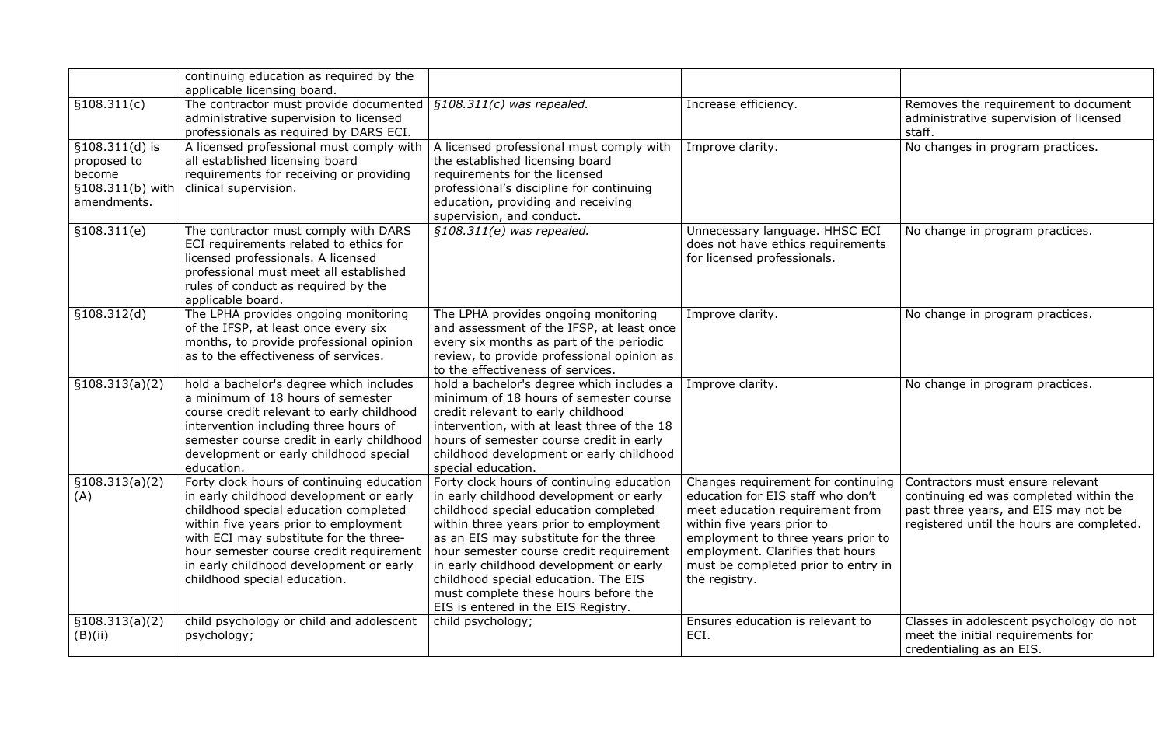|                                                                                | continuing education as required by the<br>applicable licensing board.                                                                                                                                                                                                                                                                 |                                                                                                                                                                                                                                                                                                                                                                                                                                |                                                                                                                                                                                                                                                                            |                                                                                                                                                                 |
|--------------------------------------------------------------------------------|----------------------------------------------------------------------------------------------------------------------------------------------------------------------------------------------------------------------------------------------------------------------------------------------------------------------------------------|--------------------------------------------------------------------------------------------------------------------------------------------------------------------------------------------------------------------------------------------------------------------------------------------------------------------------------------------------------------------------------------------------------------------------------|----------------------------------------------------------------------------------------------------------------------------------------------------------------------------------------------------------------------------------------------------------------------------|-----------------------------------------------------------------------------------------------------------------------------------------------------------------|
| \$108.311(c)                                                                   | The contractor must provide documented<br>administrative supervision to licensed<br>professionals as required by DARS ECI.                                                                                                                                                                                                             | $$108.311(c)$ was repealed.                                                                                                                                                                                                                                                                                                                                                                                                    | Increase efficiency.                                                                                                                                                                                                                                                       | Removes the requirement to document<br>administrative supervision of licensed<br>staff.                                                                         |
| $$108.311(d)$ is<br>proposed to<br>become<br>$$108.311(b)$ with<br>amendments. | A licensed professional must comply with<br>all established licensing board<br>requirements for receiving or providing<br>clinical supervision.                                                                                                                                                                                        | A licensed professional must comply with<br>the established licensing board<br>requirements for the licensed<br>professional's discipline for continuing<br>education, providing and receiving<br>supervision, and conduct.                                                                                                                                                                                                    | Improve clarity.                                                                                                                                                                                                                                                           | No changes in program practices.                                                                                                                                |
| \$108.311(e)                                                                   | The contractor must comply with DARS<br>ECI requirements related to ethics for<br>licensed professionals. A licensed<br>professional must meet all established<br>rules of conduct as required by the<br>applicable board.                                                                                                             | $$108.311(e)$ was repealed.                                                                                                                                                                                                                                                                                                                                                                                                    | Unnecessary language. HHSC ECI<br>does not have ethics requirements<br>for licensed professionals.                                                                                                                                                                         | No change in program practices.                                                                                                                                 |
| \$108.312(d)                                                                   | The LPHA provides ongoing monitoring<br>of the IFSP, at least once every six<br>months, to provide professional opinion<br>as to the effectiveness of services.                                                                                                                                                                        | The LPHA provides ongoing monitoring<br>and assessment of the IFSP, at least once<br>every six months as part of the periodic<br>review, to provide professional opinion as<br>to the effectiveness of services.                                                                                                                                                                                                               | Improve clarity.                                                                                                                                                                                                                                                           | No change in program practices.                                                                                                                                 |
| \$108.313(a)(2)                                                                | hold a bachelor's degree which includes<br>a minimum of 18 hours of semester<br>course credit relevant to early childhood<br>intervention including three hours of<br>semester course credit in early childhood<br>development or early childhood special<br>education.                                                                | hold a bachelor's degree which includes a<br>minimum of 18 hours of semester course<br>credit relevant to early childhood<br>intervention, with at least three of the 18<br>hours of semester course credit in early<br>childhood development or early childhood<br>special education.                                                                                                                                         | Improve clarity.                                                                                                                                                                                                                                                           | No change in program practices.                                                                                                                                 |
| \$108.313(a)(2)<br>(A)                                                         | Forty clock hours of continuing education<br>in early childhood development or early<br>childhood special education completed<br>within five years prior to employment<br>with ECI may substitute for the three-<br>hour semester course credit requirement<br>in early childhood development or early<br>childhood special education. | Forty clock hours of continuing education<br>in early childhood development or early<br>childhood special education completed<br>within three years prior to employment<br>as an EIS may substitute for the three<br>hour semester course credit requirement<br>in early childhood development or early<br>childhood special education. The EIS<br>must complete these hours before the<br>EIS is entered in the EIS Registry. | Changes requirement for continuing<br>education for EIS staff who don't<br>meet education requirement from<br>within five years prior to<br>employment to three years prior to<br>employment. Clarifies that hours<br>must be completed prior to entry in<br>the registry. | Contractors must ensure relevant<br>continuing ed was completed within the<br>past three years, and EIS may not be<br>registered until the hours are completed. |
| \$108.313(a)(2)<br>(B)(ii)                                                     | child psychology or child and adolescent<br>psychology;                                                                                                                                                                                                                                                                                | child psychology;                                                                                                                                                                                                                                                                                                                                                                                                              | Ensures education is relevant to<br>ECI.                                                                                                                                                                                                                                   | Classes in adolescent psychology do not<br>meet the initial requirements for<br>credentialing as an EIS.                                                        |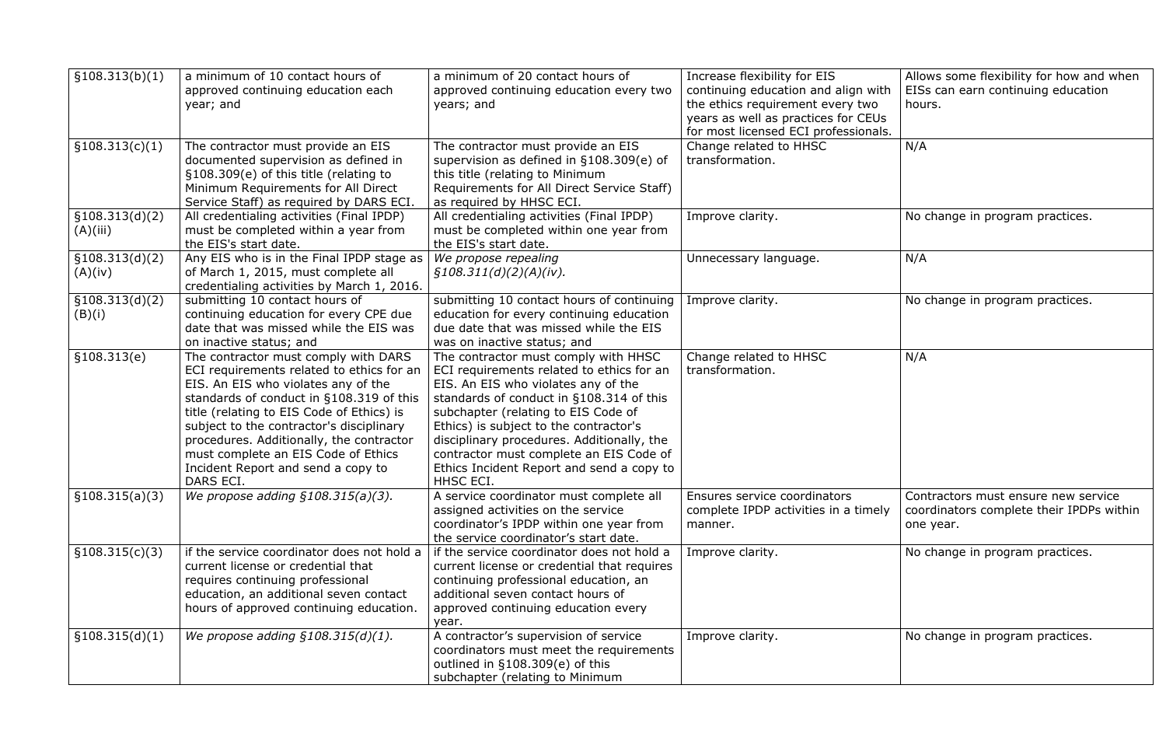| Increase flexibility for EIS         | Allows some flexibility for how and when |
|--------------------------------------|------------------------------------------|
| continuing education and align with  | EISs can earn continuing education       |
| the ethics requirement every two     | hours.                                   |
| years as well as practices for CEUs  |                                          |
| for most licensed ECI professionals. |                                          |
| Change related to HHSC               | N/A                                      |
| transformation.                      |                                          |
|                                      |                                          |
|                                      |                                          |
| Improve clarity.                     | No change in program practices.          |
|                                      |                                          |
|                                      |                                          |
| Unnecessary language.                | N/A                                      |
|                                      |                                          |
|                                      |                                          |
| Improve clarity.                     | No change in program practices.          |
|                                      |                                          |
|                                      |                                          |
| Change related to HHSC               | N/A                                      |
| transformation.                      |                                          |
|                                      |                                          |
|                                      |                                          |
|                                      |                                          |
|                                      |                                          |
|                                      |                                          |
|                                      |                                          |
|                                      |                                          |
| Ensures service coordinators         | Contractors must ensure new service      |
| complete IPDP activities in a timely | coordinators complete their IPDPs within |
| manner.                              | one year.                                |
|                                      |                                          |
| Improve clarity.                     | No change in program practices.          |
|                                      |                                          |
|                                      |                                          |
|                                      |                                          |
|                                      |                                          |
| Improve clarity.                     | No change in program practices.          |
|                                      |                                          |
|                                      |                                          |
|                                      |                                          |

| §108.313(b)(1)              | a minimum of 10 contact hours of<br>approved continuing education each<br>year; and                                                                                                                                                                                                                                                                                                                 | a minimum of 20 contact hours of<br>approved continuing education every two<br>years; and                                                                                                                                                                                                                                                                                                                | Increase flexibility for EIS<br>continuing education and align with<br>the ethics requirement every two<br>years as well as practices for CEUs<br>for most licensed ECI professionals. | Allo<br><b>EIS</b><br>hou |
|-----------------------------|-----------------------------------------------------------------------------------------------------------------------------------------------------------------------------------------------------------------------------------------------------------------------------------------------------------------------------------------------------------------------------------------------------|----------------------------------------------------------------------------------------------------------------------------------------------------------------------------------------------------------------------------------------------------------------------------------------------------------------------------------------------------------------------------------------------------------|----------------------------------------------------------------------------------------------------------------------------------------------------------------------------------------|---------------------------|
| \$108.313(c)(1)             | The contractor must provide an EIS<br>documented supervision as defined in<br>§108.309(e) of this title (relating to<br>Minimum Requirements for All Direct<br>Service Staff) as required by DARS ECI.                                                                                                                                                                                              | The contractor must provide an EIS<br>supervision as defined in §108.309(e) of<br>this title (relating to Minimum<br>Requirements for All Direct Service Staff)<br>as required by HHSC ECI.                                                                                                                                                                                                              | Change related to HHSC<br>transformation.                                                                                                                                              | N/A                       |
| \$108.313(d)(2)<br>(A)(iii) | All credentialing activities (Final IPDP)<br>must be completed within a year from<br>the EIS's start date.                                                                                                                                                                                                                                                                                          | All credentialing activities (Final IPDP)<br>must be completed within one year from<br>the EIS's start date.                                                                                                                                                                                                                                                                                             | Improve clarity.                                                                                                                                                                       | No                        |
| §108.313(d)(2)<br>(A)(iv)   | Any EIS who is in the Final IPDP stage as<br>of March 1, 2015, must complete all<br>credentialing activities by March 1, 2016.                                                                                                                                                                                                                                                                      | We propose repealing<br>$\frac{5108.311(d)(2)(A)(iv)}{2}$ .                                                                                                                                                                                                                                                                                                                                              | Unnecessary language.                                                                                                                                                                  | N/A                       |
| §108.313(d)(2)<br>(B)(i)    | submitting 10 contact hours of<br>continuing education for every CPE due<br>date that was missed while the EIS was<br>on inactive status; and                                                                                                                                                                                                                                                       | submitting 10 contact hours of continuing<br>education for every continuing education<br>due date that was missed while the EIS<br>was on inactive status; and                                                                                                                                                                                                                                           | Improve clarity.                                                                                                                                                                       | No                        |
| \$108.313(e)                | The contractor must comply with DARS<br>ECI requirements related to ethics for an<br>EIS. An EIS who violates any of the<br>standards of conduct in §108.319 of this<br>title (relating to EIS Code of Ethics) is<br>subject to the contractor's disciplinary<br>procedures. Additionally, the contractor<br>must complete an EIS Code of Ethics<br>Incident Report and send a copy to<br>DARS ECI. | The contractor must comply with HHSC<br>ECI requirements related to ethics for an<br>EIS. An EIS who violates any of the<br>standards of conduct in §108.314 of this<br>subchapter (relating to EIS Code of<br>Ethics) is subject to the contractor's<br>disciplinary procedures. Additionally, the<br>contractor must complete an EIS Code of<br>Ethics Incident Report and send a copy to<br>HHSC ECI. | Change related to HHSC<br>transformation.                                                                                                                                              | N/A                       |
| §108.315(a)(3)              | We propose adding $§108.315(a)(3)$ .                                                                                                                                                                                                                                                                                                                                                                | A service coordinator must complete all<br>assigned activities on the service<br>coordinator's IPDP within one year from<br>the service coordinator's start date.                                                                                                                                                                                                                                        | Ensures service coordinators<br>complete IPDP activities in a timely<br>manner.                                                                                                        | Con<br>COO<br>one         |
| \$108.315(c)(3)             | if the service coordinator does not hold a<br>current license or credential that<br>requires continuing professional<br>education, an additional seven contact<br>hours of approved continuing education.                                                                                                                                                                                           | if the service coordinator does not hold a<br>current license or credential that requires<br>continuing professional education, an<br>additional seven contact hours of<br>approved continuing education every<br>year.                                                                                                                                                                                  | Improve clarity.                                                                                                                                                                       | No                        |
| \$108.315(d)(1)             | We propose adding $§108.315(d)(1)$ .                                                                                                                                                                                                                                                                                                                                                                | A contractor's supervision of service<br>coordinators must meet the requirements<br>outlined in §108.309(e) of this<br>subchapter (relating to Minimum                                                                                                                                                                                                                                                   | Improve clarity.                                                                                                                                                                       | No l                      |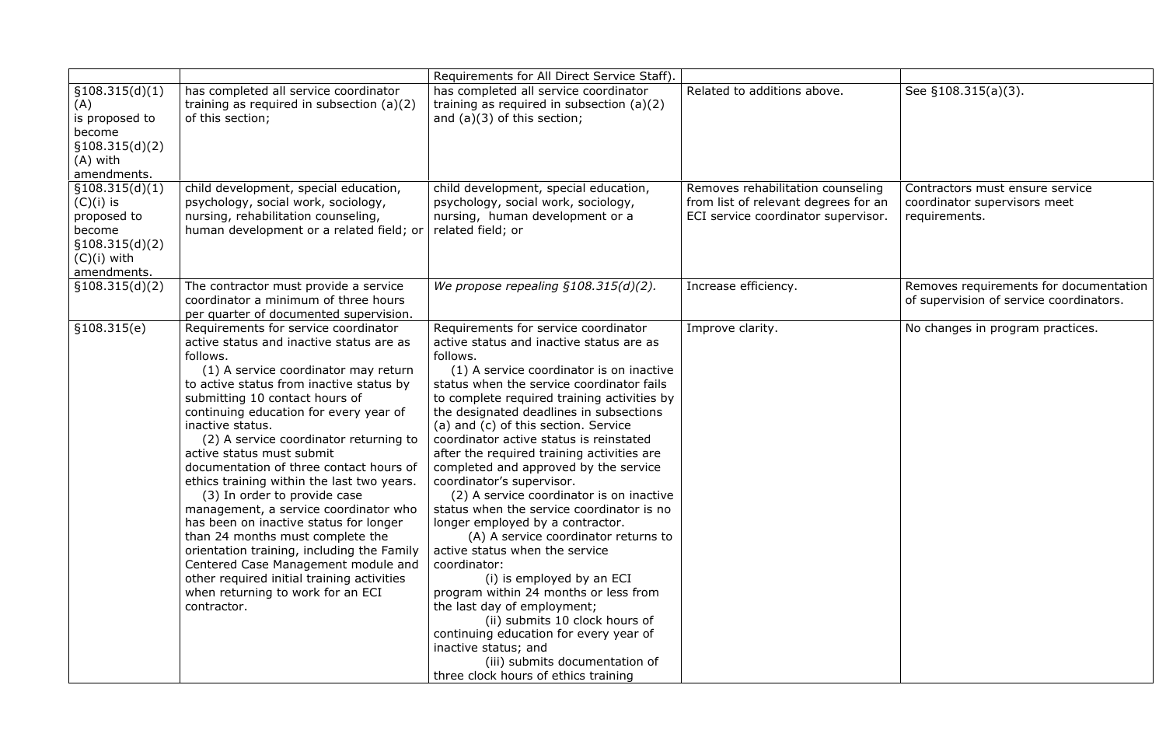| Related to additions above.                                                                                      | See §108.315(a)(3).                                                               |
|------------------------------------------------------------------------------------------------------------------|-----------------------------------------------------------------------------------|
| Removes rehabilitation counseling<br>from list of relevant degrees for an<br>ECI service coordinator supervisor. | Contractors must ensure service<br>coordinator supervisors meet<br>requirements.  |
| Increase efficiency.                                                                                             | Removes requirements for documentation<br>of supervision of service coordinators. |
| Improve clarity.                                                                                                 | No changes in program practices.                                                  |

|                                                                                                            |                                                                                                                                                                                                                                                                                                                                                                                                                                                                                                                                                                                                                                                                                                                                                                                                | Requirements for All Direct Service Staff).                                                                                                                                                                                                                                                                                                                                                                                                                                                                                                                                                                                                                                                                                                                                                                                                                                                                                                                                                      |                                                                                                                  |                                                                                   |
|------------------------------------------------------------------------------------------------------------|------------------------------------------------------------------------------------------------------------------------------------------------------------------------------------------------------------------------------------------------------------------------------------------------------------------------------------------------------------------------------------------------------------------------------------------------------------------------------------------------------------------------------------------------------------------------------------------------------------------------------------------------------------------------------------------------------------------------------------------------------------------------------------------------|--------------------------------------------------------------------------------------------------------------------------------------------------------------------------------------------------------------------------------------------------------------------------------------------------------------------------------------------------------------------------------------------------------------------------------------------------------------------------------------------------------------------------------------------------------------------------------------------------------------------------------------------------------------------------------------------------------------------------------------------------------------------------------------------------------------------------------------------------------------------------------------------------------------------------------------------------------------------------------------------------|------------------------------------------------------------------------------------------------------------------|-----------------------------------------------------------------------------------|
| \$108.315(d)(1)<br>(A)<br>is proposed to<br>become<br>\$108.315(d)(2)<br>$(A)$ with<br>amendments.         | has completed all service coordinator<br>training as required in subsection $(a)(2)$<br>of this section;                                                                                                                                                                                                                                                                                                                                                                                                                                                                                                                                                                                                                                                                                       | has completed all service coordinator<br>training as required in subsection $(a)(2)$<br>and $(a)(3)$ of this section;                                                                                                                                                                                                                                                                                                                                                                                                                                                                                                                                                                                                                                                                                                                                                                                                                                                                            | Related to additions above.                                                                                      | See §108.315(a)(3).                                                               |
| \$108.315(d)(1)<br>$(C)(i)$ is<br>proposed to<br>become<br>\$108.315(d)(2)<br>$(C)(i)$ with<br>amendments. | child development, special education,<br>psychology, social work, sociology,<br>nursing, rehabilitation counseling,<br>human development or a related field; or                                                                                                                                                                                                                                                                                                                                                                                                                                                                                                                                                                                                                                | child development, special education,<br>psychology, social work, sociology,<br>nursing, human development or a<br>related field; or                                                                                                                                                                                                                                                                                                                                                                                                                                                                                                                                                                                                                                                                                                                                                                                                                                                             | Removes rehabilitation counseling<br>from list of relevant degrees for an<br>ECI service coordinator supervisor. | Contractors must ensure service<br>coordinator supervisors meet<br>requirements.  |
| \$108.315(d)(2)                                                                                            | The contractor must provide a service<br>coordinator a minimum of three hours<br>per quarter of documented supervision.                                                                                                                                                                                                                                                                                                                                                                                                                                                                                                                                                                                                                                                                        | We propose repealing $$108.315(d)(2)$ .                                                                                                                                                                                                                                                                                                                                                                                                                                                                                                                                                                                                                                                                                                                                                                                                                                                                                                                                                          | Increase efficiency.                                                                                             | Removes requirements for documentation<br>of supervision of service coordinators. |
| \$108.315(e)                                                                                               | Requirements for service coordinator<br>active status and inactive status are as<br>follows.<br>(1) A service coordinator may return<br>to active status from inactive status by<br>submitting 10 contact hours of<br>continuing education for every year of<br>inactive status.<br>(2) A service coordinator returning to<br>active status must submit<br>documentation of three contact hours of<br>ethics training within the last two years.<br>(3) In order to provide case<br>management, a service coordinator who<br>has been on inactive status for longer<br>than 24 months must complete the<br>orientation training, including the Family<br>Centered Case Management module and<br>other required initial training activities<br>when returning to work for an ECI<br>contractor. | Requirements for service coordinator<br>active status and inactive status are as<br>follows.<br>(1) A service coordinator is on inactive<br>status when the service coordinator fails<br>to complete required training activities by<br>the designated deadlines in subsections<br>(a) and (c) of this section. Service<br>coordinator active status is reinstated<br>after the required training activities are<br>completed and approved by the service<br>coordinator's supervisor.<br>(2) A service coordinator is on inactive<br>status when the service coordinator is no<br>longer employed by a contractor.<br>(A) A service coordinator returns to<br>active status when the service<br>coordinator:<br>(i) is employed by an ECI<br>program within 24 months or less from<br>the last day of employment;<br>(ii) submits 10 clock hours of<br>continuing education for every year of<br>inactive status; and<br>(iii) submits documentation of<br>three clock hours of ethics training | Improve clarity.                                                                                                 | No changes in program practices.                                                  |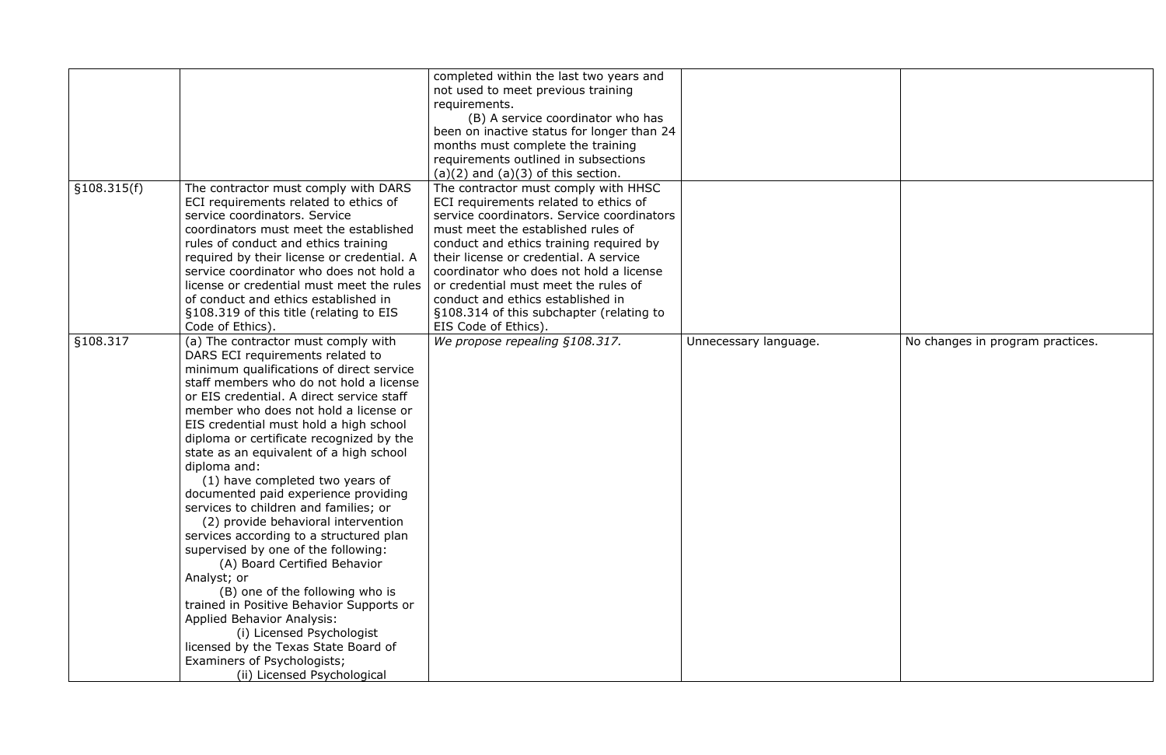|              |                                            | completed within the last two years and    |                       |                                  |
|--------------|--------------------------------------------|--------------------------------------------|-----------------------|----------------------------------|
|              |                                            | not used to meet previous training         |                       |                                  |
|              |                                            | requirements.                              |                       |                                  |
|              |                                            | (B) A service coordinator who has          |                       |                                  |
|              |                                            | been on inactive status for longer than 24 |                       |                                  |
|              |                                            | months must complete the training          |                       |                                  |
|              |                                            | requirements outlined in subsections       |                       |                                  |
|              |                                            | $(a)(2)$ and $(a)(3)$ of this section.     |                       |                                  |
| \$108.315(f) | The contractor must comply with DARS       | The contractor must comply with HHSC       |                       |                                  |
|              | ECI requirements related to ethics of      | ECI requirements related to ethics of      |                       |                                  |
|              | service coordinators. Service              | service coordinators. Service coordinators |                       |                                  |
|              | coordinators must meet the established     | must meet the established rules of         |                       |                                  |
|              | rules of conduct and ethics training       | conduct and ethics training required by    |                       |                                  |
|              | required by their license or credential. A | their license or credential. A service     |                       |                                  |
|              | service coordinator who does not hold a    | coordinator who does not hold a license    |                       |                                  |
|              | license or credential must meet the rules  | or credential must meet the rules of       |                       |                                  |
|              | of conduct and ethics established in       | conduct and ethics established in          |                       |                                  |
|              | §108.319 of this title (relating to EIS    | §108.314 of this subchapter (relating to   |                       |                                  |
|              | Code of Ethics).                           | EIS Code of Ethics).                       |                       |                                  |
| §108.317     | (a) The contractor must comply with        | We propose repealing §108.317.             | Unnecessary language. | No changes in program practices. |
|              | DARS ECI requirements related to           |                                            |                       |                                  |
|              | minimum qualifications of direct service   |                                            |                       |                                  |
|              | staff members who do not hold a license    |                                            |                       |                                  |
|              | or EIS credential. A direct service staff  |                                            |                       |                                  |
|              | member who does not hold a license or      |                                            |                       |                                  |
|              | EIS credential must hold a high school     |                                            |                       |                                  |
|              | diploma or certificate recognized by the   |                                            |                       |                                  |
|              | state as an equivalent of a high school    |                                            |                       |                                  |
|              | diploma and:                               |                                            |                       |                                  |
|              | (1) have completed two years of            |                                            |                       |                                  |
|              | documented paid experience providing       |                                            |                       |                                  |
|              | services to children and families; or      |                                            |                       |                                  |
|              | (2) provide behavioral intervention        |                                            |                       |                                  |
|              | services according to a structured plan    |                                            |                       |                                  |
|              | supervised by one of the following:        |                                            |                       |                                  |
|              | (A) Board Certified Behavior               |                                            |                       |                                  |
|              | Analyst; or                                |                                            |                       |                                  |
|              | (B) one of the following who is            |                                            |                       |                                  |
|              | trained in Positive Behavior Supports or   |                                            |                       |                                  |
|              | <b>Applied Behavior Analysis:</b>          |                                            |                       |                                  |
|              | (i) Licensed Psychologist                  |                                            |                       |                                  |
|              | licensed by the Texas State Board of       |                                            |                       |                                  |
|              | Examiners of Psychologists;                |                                            |                       |                                  |
|              | (ii) Licensed Psychological                |                                            |                       |                                  |
|              |                                            |                                            |                       |                                  |

| No changes in program practices. |
|----------------------------------|
|                                  |
|                                  |
|                                  |
|                                  |
|                                  |
|                                  |
|                                  |
|                                  |
|                                  |
|                                  |
|                                  |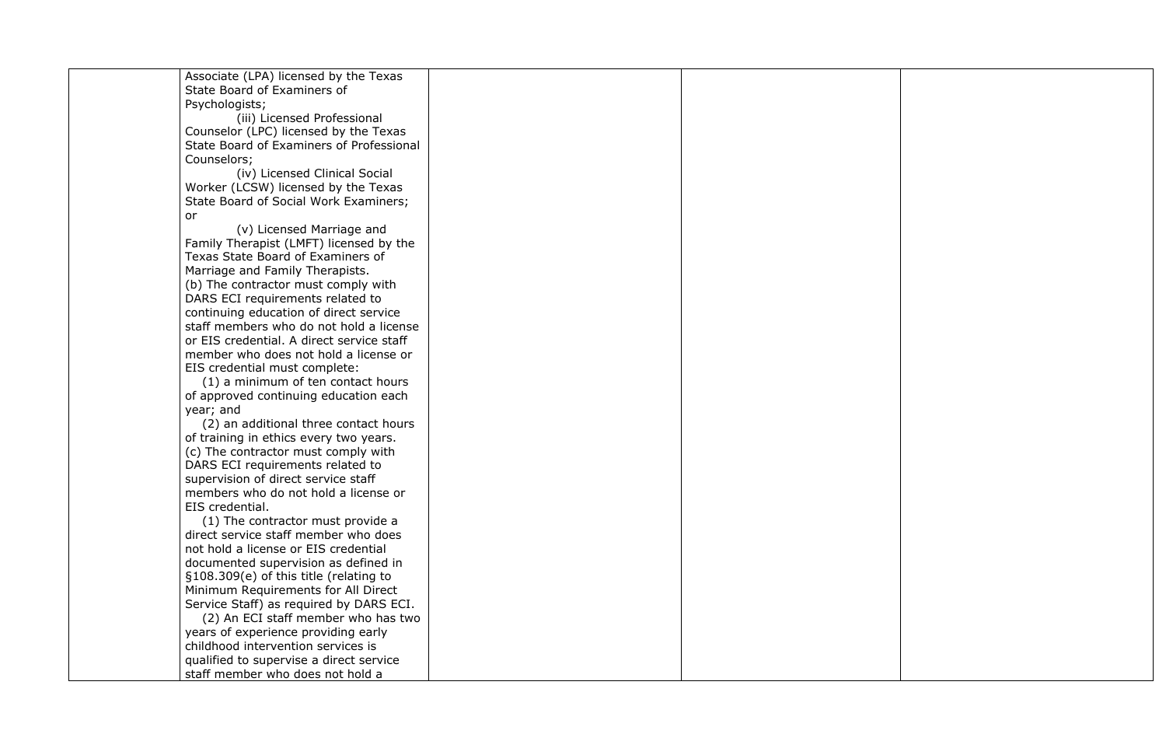Associate (LPA) licensed by the Texas State Board of Examiners of Psychologists;

(iii) Licensed Professional Counselor (LPC) licensed by the Texas State Board of Examiners of Professional Counselors;

(iv) Licensed Clinical Social Worker (LCSW) licensed by the Texas State Board of Social Work Examiners; or

(v) Licensed Marriage and Family Therapist (LMFT) licensed by the Texas State Board of Examiners of Marriage and Family Therapists. (b) The contractor must comply with DARS ECI requirements related to continuing education of direct service staff members who do not hold a license or EIS credential. A direct service staff member who does not hold a license or EIS credential must complete:

(1) a minimum of ten contact hours of approved continuing education each year; and

(2) an additional three contact hours of training in ethics every two years. (c) The contractor must comply with DARS ECI requirements related to supervision of direct service staff members who do not hold a license or EIS credential.

(1) The contractor must provide a direct service staff member who does not hold a license or EIS credential documented supervision as defined in §108.309(e) of this title (relating to Minimum Requirements for All Direct Service Staff) as required by DARS ECI.

(2) An ECI staff member who has two years of experience providing early childhood intervention services is qualified to supervise a direct service staff member who does not hold a

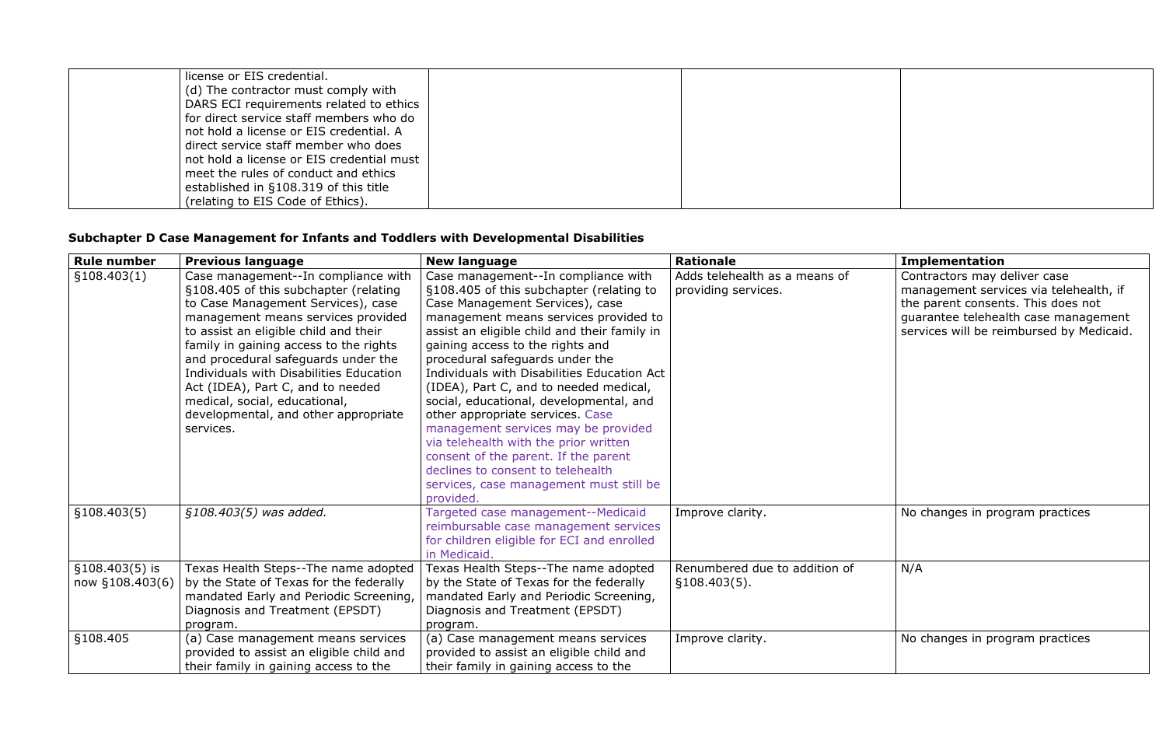| license or EIS credential.                |  |  |
|-------------------------------------------|--|--|
| (d) The contractor must comply with       |  |  |
| DARS ECI requirements related to ethics   |  |  |
| for direct service staff members who do   |  |  |
| not hold a license or EIS credential. A   |  |  |
| direct service staff member who does      |  |  |
| not hold a license or EIS credential must |  |  |
| meet the rules of conduct and ethics      |  |  |
| established in §108.319 of this title     |  |  |
| (relating to EIS Code of Ethics).         |  |  |

# **Subchapter D Case Management for Infants and Toddlers with Developmental Disabilities**

| <b>Rule number</b>                  | <b>Previous language</b>                                                                                                                                                                                                                                                                                                                                                                                                                                 | <b>New language</b>                                                                                                                                                                                                                                                                                                                                                                                                                                                                                                                                                                                                                                                             | <b>Rationale</b>                                     | <b>Implementation</b>                                                                                                                                                                            |
|-------------------------------------|----------------------------------------------------------------------------------------------------------------------------------------------------------------------------------------------------------------------------------------------------------------------------------------------------------------------------------------------------------------------------------------------------------------------------------------------------------|---------------------------------------------------------------------------------------------------------------------------------------------------------------------------------------------------------------------------------------------------------------------------------------------------------------------------------------------------------------------------------------------------------------------------------------------------------------------------------------------------------------------------------------------------------------------------------------------------------------------------------------------------------------------------------|------------------------------------------------------|--------------------------------------------------------------------------------------------------------------------------------------------------------------------------------------------------|
| §108.403(1)                         | Case management--In compliance with<br>§108.405 of this subchapter (relating<br>to Case Management Services), case<br>management means services provided<br>to assist an eligible child and their<br>family in gaining access to the rights<br>and procedural safeguards under the<br>Individuals with Disabilities Education<br>Act (IDEA), Part C, and to needed<br>medical, social, educational,<br>developmental, and other appropriate<br>services. | Case management--In compliance with<br>§108.405 of this subchapter (relating to<br>Case Management Services), case<br>management means services provided to<br>assist an eligible child and their family in<br>gaining access to the rights and<br>procedural safeguards under the<br>Individuals with Disabilities Education Act<br>(IDEA), Part C, and to needed medical,<br>social, educational, developmental, and<br>other appropriate services. Case<br>management services may be provided<br>via telehealth with the prior written<br>consent of the parent. If the parent<br>declines to consent to telehealth<br>services, case management must still be<br>provided. | Adds telehealth as a means of<br>providing services. | Contractors may deliver case<br>management services via telehealth, if<br>the parent consents. This does not<br>guarantee telehealth case management<br>services will be reimbursed by Medicaid. |
| \$108.403(5)                        | §108.403(5) was added.                                                                                                                                                                                                                                                                                                                                                                                                                                   | Targeted case management--Medicaid<br>reimbursable case management services<br>for children eligible for ECI and enrolled<br>in Medicaid.                                                                                                                                                                                                                                                                                                                                                                                                                                                                                                                                       | Improve clarity.                                     | No changes in program practices                                                                                                                                                                  |
| $$108.403(5)$ is<br>now §108.403(6) | Texas Health Steps--The name adopted<br>by the State of Texas for the federally<br>mandated Early and Periodic Screening,<br>Diagnosis and Treatment (EPSDT)<br>program.                                                                                                                                                                                                                                                                                 | Texas Health Steps--The name adopted<br>by the State of Texas for the federally<br>mandated Early and Periodic Screening,<br>Diagnosis and Treatment (EPSDT)<br>program.                                                                                                                                                                                                                                                                                                                                                                                                                                                                                                        | Renumbered due to addition of<br>§108.403(5).        | N/A                                                                                                                                                                                              |
| §108.405                            | (a) Case management means services<br>provided to assist an eligible child and<br>their family in gaining access to the                                                                                                                                                                                                                                                                                                                                  | (a) Case management means services<br>provided to assist an eligible child and<br>their family in gaining access to the                                                                                                                                                                                                                                                                                                                                                                                                                                                                                                                                                         | Improve clarity.                                     | No changes in program practices                                                                                                                                                                  |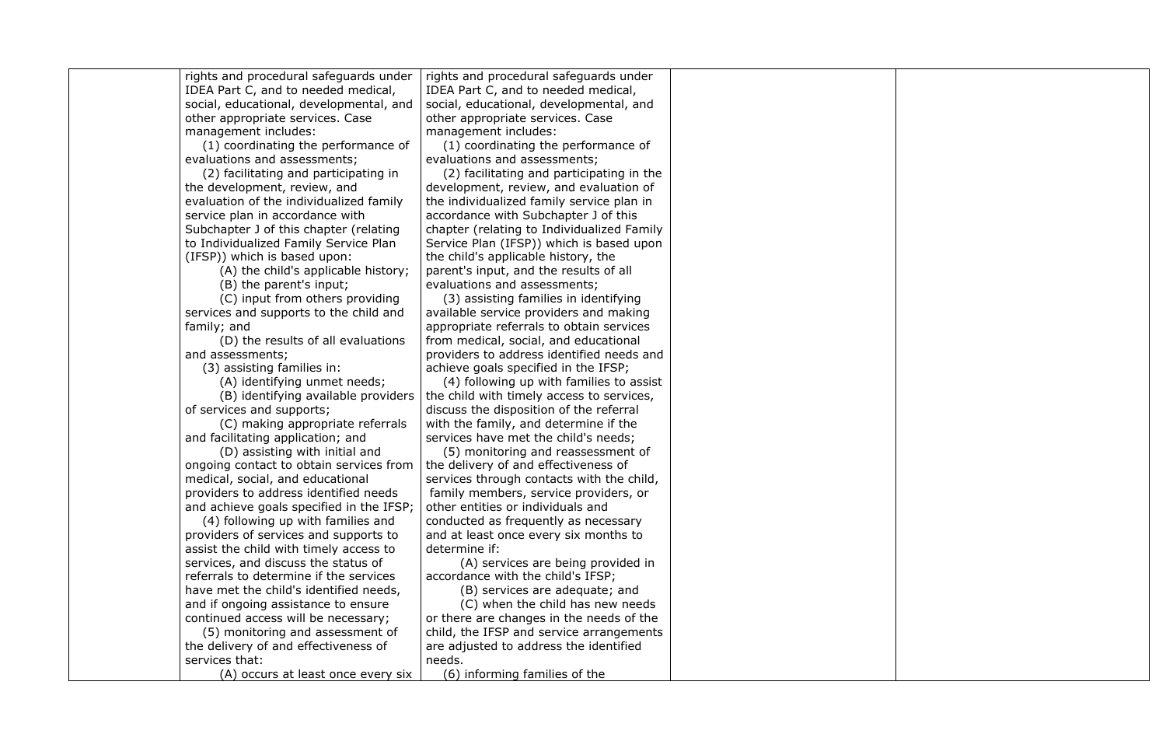rights and procedural safeguards under IDEA Part C, and to needed medical, social, educational, developmental, and other appropriate services. Case management includes:

(1) coordinating the performance of evaluations and assessments;

(2) facilitating and participating in the development, review, and evaluation of the individualized family service plan in accordance with Subchapter J of this chapter (relating to Individualized Family Service Plan (IFSP)) which is based upon:

(A) the child's applicable history;

(B) the parent's input;

(C) input from others providing services and supports to the child and family; and

(D) the results of all evaluations and assessments;

(3) assisting families in:

(A) identifying unmet needs;

(B) identifying available providers of services and supports;

(C) making appropriate referrals and facilitating application; and

(D) assisting with initial and ongoing contact to obtain services from medical, social, and educational providers to address identified needs and achieve goals specified in the IFSP;

(4) following up with families and providers of services and supports to assist the child with timely access to services, and discuss the status of referrals to determine if the services have met the child's identified needs, and if ongoing assistance to ensure continued access will be necessary;

(5) monitoring and assessment of the delivery of and effectiveness of services that:

rights and procedural safeguards under IDEA Part C, and to needed medical, social, educational, developmental, and other appropriate services. Case management includes:

(1) coordinating the performance of evaluations and assessments;

(2) facilitating and participating in the development, review, and evaluation of the individualized family service plan in accordance with Subchapter J of this chapter (relating to Individualized Family Service Plan (IFSP)) which is based upon the child's applicable history, the parent's input, and the results of all evaluations and assessments;

(3) assisting families in identifying available service providers and making appropriate referrals to obtain services from medical, social, and educational providers to address identified needs and achieve goals specified in the IFSP;

(A) occurs at least once every six (6) informing families of the



(4) following up with families to assist the child with timely access to services, discuss the disposition of the referral with the family, and determine if the services have met the child's needs;

(5) monitoring and reassessment of the delivery of and effectiveness of services through contacts with the child, family members, service providers, or other entities or individuals and conducted as frequently as necessary and at least once every six months to determine if:

(A) services are being provided in accordance with the child's IFSP;

(B) services are adequate; and

(C) when the child has new needs or there are changes in the needs of the child, the IFSP and service arrangements are adjusted to address the identified needs.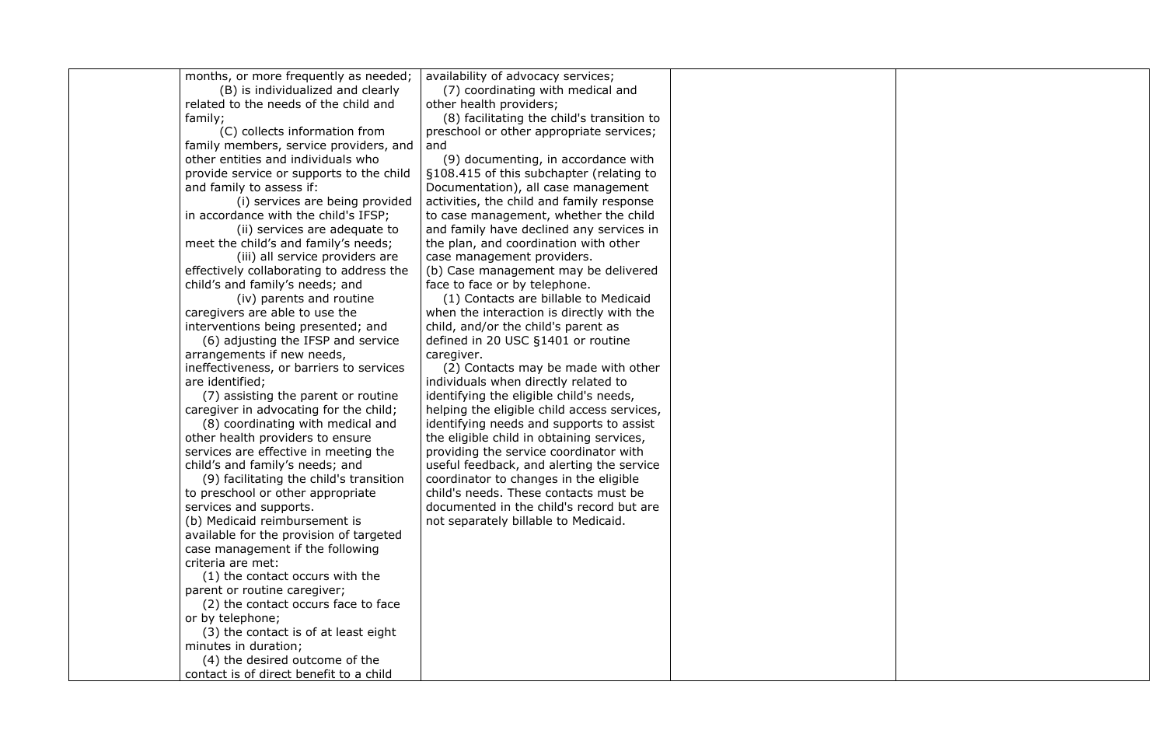| months, or more frequently as needed;    | availability of advocacy services;          |  |
|------------------------------------------|---------------------------------------------|--|
| (B) is individualized and clearly        | (7) coordinating with medical and           |  |
| related to the needs of the child and    | other health providers;                     |  |
| family;                                  | (8) facilitating the child's transition to  |  |
| (C) collects information from            | preschool or other appropriate services;    |  |
| family members, service providers, and   | and                                         |  |
| other entities and individuals who       | (9) documenting, in accordance with         |  |
| provide service or supports to the child | §108.415 of this subchapter (relating to    |  |
| and family to assess if:                 | Documentation), all case management         |  |
| (i) services are being provided          | activities, the child and family response   |  |
| in accordance with the child's IFSP;     |                                             |  |
|                                          | to case management, whether the child       |  |
| (ii) services are adequate to            | and family have declined any services in    |  |
| meet the child's and family's needs;     | the plan, and coordination with other       |  |
| (iii) all service providers are          | case management providers.                  |  |
| effectively collaborating to address the | (b) Case management may be delivered        |  |
| child's and family's needs; and          | face to face or by telephone.               |  |
| (iv) parents and routine                 | (1) Contacts are billable to Medicaid       |  |
| caregivers are able to use the           | when the interaction is directly with the   |  |
| interventions being presented; and       | child, and/or the child's parent as         |  |
| (6) adjusting the IFSP and service       | defined in 20 USC §1401 or routine          |  |
| arrangements if new needs,               | caregiver.                                  |  |
| ineffectiveness, or barriers to services | (2) Contacts may be made with other         |  |
| are identified;                          | individuals when directly related to        |  |
| (7) assisting the parent or routine      | identifying the eligible child's needs,     |  |
| caregiver in advocating for the child;   | helping the eligible child access services, |  |
| (8) coordinating with medical and        | identifying needs and supports to assist    |  |
| other health providers to ensure         | the eligible child in obtaining services,   |  |
| services are effective in meeting the    | providing the service coordinator with      |  |
| child's and family's needs; and          | useful feedback, and alerting the service   |  |
| (9) facilitating the child's transition  | coordinator to changes in the eligible      |  |
| to preschool or other appropriate        | child's needs. These contacts must be       |  |
| services and supports.                   | documented in the child's record but are    |  |
| (b) Medicaid reimbursement is            | not separately billable to Medicaid.        |  |
| available for the provision of targeted  |                                             |  |
| case management if the following         |                                             |  |
| criteria are met:                        |                                             |  |
| (1) the contact occurs with the          |                                             |  |
| parent or routine caregiver;             |                                             |  |
| (2) the contact occurs face to face      |                                             |  |
| or by telephone;                         |                                             |  |
| (3) the contact is of at least eight     |                                             |  |
| minutes in duration;                     |                                             |  |
| (4) the desired outcome of the           |                                             |  |
| contact is of direct benefit to a child  |                                             |  |
|                                          |                                             |  |

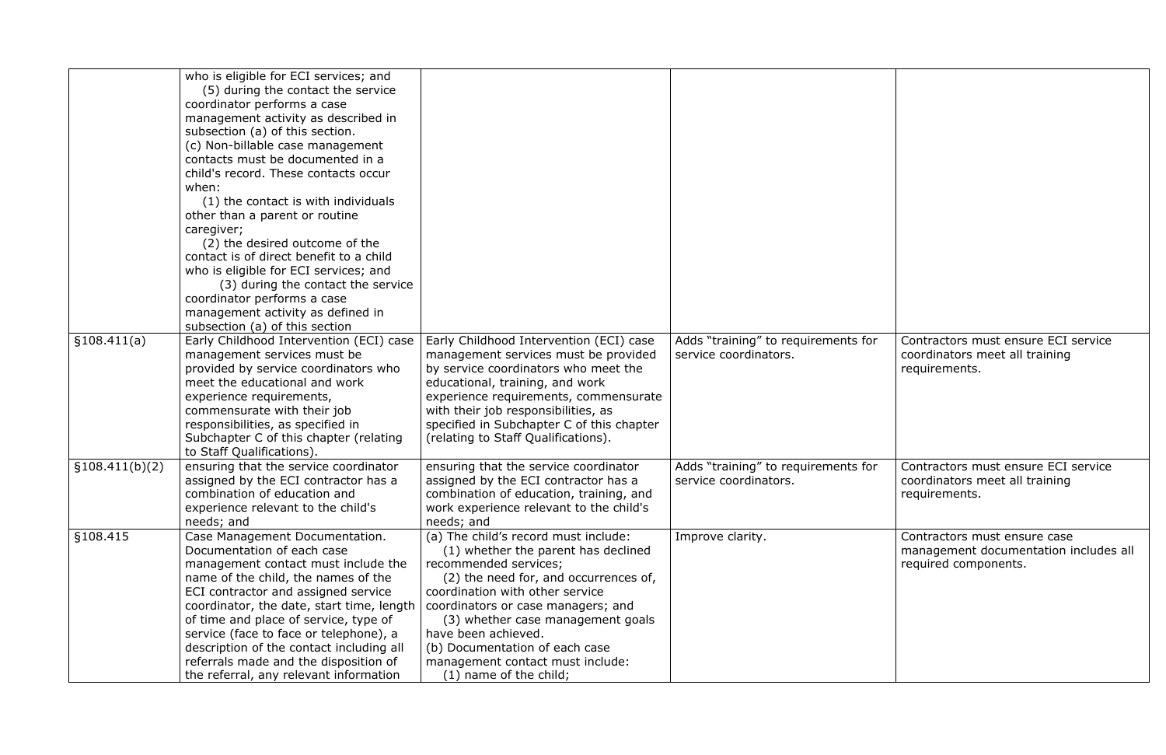|                 | who is eligible for ECI services; and<br>(5) during the contact the service<br>coordinator performs a case<br>management activity as described in<br>subsection (a) of this section.<br>(c) Non-billable case management<br>contacts must be documented in a<br>child's record. These contacts occur<br>when:<br>(1) the contact is with individuals<br>other than a parent or routine<br>caregiver;<br>(2) the desired outcome of the<br>contact is of direct benefit to a child<br>who is eligible for ECI services; and<br>(3) during the contact the service<br>coordinator performs a case<br>management activity as defined in<br>subsection (a) of this section |                                                                                                                                                                                                                                                                                                                                                                                    |                                                              |                                                  |
|-----------------|------------------------------------------------------------------------------------------------------------------------------------------------------------------------------------------------------------------------------------------------------------------------------------------------------------------------------------------------------------------------------------------------------------------------------------------------------------------------------------------------------------------------------------------------------------------------------------------------------------------------------------------------------------------------|------------------------------------------------------------------------------------------------------------------------------------------------------------------------------------------------------------------------------------------------------------------------------------------------------------------------------------------------------------------------------------|--------------------------------------------------------------|--------------------------------------------------|
| §108.411(a)     | Early Childhood Intervention (ECI) case<br>management services must be<br>provided by service coordinators who<br>meet the educational and work<br>experience requirements,<br>commensurate with their job<br>responsibilities, as specified in<br>Subchapter C of this chapter (relating<br>to Staff Qualifications).                                                                                                                                                                                                                                                                                                                                                 | Early Childhood Intervention (ECI) case<br>management services must be provided<br>by service coordinators who meet the<br>educational, training, and work<br>experience requirements, commensurate<br>with their job responsibilities, as<br>specified in Subchapter C of this chapter<br>(relating to Staff Qualifications).                                                     | Adds "training" to requirements for<br>service coordinators. | Contractors m<br>coordinators r<br>requirements. |
| \$108.411(b)(2) | ensuring that the service coordinator<br>assigned by the ECI contractor has a<br>combination of education and<br>experience relevant to the child's<br>needs; and                                                                                                                                                                                                                                                                                                                                                                                                                                                                                                      | ensuring that the service coordinator<br>assigned by the ECI contractor has a<br>combination of education, training, and<br>work experience relevant to the child's<br>needs; and                                                                                                                                                                                                  | Adds "training" to requirements for<br>service coordinators. | Contractors m<br>coordinators r<br>requirements. |
| §108.415        | Case Management Documentation.<br>Documentation of each case<br>management contact must include the<br>name of the child, the names of the<br>ECI contractor and assigned service<br>coordinator, the date, start time, length<br>of time and place of service, type of<br>service (face to face or telephone), a<br>description of the contact including all<br>referrals made and the disposition of<br>the referral, any relevant information                                                                                                                                                                                                                       | (a) The child's record must include:<br>(1) whether the parent has declined<br>recommended services;<br>(2) the need for, and occurrences of,<br>coordination with other service<br>coordinators or case managers; and<br>(3) whether case management goals<br>have been achieved.<br>(b) Documentation of each case<br>management contact must include:<br>(1) name of the child; | Improve clarity.                                             | Contractors m<br>management<br>required comp     |

| for | Contractors must ensure ECI service<br>coordinators meet all training<br>requirements.        |
|-----|-----------------------------------------------------------------------------------------------|
| for | Contractors must ensure ECI service<br>coordinators meet all training<br>requirements.        |
|     | Contractors must ensure case<br>management documentation includes all<br>required components. |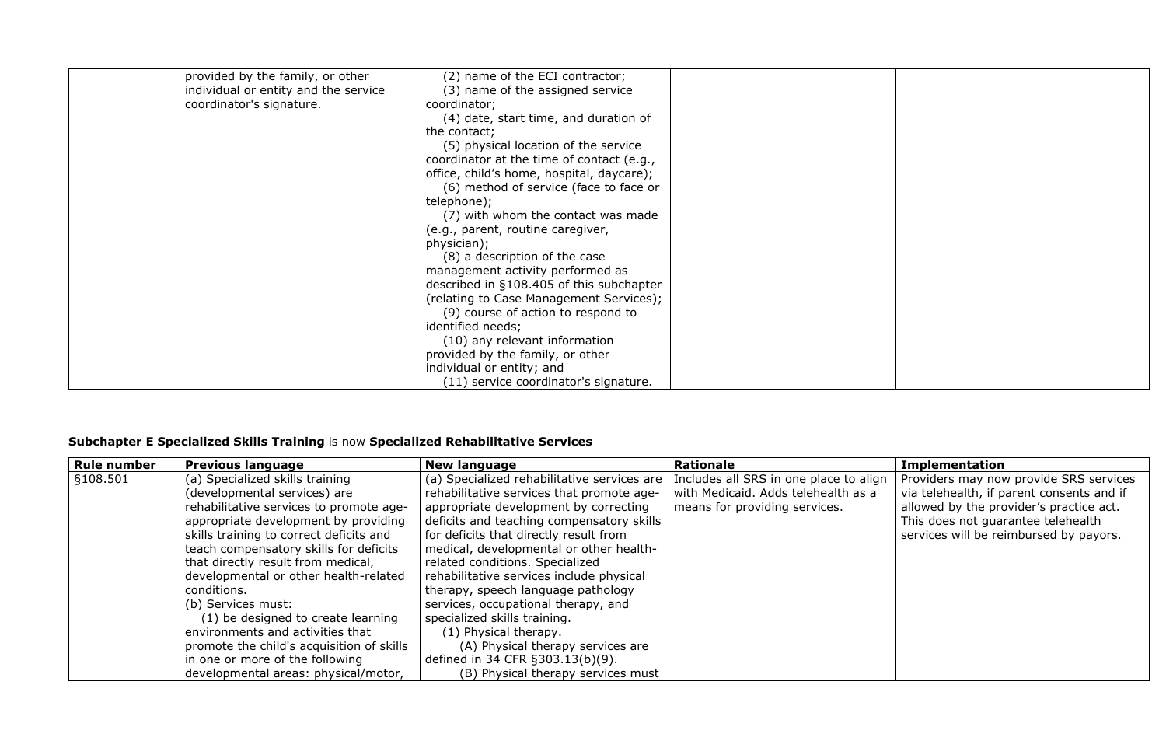| provided by the family, or other     | (2) name of the ECI contractor;           |  |
|--------------------------------------|-------------------------------------------|--|
| individual or entity and the service | (3) name of the assigned service          |  |
| coordinator's signature.             | coordinator;                              |  |
|                                      | (4) date, start time, and duration of     |  |
|                                      | the contact;                              |  |
|                                      | (5) physical location of the service      |  |
|                                      | coordinator at the time of contact (e.g., |  |
|                                      | office, child's home, hospital, daycare); |  |
|                                      | (6) method of service (face to face or    |  |
|                                      | telephone);                               |  |
|                                      | (7) with whom the contact was made        |  |
|                                      | (e.g., parent, routine caregiver,         |  |
|                                      | physician);                               |  |
|                                      | (8) a description of the case             |  |
|                                      | management activity performed as          |  |
|                                      | described in §108.405 of this subchapter  |  |
|                                      | (relating to Case Management Services);   |  |
|                                      | (9) course of action to respond to        |  |
|                                      | identified needs;                         |  |
|                                      | (10) any relevant information             |  |
|                                      | provided by the family, or other          |  |
|                                      | individual or entity; and                 |  |
|                                      | (11) service coordinator's signature.     |  |

# **Subchapter E Specialized Skills Training** is now **Specialized Rehabilitative Services**

| Rule number          | <b>Previous language</b>                  | <b>New language</b>                         | Rationale                              | <b>Implementation</b>                     |
|----------------------|-------------------------------------------|---------------------------------------------|----------------------------------------|-------------------------------------------|
| $\frac{5108.501}{5}$ | (a) Specialized skills training           | (a) Specialized rehabilitative services are | Includes all SRS in one place to align | Providers may now provide SRS services    |
|                      | (developmental services) are              | rehabilitative services that promote age-   | with Medicaid. Adds telehealth as a    | via telehealth, if parent consents and if |
|                      | rehabilitative services to promote age-   | appropriate development by correcting       | means for providing services.          | allowed by the provider's practice act.   |
|                      | appropriate development by providing      | deficits and teaching compensatory skills   |                                        | This does not guarantee telehealth        |
|                      | skills training to correct deficits and   | for deficits that directly result from      |                                        | services will be reimbursed by payors.    |
|                      | teach compensatory skills for deficits    | medical, developmental or other health-     |                                        |                                           |
|                      | that directly result from medical,        | related conditions. Specialized             |                                        |                                           |
|                      | developmental or other health-related     | rehabilitative services include physical    |                                        |                                           |
|                      | conditions.                               | therapy, speech language pathology          |                                        |                                           |
|                      | (b) Services must:                        | services, occupational therapy, and         |                                        |                                           |
|                      | (1) be designed to create learning        | specialized skills training.                |                                        |                                           |
|                      | environments and activities that          | (1) Physical therapy.                       |                                        |                                           |
|                      | promote the child's acquisition of skills | (A) Physical therapy services are           |                                        |                                           |
|                      | in one or more of the following           | defined in 34 CFR §303.13(b)(9).            |                                        |                                           |
|                      | developmental areas: physical/motor,      | (B) Physical therapy services must          |                                        |                                           |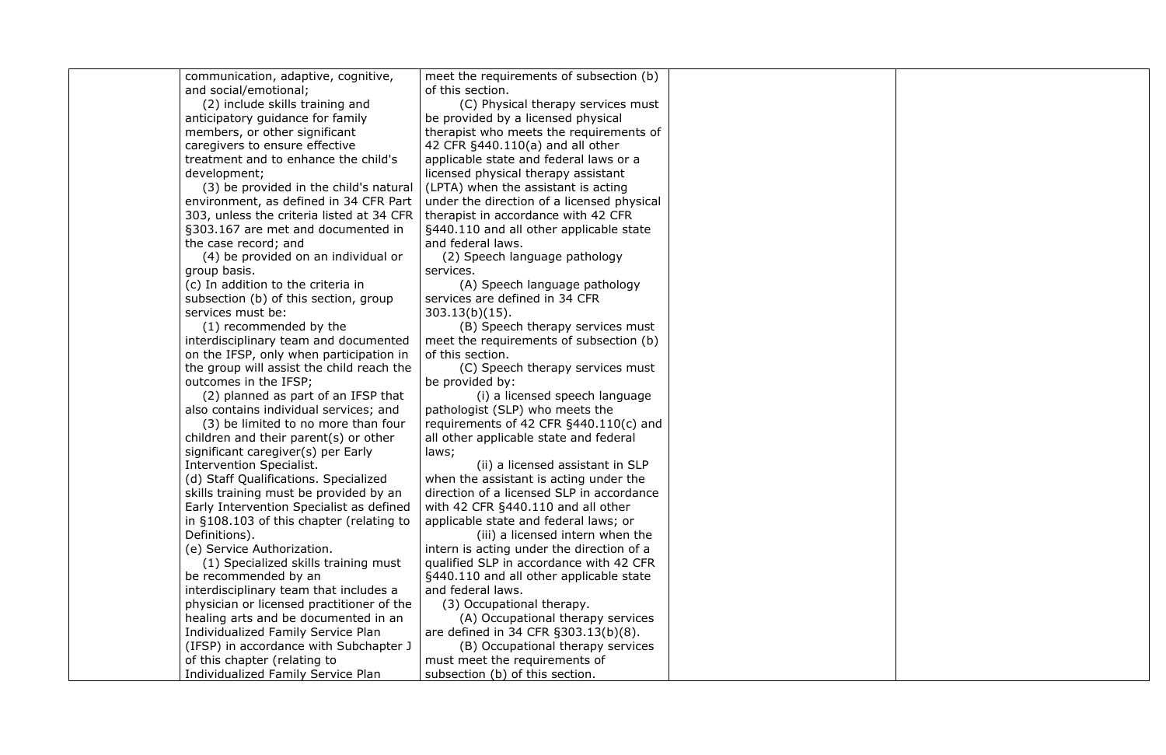| communication, adaptive, cognitive,       | meet the requirements of subsection (b)    |  |
|-------------------------------------------|--------------------------------------------|--|
| and social/emotional;                     | of this section.                           |  |
| (2) include skills training and           | (C) Physical therapy services must         |  |
| anticipatory guidance for family          | be provided by a licensed physical         |  |
| members, or other significant             | therapist who meets the requirements of    |  |
| caregivers to ensure effective            | 42 CFR §440.110(a) and all other           |  |
| treatment and to enhance the child's      | applicable state and federal laws or a     |  |
| development;                              | licensed physical therapy assistant        |  |
| (3) be provided in the child's natural    | (LPTA) when the assistant is acting        |  |
| environment, as defined in 34 CFR Part    | under the direction of a licensed physical |  |
| 303, unless the criteria listed at 34 CFR | therapist in accordance with 42 CFR        |  |
| §303.167 are met and documented in        | §440.110 and all other applicable state    |  |
| the case record; and                      | and federal laws.                          |  |
| (4) be provided on an individual or       | (2) Speech language pathology              |  |
| group basis.                              | services.                                  |  |
| (c) In addition to the criteria in        | (A) Speech language pathology              |  |
| subsection (b) of this section, group     | services are defined in 34 CFR             |  |
| services must be:                         | $303.13(b)(15)$ .                          |  |
| (1) recommended by the                    | (B) Speech therapy services must           |  |
| interdisciplinary team and documented     | meet the requirements of subsection (b)    |  |
| on the IFSP, only when participation in   | of this section.                           |  |
| the group will assist the child reach the | (C) Speech therapy services must           |  |
| outcomes in the IFSP;                     | be provided by:                            |  |
| (2) planned as part of an IFSP that       | (i) a licensed speech language             |  |
| also contains individual services; and    | pathologist (SLP) who meets the            |  |
| (3) be limited to no more than four       | requirements of 42 CFR §440.110(c) and     |  |
| children and their parent(s) or other     | all other applicable state and federal     |  |
| significant caregiver(s) per Early        | laws;                                      |  |
| Intervention Specialist.                  | (ii) a licensed assistant in SLP           |  |
| (d) Staff Qualifications. Specialized     | when the assistant is acting under the     |  |
| skills training must be provided by an    | direction of a licensed SLP in accordance  |  |
| Early Intervention Specialist as defined  | with 42 CFR §440.110 and all other         |  |
| in §108.103 of this chapter (relating to  | applicable state and federal laws; or      |  |
| Definitions).                             | (iii) a licensed intern when the           |  |
| (e) Service Authorization.                | intern is acting under the direction of a  |  |
| (1) Specialized skills training must      | qualified SLP in accordance with 42 CFR    |  |
| be recommended by an                      | §440.110 and all other applicable state    |  |
| interdisciplinary team that includes a    | and federal laws.                          |  |
| physician or licensed practitioner of the | (3) Occupational therapy.                  |  |
| healing arts and be documented in an      | (A) Occupational therapy services          |  |
| Individualized Family Service Plan        | are defined in 34 CFR §303.13(b)(8).       |  |
| (IFSP) in accordance with Subchapter J    | (B) Occupational therapy services          |  |
| of this chapter (relating to              | must meet the requirements of              |  |
| Individualized Family Service Plan        | subsection (b) of this section.            |  |

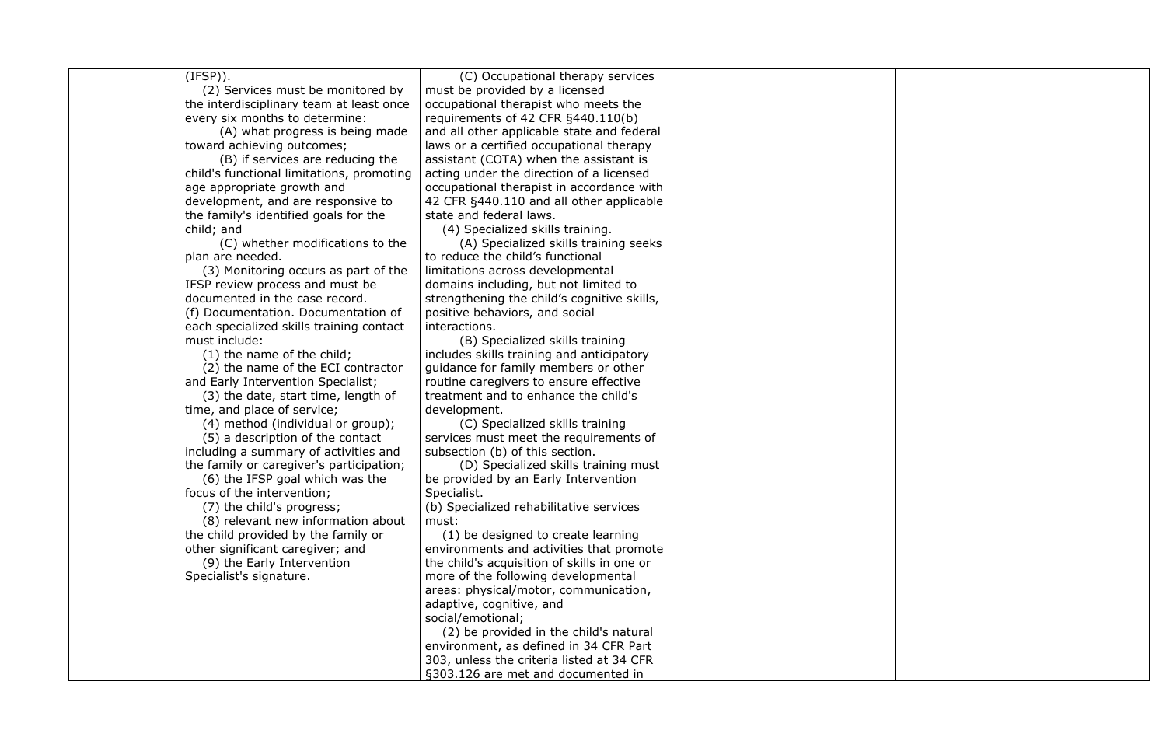(IFSP)).

(2) Services must be monitored by the interdisciplinary team at least once every six months to determine:

(A) what progress is being made toward achieving outcomes;

(B) if services are reducing the child's functional limitations, promoting age appropriate growth and development, and are responsive to the family's identified goals for the child; and

(C) whether modifications to the plan are needed.

(3) Monitoring occurs as part of the IFSP review process and must be documented in the case record.

(f) Documentation. Documentation of each specialized skills training contact must include:

(1) the name of the child;

(2) the name of the ECI contractor and Early Intervention Specialist;

(3) the date, start time, length of time, and place of service;

(4) method (individual or group);

(5) a description of the contact including a summary of activities and the family or caregiver's participation;

(6) the IFSP goal which was the focus of the intervention;

(7) the child's progress;

(8) relevant new information about the child provided by the family or other significant caregiver; and

(9) the Early Intervention

Specialist's signature.

(C) Occupational therapy services must be provided by a licensed occupational therapist who meets the requirements of 42 CFR §440.110(b) and all other applicable state and federal laws or a certified occupational therapy assistant (COTA) when the assistant is acting under the direction of a licensed occupational therapist in accordance with 42 CFR §440.110 and all other applicable state and federal laws.

(4) Specialized skills training.

(A) Specialized skills training seeks to reduce the child's functional limitations across developmental domains including, but not limited to strengthening the child's cognitive skills, positive behaviors, and social interactions.

(B) Specialized skills training includes skills training and anticipatory guidance for family members or other routine caregivers to ensure effective treatment and to enhance the child's development.

(C) Specialized skills training services must meet the requirements of subsection (b) of this section.

(D) Specialized skills training must be provided by an Early Intervention Specialist.

(b) Specialized rehabilitative services must:

(1) be designed to create learning environments and activities that promote the child's acquisition of skills in one or more of the following developmental areas: physical/motor, communication, adaptive, cognitive, and social/emotional;

(2) be provided in the child's natural environment, as defined in 34 CFR Part 303, unless the criteria listed at 34 CFR §303.126 are met and documented in

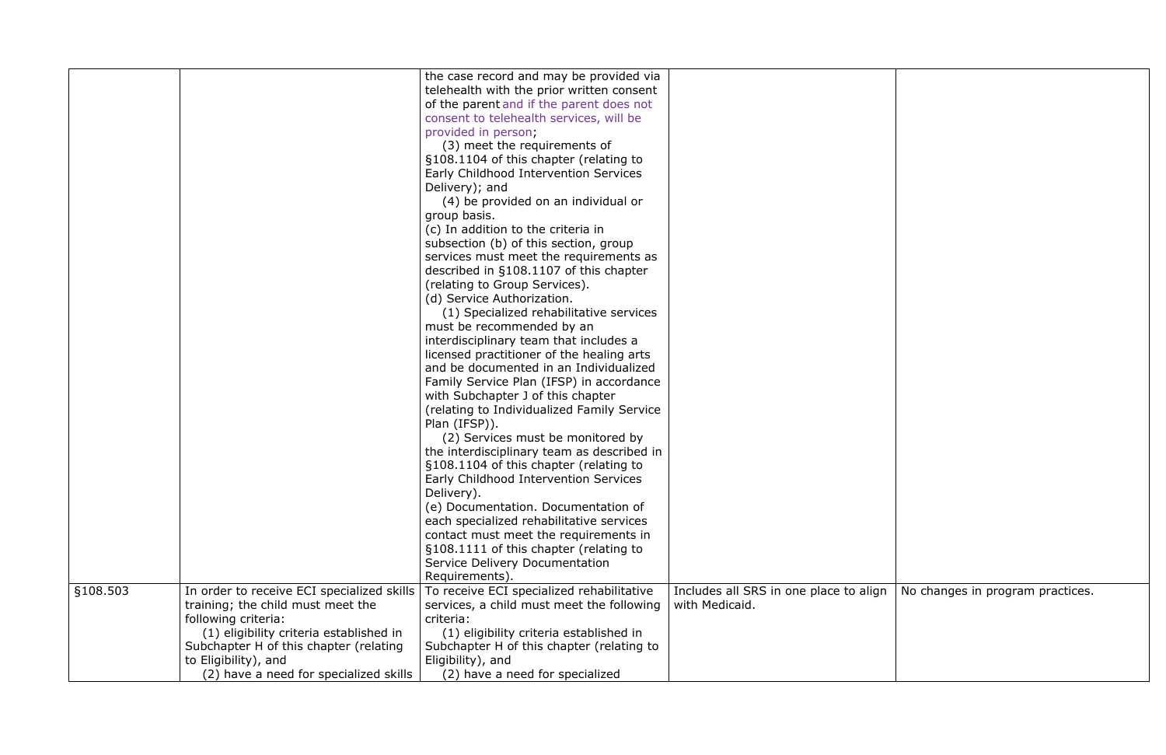|          |                                            | the case record and may be provided via    |                                  |
|----------|--------------------------------------------|--------------------------------------------|----------------------------------|
|          |                                            | telehealth with the prior written consent  |                                  |
|          |                                            | of the parent and if the parent does not   |                                  |
|          |                                            | consent to telehealth services, will be    |                                  |
|          |                                            | provided in person;                        |                                  |
|          |                                            | (3) meet the requirements of               |                                  |
|          |                                            | §108.1104 of this chapter (relating to     |                                  |
|          |                                            | Early Childhood Intervention Services      |                                  |
|          |                                            | Delivery); and                             |                                  |
|          |                                            | (4) be provided on an individual or        |                                  |
|          |                                            | group basis.                               |                                  |
|          |                                            | (c) In addition to the criteria in         |                                  |
|          |                                            | subsection (b) of this section, group      |                                  |
|          |                                            | services must meet the requirements as     |                                  |
|          |                                            | described in §108.1107 of this chapter     |                                  |
|          |                                            | (relating to Group Services).              |                                  |
|          |                                            | (d) Service Authorization.                 |                                  |
|          |                                            | (1) Specialized rehabilitative services    |                                  |
|          |                                            | must be recommended by an                  |                                  |
|          |                                            | interdisciplinary team that includes a     |                                  |
|          |                                            | licensed practitioner of the healing arts  |                                  |
|          |                                            | and be documented in an Individualized     |                                  |
|          |                                            | Family Service Plan (IFSP) in accordance   |                                  |
|          |                                            | with Subchapter J of this chapter          |                                  |
|          |                                            | (relating to Individualized Family Service |                                  |
|          |                                            | Plan (IFSP)).                              |                                  |
|          |                                            | (2) Services must be monitored by          |                                  |
|          |                                            | the interdisciplinary team as described in |                                  |
|          |                                            | §108.1104 of this chapter (relating to     |                                  |
|          |                                            | Early Childhood Intervention Services      |                                  |
|          |                                            | Delivery).                                 |                                  |
|          |                                            | (e) Documentation. Documentation of        |                                  |
|          |                                            | each specialized rehabilitative services   |                                  |
|          |                                            | contact must meet the requirements in      |                                  |
|          |                                            | §108.1111 of this chapter (relating to     |                                  |
|          |                                            | Service Delivery Documentation             |                                  |
|          |                                            | Requirements).                             |                                  |
| §108.503 | In order to receive ECI specialized skills | To receive ECI specialized rehabilitative  | Includes all SRS in one place to |
|          | training; the child must meet the          | services, a child must meet the following  | with Medicaid.                   |
|          | following criteria:                        | criteria:                                  |                                  |
|          | (1) eligibility criteria established in    | (1) eligibility criteria established in    |                                  |
|          | Subchapter H of this chapter (relating     | Subchapter H of this chapter (relating to  |                                  |
|          | to Eligibility), and                       | Eligibility), and                          |                                  |
|          | (2) have a need for specialized skills     | (2) have a need for specialized            |                                  |

| Includes all SRS in one place to align<br>with Medicaid. | No changes in program practices. |
|----------------------------------------------------------|----------------------------------|
|                                                          |                                  |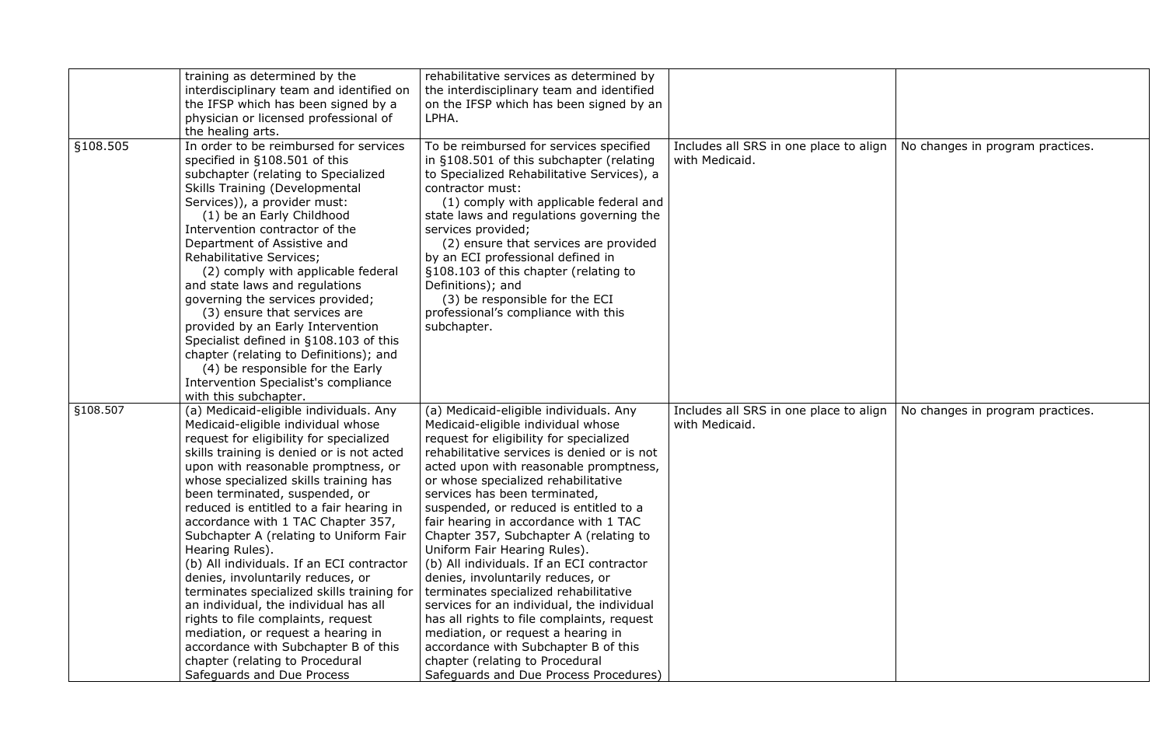|          | training as determined by the<br>interdisciplinary team and identified on<br>the IFSP which has been signed by a<br>physician or licensed professional of<br>the healing arts.                                                                                                                                                                                                                                                                                                                                                                                                                                                                                                                                                                                                                      | rehabilitative services as determined by<br>the interdisciplinary team and identified<br>on the IFSP which has been signed by an<br>LPHA.                                                                                                                                                                                                                                                                                                                                                                                                                                                                                                                                                                                                                                                                                               |                                                          |                                  |
|----------|-----------------------------------------------------------------------------------------------------------------------------------------------------------------------------------------------------------------------------------------------------------------------------------------------------------------------------------------------------------------------------------------------------------------------------------------------------------------------------------------------------------------------------------------------------------------------------------------------------------------------------------------------------------------------------------------------------------------------------------------------------------------------------------------------------|-----------------------------------------------------------------------------------------------------------------------------------------------------------------------------------------------------------------------------------------------------------------------------------------------------------------------------------------------------------------------------------------------------------------------------------------------------------------------------------------------------------------------------------------------------------------------------------------------------------------------------------------------------------------------------------------------------------------------------------------------------------------------------------------------------------------------------------------|----------------------------------------------------------|----------------------------------|
| §108.505 | In order to be reimbursed for services<br>specified in §108.501 of this<br>subchapter (relating to Specialized<br><b>Skills Training (Developmental</b><br>Services)), a provider must:<br>(1) be an Early Childhood<br>Intervention contractor of the<br>Department of Assistive and<br><b>Rehabilitative Services;</b><br>(2) comply with applicable federal<br>and state laws and regulations<br>governing the services provided;<br>(3) ensure that services are<br>provided by an Early Intervention<br>Specialist defined in §108.103 of this<br>chapter (relating to Definitions); and<br>(4) be responsible for the Early<br>Intervention Specialist's compliance<br>with this subchapter.                                                                                                  | To be reimbursed for services specified<br>in §108.501 of this subchapter (relating<br>to Specialized Rehabilitative Services), a<br>contractor must:<br>(1) comply with applicable federal and<br>state laws and regulations governing the<br>services provided;<br>(2) ensure that services are provided<br>by an ECI professional defined in<br>§108.103 of this chapter (relating to<br>Definitions); and<br>(3) be responsible for the ECI<br>professional's compliance with this<br>subchapter.                                                                                                                                                                                                                                                                                                                                   | Includes all SRS in one place to align<br>with Medicaid. | No changes in program practices. |
| §108.507 | (a) Medicaid-eligible individuals. Any<br>Medicaid-eligible individual whose<br>request for eligibility for specialized<br>skills training is denied or is not acted<br>upon with reasonable promptness, or<br>whose specialized skills training has<br>been terminated, suspended, or<br>reduced is entitled to a fair hearing in<br>accordance with 1 TAC Chapter 357,<br>Subchapter A (relating to Uniform Fair<br>Hearing Rules).<br>(b) All individuals. If an ECI contractor<br>denies, involuntarily reduces, or<br>terminates specialized skills training for<br>an individual, the individual has all<br>rights to file complaints, request<br>mediation, or request a hearing in<br>accordance with Subchapter B of this<br>chapter (relating to Procedural<br>Safeguards and Due Process | (a) Medicaid-eligible individuals. Any<br>Medicaid-eligible individual whose<br>request for eligibility for specialized<br>rehabilitative services is denied or is not<br>acted upon with reasonable promptness,<br>or whose specialized rehabilitative<br>services has been terminated,<br>suspended, or reduced is entitled to a<br>fair hearing in accordance with 1 TAC<br>Chapter 357, Subchapter A (relating to<br>Uniform Fair Hearing Rules).<br>(b) All individuals. If an ECI contractor<br>denies, involuntarily reduces, or<br>terminates specialized rehabilitative<br>services for an individual, the individual<br>has all rights to file complaints, request<br>mediation, or request a hearing in<br>accordance with Subchapter B of this<br>chapter (relating to Procedural<br>Safeguards and Due Process Procedures) | Includes all SRS in one place to align<br>with Medicaid. | No changes in program practices. |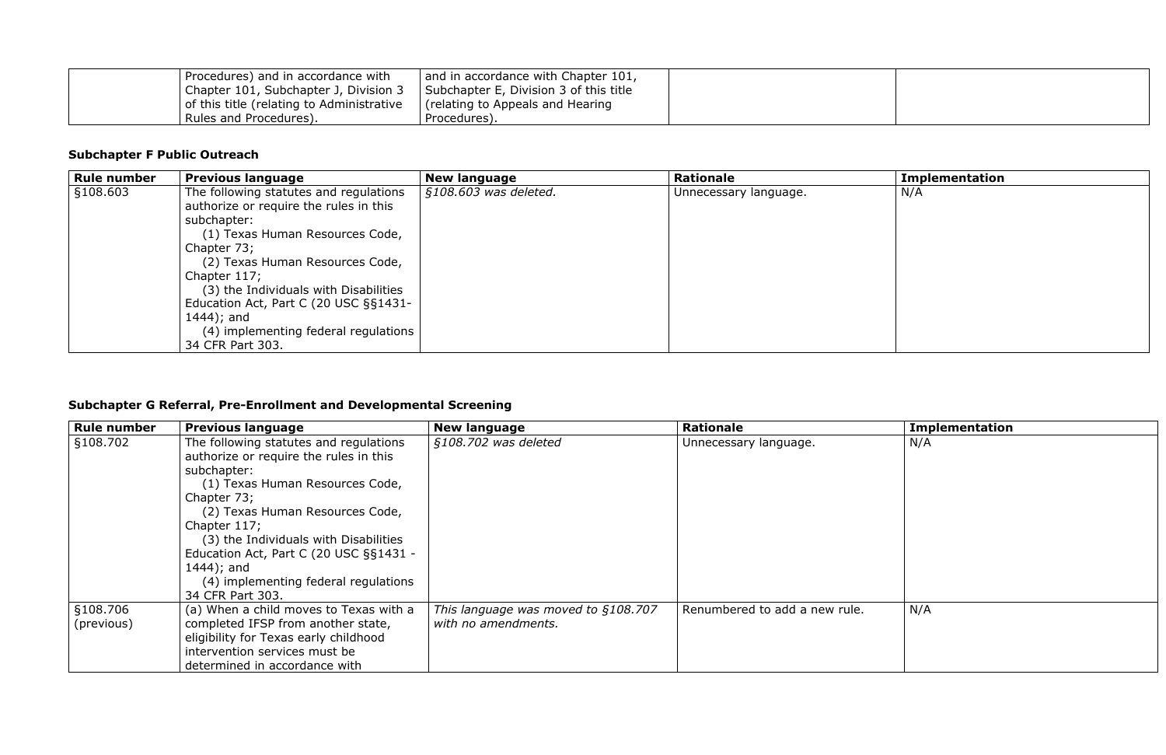| Procedures) and in accordance with        | and in accordance with Chapter 101,    |  |
|-------------------------------------------|----------------------------------------|--|
| Chapter 101, Subchapter J, Division 3     | Subchapter E, Division 3 of this title |  |
| of this title (relating to Administrative | (relating to Appeals and Hearing)      |  |
| Rules and Procedures).                    | Procedures).                           |  |

### **Subchapter F Public Outreach**

| <b>Rule number</b> | <b>Previous language</b>               | <b>New language</b>   | <b>Rationale</b>      | <b>Implementation</b> |  |
|--------------------|----------------------------------------|-----------------------|-----------------------|-----------------------|--|
| §108.603           | The following statutes and regulations | §108.603 was deleted. | Unnecessary language. | N/A                   |  |
|                    | authorize or require the rules in this |                       |                       |                       |  |
|                    | subchapter:                            |                       |                       |                       |  |
|                    | (1) Texas Human Resources Code,        |                       |                       |                       |  |
|                    | Chapter 73;                            |                       |                       |                       |  |
|                    | (2) Texas Human Resources Code,        |                       |                       |                       |  |
|                    | Chapter 117;                           |                       |                       |                       |  |
|                    | (3) the Individuals with Disabilities  |                       |                       |                       |  |
|                    | Education Act, Part C (20 USC §§1431-  |                       |                       |                       |  |
|                    | 1444); and                             |                       |                       |                       |  |
|                    | (4) implementing federal regulations   |                       |                       |                       |  |
|                    | 34 CFR Part 303.                       |                       |                       |                       |  |

# **Subchapter G Referral, Pre-Enrollment and Developmental Screening**

| <b>Rule number</b> | <b>Previous language</b>               | <b>New language</b>                 | <b>Rationale</b>              | <b>Implementation</b> |
|--------------------|----------------------------------------|-------------------------------------|-------------------------------|-----------------------|
| §108.702           | The following statutes and regulations | §108.702 was deleted                | Unnecessary language.         | N/A                   |
|                    | authorize or require the rules in this |                                     |                               |                       |
|                    | subchapter:                            |                                     |                               |                       |
|                    | (1) Texas Human Resources Code,        |                                     |                               |                       |
|                    | Chapter 73;                            |                                     |                               |                       |
|                    | (2) Texas Human Resources Code,        |                                     |                               |                       |
|                    | Chapter 117;                           |                                     |                               |                       |
|                    | (3) the Individuals with Disabilities  |                                     |                               |                       |
|                    | Education Act, Part C (20 USC §§1431 - |                                     |                               |                       |
|                    | 1444); and                             |                                     |                               |                       |
|                    | (4) implementing federal regulations   |                                     |                               |                       |
|                    | 34 CFR Part 303.                       |                                     |                               |                       |
| §108.706           | (a) When a child moves to Texas with a | This language was moved to §108.707 | Renumbered to add a new rule. | N/A                   |
| (previous)         | completed IFSP from another state,     | with no amendments.                 |                               |                       |
|                    | eligibility for Texas early childhood  |                                     |                               |                       |
|                    | intervention services must be          |                                     |                               |                       |
|                    | determined in accordance with          |                                     |                               |                       |

|    | <b>Implementation</b> |
|----|-----------------------|
|    | N/A                   |
|    |                       |
|    |                       |
|    |                       |
|    |                       |
|    |                       |
|    |                       |
|    |                       |
|    |                       |
|    |                       |
| g. | N/A                   |
|    |                       |
|    |                       |
|    |                       |
|    |                       |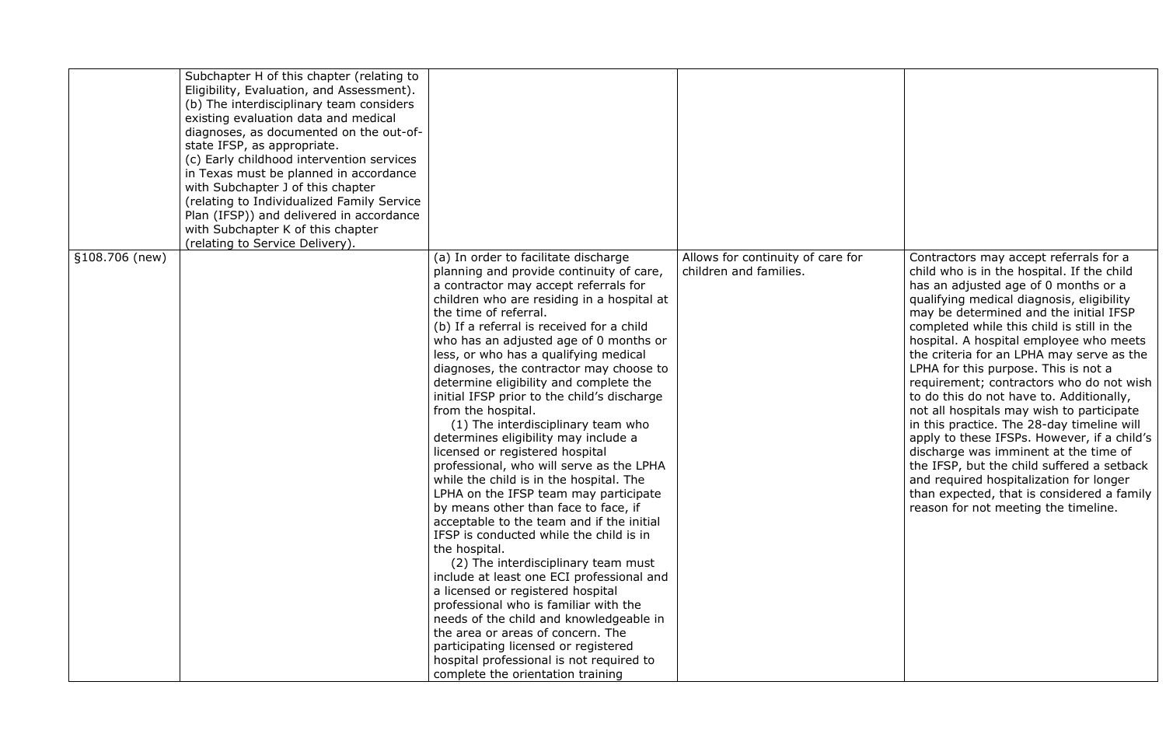|                               | Subchapter H of this chapter (relating to<br>Eligibility, Evaluation, and Assessment).<br>(b) The interdisciplinary team considers<br>existing evaluation data and medical<br>diagnoses, as documented on the out-of-<br>state IFSP, as appropriate.<br>(c) Early childhood intervention services<br>in Texas must be planned in accordance<br>with Subchapter J of this chapter<br>(relating to Individualized Family Service)<br>Plan (IFSP)) and delivered in accordance |                                                                                                                                                                                                                                                                                                                                                                                                                                                                                                                                                                                                                                                                                                                                                                                                                                                                                                                                                                                                                                                                                                                                                                                                                                                                         |                                                             |                                                                                                                                                                                                                                                                                                                                                                                                                                                                                                                                                                                                                                                                                                                                                                                                                                                             |
|-------------------------------|-----------------------------------------------------------------------------------------------------------------------------------------------------------------------------------------------------------------------------------------------------------------------------------------------------------------------------------------------------------------------------------------------------------------------------------------------------------------------------|-------------------------------------------------------------------------------------------------------------------------------------------------------------------------------------------------------------------------------------------------------------------------------------------------------------------------------------------------------------------------------------------------------------------------------------------------------------------------------------------------------------------------------------------------------------------------------------------------------------------------------------------------------------------------------------------------------------------------------------------------------------------------------------------------------------------------------------------------------------------------------------------------------------------------------------------------------------------------------------------------------------------------------------------------------------------------------------------------------------------------------------------------------------------------------------------------------------------------------------------------------------------------|-------------------------------------------------------------|-------------------------------------------------------------------------------------------------------------------------------------------------------------------------------------------------------------------------------------------------------------------------------------------------------------------------------------------------------------------------------------------------------------------------------------------------------------------------------------------------------------------------------------------------------------------------------------------------------------------------------------------------------------------------------------------------------------------------------------------------------------------------------------------------------------------------------------------------------------|
|                               | with Subchapter K of this chapter                                                                                                                                                                                                                                                                                                                                                                                                                                           |                                                                                                                                                                                                                                                                                                                                                                                                                                                                                                                                                                                                                                                                                                                                                                                                                                                                                                                                                                                                                                                                                                                                                                                                                                                                         |                                                             |                                                                                                                                                                                                                                                                                                                                                                                                                                                                                                                                                                                                                                                                                                                                                                                                                                                             |
|                               | (relating to Service Delivery).                                                                                                                                                                                                                                                                                                                                                                                                                                             |                                                                                                                                                                                                                                                                                                                                                                                                                                                                                                                                                                                                                                                                                                                                                                                                                                                                                                                                                                                                                                                                                                                                                                                                                                                                         |                                                             |                                                                                                                                                                                                                                                                                                                                                                                                                                                                                                                                                                                                                                                                                                                                                                                                                                                             |
| $\frac{1}{2}$ \$108.706 (new) |                                                                                                                                                                                                                                                                                                                                                                                                                                                                             | (a) In order to facilitate discharge<br>planning and provide continuity of care,<br>a contractor may accept referrals for<br>children who are residing in a hospital at<br>the time of referral.<br>(b) If a referral is received for a child<br>who has an adjusted age of 0 months or<br>less, or who has a qualifying medical<br>diagnoses, the contractor may choose to<br>determine eligibility and complete the<br>initial IFSP prior to the child's discharge<br>from the hospital.<br>(1) The interdisciplinary team who<br>determines eligibility may include a<br>licensed or registered hospital<br>professional, who will serve as the LPHA<br>while the child is in the hospital. The<br>LPHA on the IFSP team may participate<br>by means other than face to face, if<br>acceptable to the team and if the initial<br>IFSP is conducted while the child is in<br>the hospital.<br>(2) The interdisciplinary team must<br>include at least one ECI professional and<br>a licensed or registered hospital<br>professional who is familiar with the<br>needs of the child and knowledgeable in<br>the area or areas of concern. The<br>participating licensed or registered<br>hospital professional is not required to<br>complete the orientation training | Allows for continuity of care for<br>children and families. | Contractors may accept referrals for a<br>child who is in the hospital. If the child<br>has an adjusted age of 0 months or a<br>qualifying medical diagnosis, eligibility<br>may be determined and the initial IFSP<br>completed while this child is still in the<br>hospital. A hospital employee who meets<br>the criteria for an LPHA may serve as the<br>LPHA for this purpose. This is not a<br>requirement; contractors who do not wish<br>to do this do not have to. Additionally,<br>not all hospitals may wish to participate<br>in this practice. The 28-day timeline will<br>apply to these IFSPs. However, if a child's<br>discharge was imminent at the time of<br>the IFSP, but the child suffered a setback<br>and required hospitalization for longer<br>than expected, that is considered a family<br>reason for not meeting the timeline. |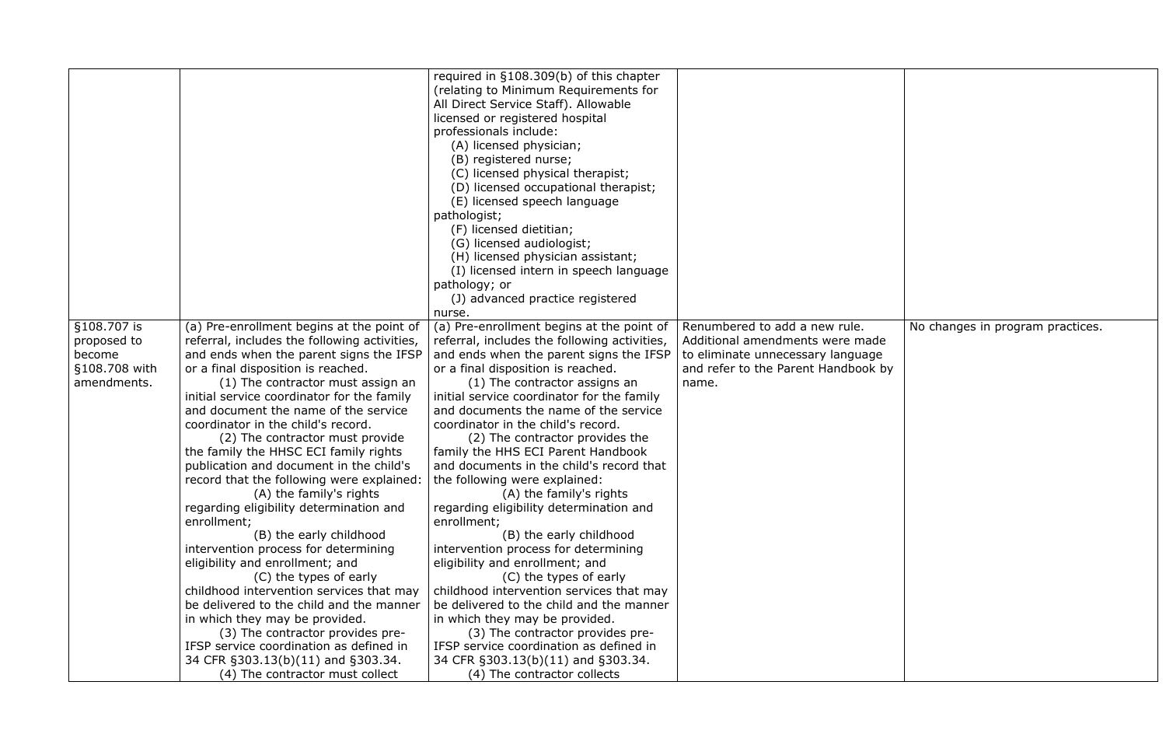|               |                                              | required in $§108.309(b)$ of this chapter    |                                     |                                  |
|---------------|----------------------------------------------|----------------------------------------------|-------------------------------------|----------------------------------|
|               |                                              | (relating to Minimum Requirements for        |                                     |                                  |
|               |                                              | All Direct Service Staff). Allowable         |                                     |                                  |
|               |                                              | licensed or registered hospital              |                                     |                                  |
|               |                                              | professionals include:                       |                                     |                                  |
|               |                                              | (A) licensed physician;                      |                                     |                                  |
|               |                                              | (B) registered nurse;                        |                                     |                                  |
|               |                                              | (C) licensed physical therapist;             |                                     |                                  |
|               |                                              | (D) licensed occupational therapist;         |                                     |                                  |
|               |                                              |                                              |                                     |                                  |
|               |                                              | (E) licensed speech language                 |                                     |                                  |
|               |                                              | pathologist;                                 |                                     |                                  |
|               |                                              | (F) licensed dietitian;                      |                                     |                                  |
|               |                                              | (G) licensed audiologist;                    |                                     |                                  |
|               |                                              | (H) licensed physician assistant;            |                                     |                                  |
|               |                                              | (I) licensed intern in speech language       |                                     |                                  |
|               |                                              | pathology; or                                |                                     |                                  |
|               |                                              | (J) advanced practice registered             |                                     |                                  |
|               |                                              | nurse.                                       |                                     |                                  |
| §108.707 is   | (a) Pre-enrollment begins at the point of    | (a) Pre-enrollment begins at the point of    | Renumbered to add a new rule.       | No changes in program practices. |
| proposed to   | referral, includes the following activities, | referral, includes the following activities, | Additional amendments were made     |                                  |
| become        | and ends when the parent signs the IFSP      | and ends when the parent signs the IFSP      | to eliminate unnecessary language   |                                  |
| §108.708 with | or a final disposition is reached.           | or a final disposition is reached.           | and refer to the Parent Handbook by |                                  |
| amendments.   | (1) The contractor must assign an            | (1) The contractor assigns an                | name.                               |                                  |
|               | initial service coordinator for the family   | initial service coordinator for the family   |                                     |                                  |
|               | and document the name of the service         | and documents the name of the service        |                                     |                                  |
|               | coordinator in the child's record.           | coordinator in the child's record.           |                                     |                                  |
|               | (2) The contractor must provide              | (2) The contractor provides the              |                                     |                                  |
|               | the family the HHSC ECI family rights        | family the HHS ECI Parent Handbook           |                                     |                                  |
|               | publication and document in the child's      | and documents in the child's record that     |                                     |                                  |
|               | record that the following were explained:    | the following were explained:                |                                     |                                  |
|               | (A) the family's rights                      | (A) the family's rights                      |                                     |                                  |
|               | regarding eligibility determination and      | regarding eligibility determination and      |                                     |                                  |
|               | enrollment;                                  | enrollment;                                  |                                     |                                  |
|               | (B) the early childhood                      | (B) the early childhood                      |                                     |                                  |
|               | intervention process for determining         | intervention process for determining         |                                     |                                  |
|               | eligibility and enrollment; and              | eligibility and enrollment; and              |                                     |                                  |
|               | (C) the types of early                       | (C) the types of early                       |                                     |                                  |
|               | childhood intervention services that may     | childhood intervention services that may     |                                     |                                  |
|               | be delivered to the child and the manner     | be delivered to the child and the manner     |                                     |                                  |
|               | in which they may be provided.               | in which they may be provided.               |                                     |                                  |
|               | (3) The contractor provides pre-             | (3) The contractor provides pre-             |                                     |                                  |
|               | IFSP service coordination as defined in      | IFSP service coordination as defined in      |                                     |                                  |
|               | 34 CFR §303.13(b)(11) and §303.34.           | 34 CFR §303.13(b)(11) and §303.34.           |                                     |                                  |
|               | (4) The contractor must collect              | (4) The contractor collects                  |                                     |                                  |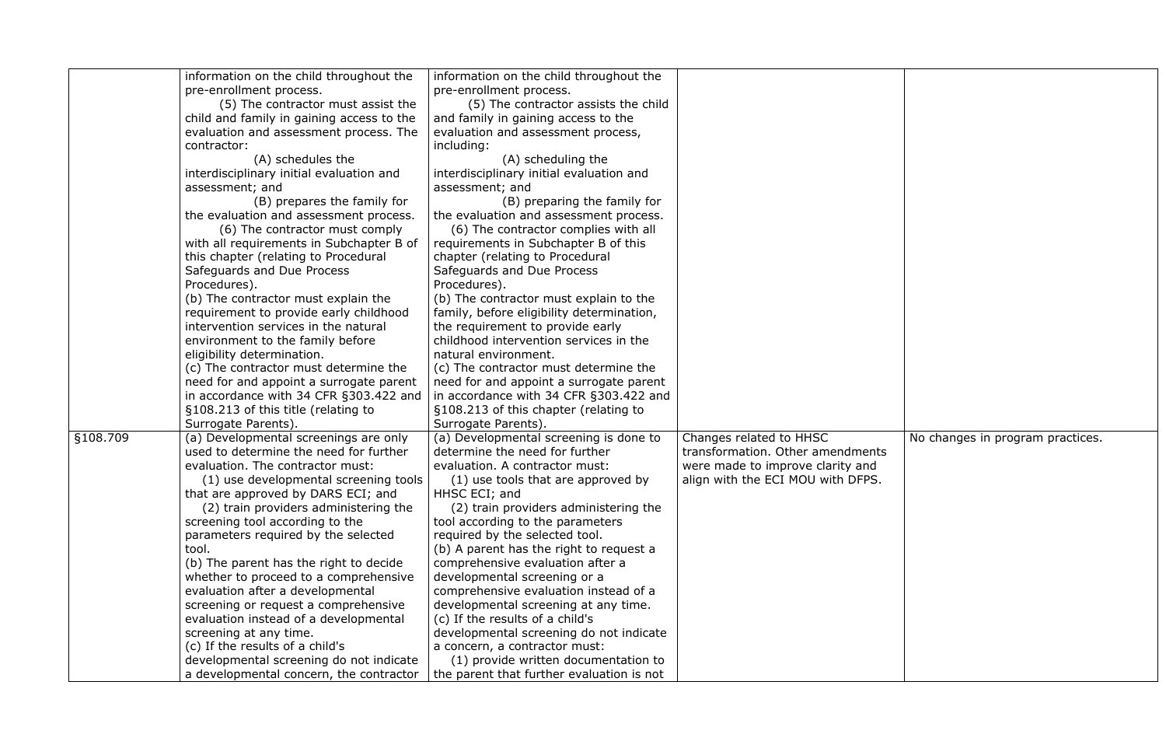|          | information on the child throughout the   | information on the child throughout the   |                                   |                                  |
|----------|-------------------------------------------|-------------------------------------------|-----------------------------------|----------------------------------|
|          | pre-enrollment process.                   | pre-enrollment process.                   |                                   |                                  |
|          | (5) The contractor must assist the        | (5) The contractor assists the child      |                                   |                                  |
|          | child and family in gaining access to the | and family in gaining access to the       |                                   |                                  |
|          | evaluation and assessment process. The    | evaluation and assessment process,        |                                   |                                  |
|          | contractor:                               | including:                                |                                   |                                  |
|          | (A) schedules the                         | (A) scheduling the                        |                                   |                                  |
|          | interdisciplinary initial evaluation and  | interdisciplinary initial evaluation and  |                                   |                                  |
|          | assessment; and                           | assessment; and                           |                                   |                                  |
|          | (B) prepares the family for               | (B) preparing the family for              |                                   |                                  |
|          | the evaluation and assessment process.    | the evaluation and assessment process.    |                                   |                                  |
|          | (6) The contractor must comply            | (6) The contractor complies with all      |                                   |                                  |
|          | with all requirements in Subchapter B of  | requirements in Subchapter B of this      |                                   |                                  |
|          | this chapter (relating to Procedural      | chapter (relating to Procedural           |                                   |                                  |
|          | Safeguards and Due Process                | Safeguards and Due Process                |                                   |                                  |
|          | Procedures).                              | Procedures).                              |                                   |                                  |
|          | (b) The contractor must explain the       | (b) The contractor must explain to the    |                                   |                                  |
|          | requirement to provide early childhood    | family, before eligibility determination, |                                   |                                  |
|          | intervention services in the natural      | the requirement to provide early          |                                   |                                  |
|          | environment to the family before          | childhood intervention services in the    |                                   |                                  |
|          | eligibility determination.                | natural environment.                      |                                   |                                  |
|          | (c) The contractor must determine the     | (c) The contractor must determine the     |                                   |                                  |
|          | need for and appoint a surrogate parent   | need for and appoint a surrogate parent   |                                   |                                  |
|          | in accordance with 34 CFR §303.422 and    | in accordance with 34 CFR §303.422 and    |                                   |                                  |
|          | §108.213 of this title (relating to       | §108.213 of this chapter (relating to     |                                   |                                  |
|          | Surrogate Parents).                       | Surrogate Parents)                        |                                   |                                  |
| §108.709 | (a) Developmental screenings are only     | (a) Developmental screening is done to    | Changes related to HHSC           | No changes in program practices. |
|          | used to determine the need for further    | determine the need for further            | transformation. Other amendments  |                                  |
|          | evaluation. The contractor must:          | evaluation. A contractor must:            | were made to improve clarity and  |                                  |
|          | (1) use developmental screening tools     | (1) use tools that are approved by        | align with the ECI MOU with DFPS. |                                  |
|          | that are approved by DARS ECI; and        | HHSC ECI; and                             |                                   |                                  |
|          | (2) train providers administering the     | (2) train providers administering the     |                                   |                                  |
|          | screening tool according to the           | tool according to the parameters          |                                   |                                  |
|          | parameters required by the selected       | required by the selected tool.            |                                   |                                  |
|          | tool.                                     | (b) A parent has the right to request a   |                                   |                                  |
|          | (b) The parent has the right to decide    | comprehensive evaluation after a          |                                   |                                  |
|          | whether to proceed to a comprehensive     | developmental screening or a              |                                   |                                  |
|          | evaluation after a developmental          | comprehensive evaluation instead of a     |                                   |                                  |
|          | screening or request a comprehensive      | developmental screening at any time.      |                                   |                                  |
|          | evaluation instead of a developmental     | (c) If the results of a child's           |                                   |                                  |
|          | screening at any time.                    | developmental screening do not indicate   |                                   |                                  |
|          | (c) If the results of a child's           | a concern, a contractor must:             |                                   |                                  |
|          | developmental screening do not indicate   | (1) provide written documentation to      |                                   |                                  |
|          | a developmental concern, the contractor   | the parent that further evaluation is not |                                   |                                  |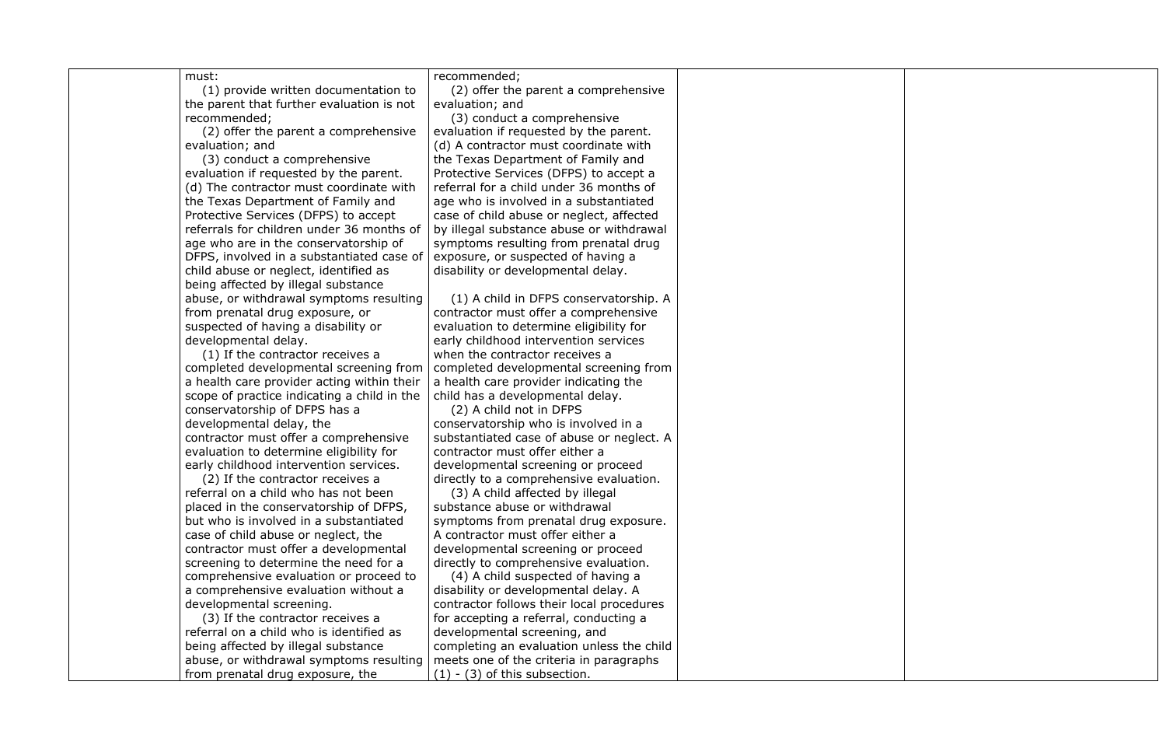must:

(1) provide written documentation to the parent that further evaluation is not recommended;

(2) offer the parent a comprehensive evaluation; and

(3) conduct a comprehensive evaluation if requested by the parent. (d) The contractor must coordinate with the Texas Department of Family and Protective Services (DFPS) to accept referrals for children under 36 months of age who are in the conservatorship of DFPS, involved in a substantiated case of child abuse or neglect, identified as being affected by illegal substance abuse, or withdrawal symptoms resulting from prenatal drug exposure, or suspected of having a disability or developmental delay.

(1) If the contractor receives a completed developmental screening from a health care provider acting within their scope of practice indicating a child in the conservatorship of DFPS has a developmental delay, the contractor must offer a comprehensive evaluation to determine eligibility for early childhood intervention services.

(2) If the contractor receives a referral on a child who has not been placed in the conservatorship of DFPS, but who is involved in a substantiated case of child abuse or neglect, the contractor must offer a developmental screening to determine the need for a comprehensive evaluation or proceed to a comprehensive evaluation without a developmental screening.

(4) A child suspected of having a disability or developmental delay. A contractor follows their local procedures for accepting a referral, conducting a developmental screening, and completing an evaluation unless the child meets one of the criteria in paragraphs  $(1)$  -  $(3)$  of this subsection.

(3) If the contractor receives a referral on a child who is identified as being affected by illegal substance abuse, or withdrawal symptoms resulting from prenatal drug exposure, the

recommended;

(2) offer the parent a comprehensive evaluation; and

(3) conduct a comprehensive evaluation if requested by the parent. (d) A contractor must coordinate with the Texas Department of Family and Protective Services (DFPS) to accept a referral for a child under 36 months of age who is involved in a substantiated case of child abuse or neglect, affected by illegal substance abuse or withdrawal symptoms resulting from prenatal drug exposure, or suspected of having a disability or developmental delay.

(1) A child in DFPS conservatorship. A contractor must offer a comprehensive evaluation to determine eligibility for early childhood intervention services when the contractor receives a completed developmental screening from a health care provider indicating the child has a developmental delay.

(2) A child not in DFPS conservatorship who is involved in a substantiated case of abuse or neglect. A contractor must offer either a developmental screening or proceed directly to a comprehensive evaluation.

(3) A child affected by illegal substance abuse or withdrawal symptoms from prenatal drug exposure. A contractor must offer either a developmental screening or proceed directly to comprehensive evaluation.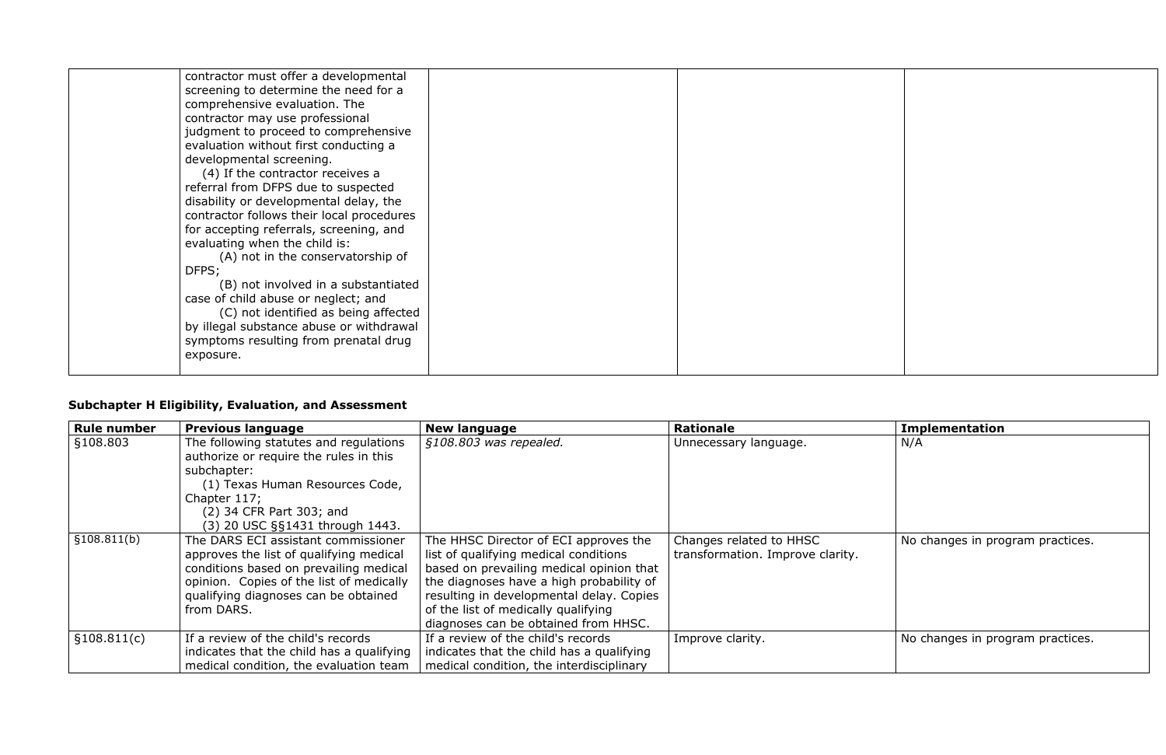| contractor must offer a developmental     |
|-------------------------------------------|
| screening to determine the need for a     |
| comprehensive evaluation. The             |
| contractor may use professional           |
| judgment to proceed to comprehensive      |
| evaluation without first conducting a     |
| developmental screening.                  |
| (4) If the contractor receives a          |
| referral from DFPS due to suspected       |
| disability or developmental delay, the    |
| contractor follows their local procedures |
| for accepting referrals, screening, and   |
| evaluating when the child is:             |
| (A) not in the conservatorship of         |
| DFPS;                                     |
| (B) not involved in a substantiated       |
| case of child abuse or neglect; and       |
| (C) not identified as being affected      |
| by illegal substance abuse or withdrawal  |
| symptoms resulting from prenatal drug     |
| exposure.                                 |
|                                           |
|                                           |

### **Subchapter H Eligibility, Evaluation, and Assessment**

| <b>Rule number</b> | <b>Previous language</b>                  | <b>New language</b>                       | <b>Rationale</b>                 | <b>Implementation</b>            |
|--------------------|-------------------------------------------|-------------------------------------------|----------------------------------|----------------------------------|
| §108.803           | The following statutes and regulations    | §108.803 was repealed.                    | Unnecessary language.            | N/A                              |
|                    | authorize or require the rules in this    |                                           |                                  |                                  |
|                    | subchapter:                               |                                           |                                  |                                  |
|                    | (1) Texas Human Resources Code,           |                                           |                                  |                                  |
|                    | Chapter 117;                              |                                           |                                  |                                  |
|                    | (2) 34 CFR Part 303; and                  |                                           |                                  |                                  |
|                    | (3) 20 USC §§1431 through 1443.           |                                           |                                  |                                  |
| \$108.811(b)       | The DARS ECI assistant commissioner       | The HHSC Director of ECI approves the     | Changes related to HHSC          | No changes in program practices. |
|                    | approves the list of qualifying medical   | list of qualifying medical conditions     | transformation. Improve clarity. |                                  |
|                    | conditions based on prevailing medical    | based on prevailing medical opinion that  |                                  |                                  |
|                    | opinion. Copies of the list of medically  | the diagnoses have a high probability of  |                                  |                                  |
|                    | qualifying diagnoses can be obtained      | resulting in developmental delay. Copies  |                                  |                                  |
|                    | from DARS.                                | of the list of medically qualifying       |                                  |                                  |
|                    |                                           | diagnoses can be obtained from HHSC.      |                                  |                                  |
| \$108.811(c)       | If a review of the child's records        | If a review of the child's records        | Improve clarity.                 | No changes in program practices. |
|                    | indicates that the child has a qualifying | indicates that the child has a qualifying |                                  |                                  |
|                    | medical condition, the evaluation team    | medical condition, the interdisciplinary  |                                  |                                  |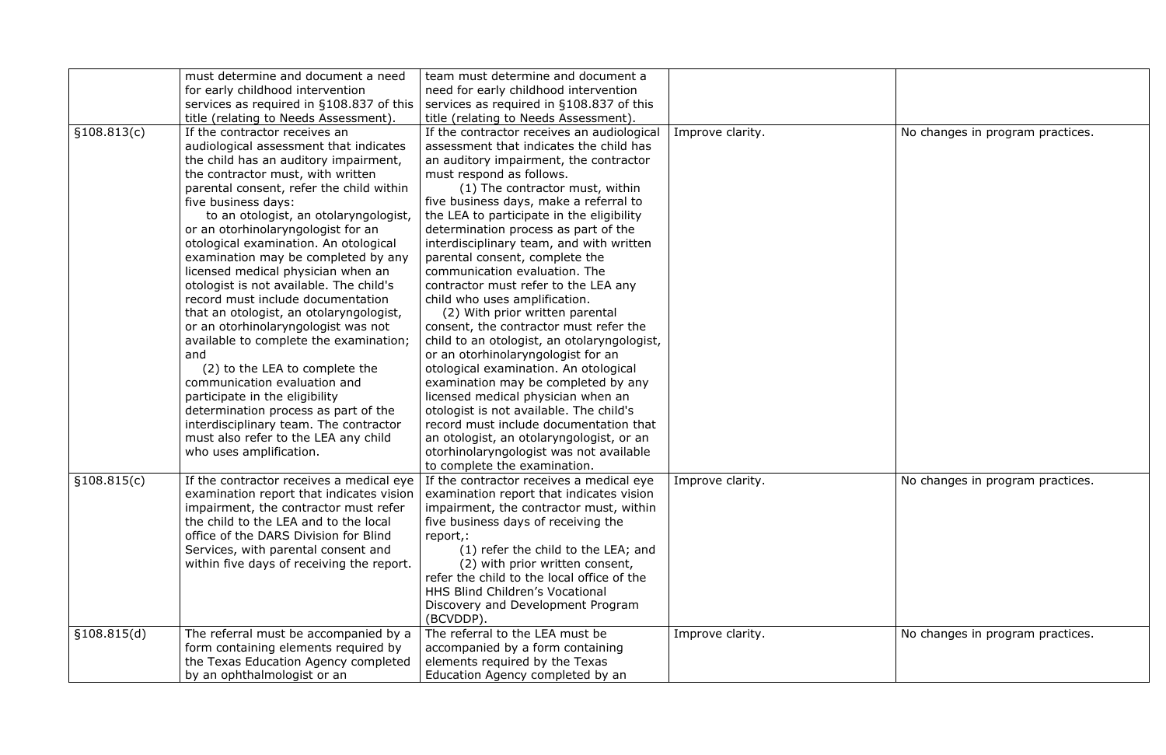|              | must determine and document a need        | team must determine and document a          |                  |
|--------------|-------------------------------------------|---------------------------------------------|------------------|
|              | for early childhood intervention          | need for early childhood intervention       |                  |
|              | services as required in §108.837 of this  | services as required in §108.837 of this    |                  |
|              | title (relating to Needs Assessment).     | title (relating to Needs Assessment).       |                  |
|              | If the contractor receives an             |                                             |                  |
| \$108.813(c) |                                           | If the contractor receives an audiological  | Improve clarity. |
|              | audiological assessment that indicates    | assessment that indicates the child has     |                  |
|              | the child has an auditory impairment,     | an auditory impairment, the contractor      |                  |
|              | the contractor must, with written         | must respond as follows.                    |                  |
|              | parental consent, refer the child within  | (1) The contractor must, within             |                  |
|              | five business days:                       | five business days, make a referral to      |                  |
|              | to an otologist, an otolaryngologist,     | the LEA to participate in the eligibility   |                  |
|              | or an otorhinolaryngologist for an        | determination process as part of the        |                  |
|              | otological examination. An otological     | interdisciplinary team, and with written    |                  |
|              | examination may be completed by any       | parental consent, complete the              |                  |
|              | licensed medical physician when an        | communication evaluation. The               |                  |
|              | otologist is not available. The child's   | contractor must refer to the LEA any        |                  |
|              | record must include documentation         | child who uses amplification.               |                  |
|              | that an otologist, an otolaryngologist,   | (2) With prior written parental             |                  |
|              | or an otorhinolaryngologist was not       | consent, the contractor must refer the      |                  |
|              | available to complete the examination;    | child to an otologist, an otolaryngologist, |                  |
|              | and                                       | or an otorhinolaryngologist for an          |                  |
|              | (2) to the LEA to complete the            | otological examination. An otological       |                  |
|              | communication evaluation and              | examination may be completed by any         |                  |
|              | participate in the eligibility            | licensed medical physician when an          |                  |
|              | determination process as part of the      | otologist is not available. The child's     |                  |
|              | interdisciplinary team. The contractor    | record must include documentation that      |                  |
|              | must also refer to the LEA any child      | an otologist, an otolaryngologist, or an    |                  |
|              | who uses amplification.                   | otorhinolaryngologist was not available     |                  |
|              |                                           | to complete the examination.                |                  |
| \$108.815(c) | If the contractor receives a medical eye  | If the contractor receives a medical eye    | Improve clarity. |
|              | examination report that indicates vision  | examination report that indicates vision    |                  |
|              | impairment, the contractor must refer     | impairment, the contractor must, within     |                  |
|              | the child to the LEA and to the local     | five business days of receiving the         |                  |
|              | office of the DARS Division for Blind     | report,:                                    |                  |
|              | Services, with parental consent and       | (1) refer the child to the LEA; and         |                  |
|              | within five days of receiving the report. | (2) with prior written consent,             |                  |
|              |                                           | refer the child to the local office of the  |                  |
|              |                                           | <b>HHS Blind Children's Vocational</b>      |                  |
|              |                                           | Discovery and Development Program           |                  |
|              |                                           | (BCVDDP).                                   |                  |
| \$108.815(d) | The referral must be accompanied by a     | The referral to the LEA must be             | Improve clarity. |
|              | form containing elements required by      | accompanied by a form containing            |                  |
|              | the Texas Education Agency completed      | elements required by the Texas              |                  |
|              | by an ophthalmologist or an               | Education Agency completed by an            |                  |
|              |                                           |                                             |                  |

| Improve clarity. | No changes in program practices. |
|------------------|----------------------------------|
| Improve clarity. | No changes in program practices. |
| Improve clarity. | No changes in program practices. |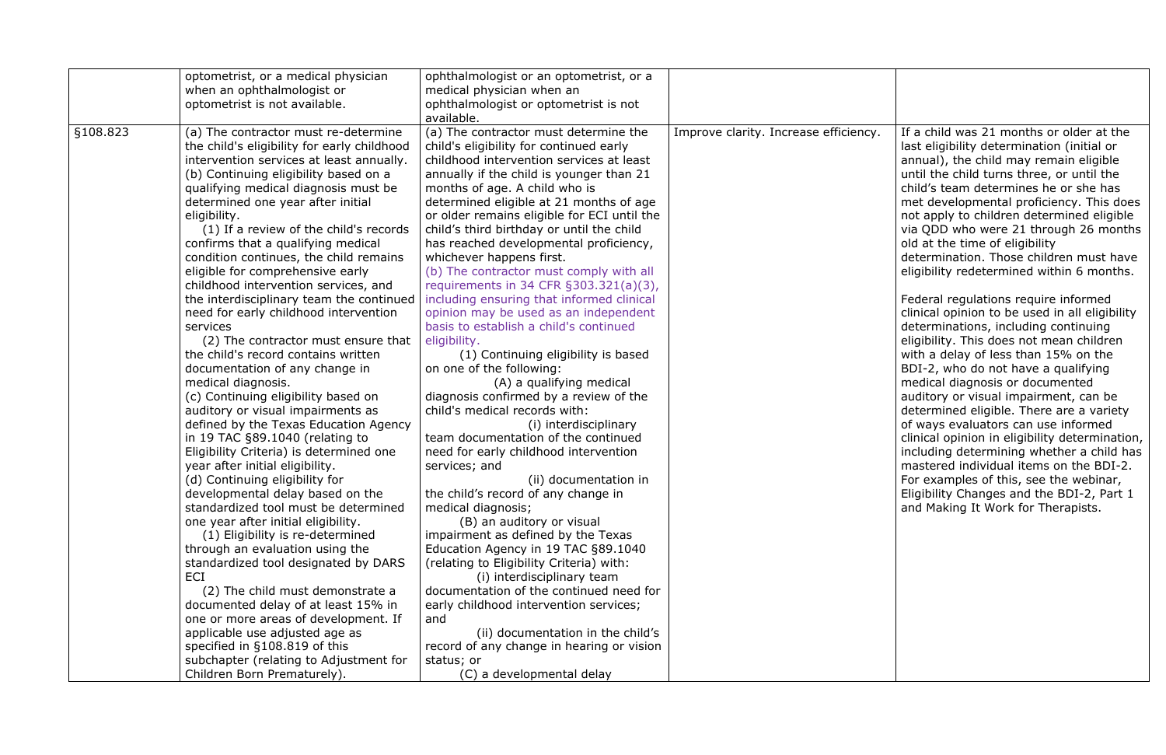|          | optometrist, or a medical physician         | ophthalmologist or an optometrist, or a     |                                       |                                                |
|----------|---------------------------------------------|---------------------------------------------|---------------------------------------|------------------------------------------------|
|          | when an ophthalmologist or                  | medical physician when an                   |                                       |                                                |
|          | optometrist is not available.               | ophthalmologist or optometrist is not       |                                       |                                                |
|          |                                             | available.                                  |                                       |                                                |
| §108.823 | (a) The contractor must re-determine        | (a) The contractor must determine the       | Improve clarity. Increase efficiency. | If a child was 21 months or older at the       |
|          | the child's eligibility for early childhood | child's eligibility for continued early     |                                       | last eligibility determination (initial or     |
|          | intervention services at least annually.    | childhood intervention services at least    |                                       | annual), the child may remain eligible         |
|          | (b) Continuing eligibility based on a       | annually if the child is younger than 21    |                                       | until the child turns three, or until the      |
|          | qualifying medical diagnosis must be        | months of age. A child who is               |                                       | child's team determines he or she has          |
|          | determined one year after initial           | determined eligible at 21 months of age     |                                       | met developmental proficiency. This does       |
|          | eligibility.                                | or older remains eligible for ECI until the |                                       | not apply to children determined eligible      |
|          | (1) If a review of the child's records      | child's third birthday or until the child   |                                       | via QDD who were 21 through 26 months          |
|          | confirms that a qualifying medical          | has reached developmental proficiency,      |                                       | old at the time of eligibility                 |
|          | condition continues, the child remains      | whichever happens first.                    |                                       | determination. Those children must have        |
|          | eligible for comprehensive early            | (b) The contractor must comply with all     |                                       | eligibility redetermined within 6 months.      |
|          | childhood intervention services, and        | requirements in 34 CFR §303.321(a)(3),      |                                       |                                                |
|          | the interdisciplinary team the continued    | including ensuring that informed clinical   |                                       | Federal regulations require informed           |
|          | need for early childhood intervention       | opinion may be used as an independent       |                                       | clinical opinion to be used in all eligibility |
|          | services                                    | basis to establish a child's continued      |                                       | determinations, including continuing           |
|          | (2) The contractor must ensure that         | eligibility.                                |                                       | eligibility. This does not mean children       |
|          | the child's record contains written         | (1) Continuing eligibility is based         |                                       | with a delay of less than 15% on the           |
|          | documentation of any change in              | on one of the following:                    |                                       | BDI-2, who do not have a qualifying            |
|          | medical diagnosis.                          | (A) a qualifying medical                    |                                       | medical diagnosis or documented                |
|          | (c) Continuing eligibility based on         | diagnosis confirmed by a review of the      |                                       | auditory or visual impairment, can be          |
|          | auditory or visual impairments as           | child's medical records with:               |                                       | determined eligible. There are a variety       |
|          | defined by the Texas Education Agency       | (i) interdisciplinary                       |                                       | of ways evaluators can use informed            |
|          | in 19 TAC §89.1040 (relating to             | team documentation of the continued         |                                       | clinical opinion in eligibility determination, |
|          | Eligibility Criteria) is determined one     | need for early childhood intervention       |                                       | including determining whether a child has      |
|          | year after initial eligibility.             | services; and                               |                                       | mastered individual items on the BDI-2.        |
|          | (d) Continuing eligibility for              | (ii) documentation in                       |                                       | For examples of this, see the webinar,         |
|          | developmental delay based on the            | the child's record of any change in         |                                       | Eligibility Changes and the BDI-2, Part 1      |
|          | standardized tool must be determined        | medical diagnosis;                          |                                       | and Making It Work for Therapists.             |
|          | one year after initial eligibility.         | (B) an auditory or visual                   |                                       |                                                |
|          | (1) Eligibility is re-determined            | impairment as defined by the Texas          |                                       |                                                |
|          | through an evaluation using the             | Education Agency in 19 TAC §89.1040         |                                       |                                                |
|          | standardized tool designated by DARS        | (relating to Eligibility Criteria) with:    |                                       |                                                |
|          | ECI                                         | (i) interdisciplinary team                  |                                       |                                                |
|          | (2) The child must demonstrate a            | documentation of the continued need for     |                                       |                                                |
|          | documented delay of at least 15% in         | early childhood intervention services;      |                                       |                                                |
|          | one or more areas of development. If        | and                                         |                                       |                                                |
|          | applicable use adjusted age as              | (ii) documentation in the child's           |                                       |                                                |
|          | specified in §108.819 of this               | record of any change in hearing or vision   |                                       |                                                |
|          | subchapter (relating to Adjustment for      | status; or                                  |                                       |                                                |
|          | Children Born Prematurely).                 | (C) a developmental delay                   |                                       |                                                |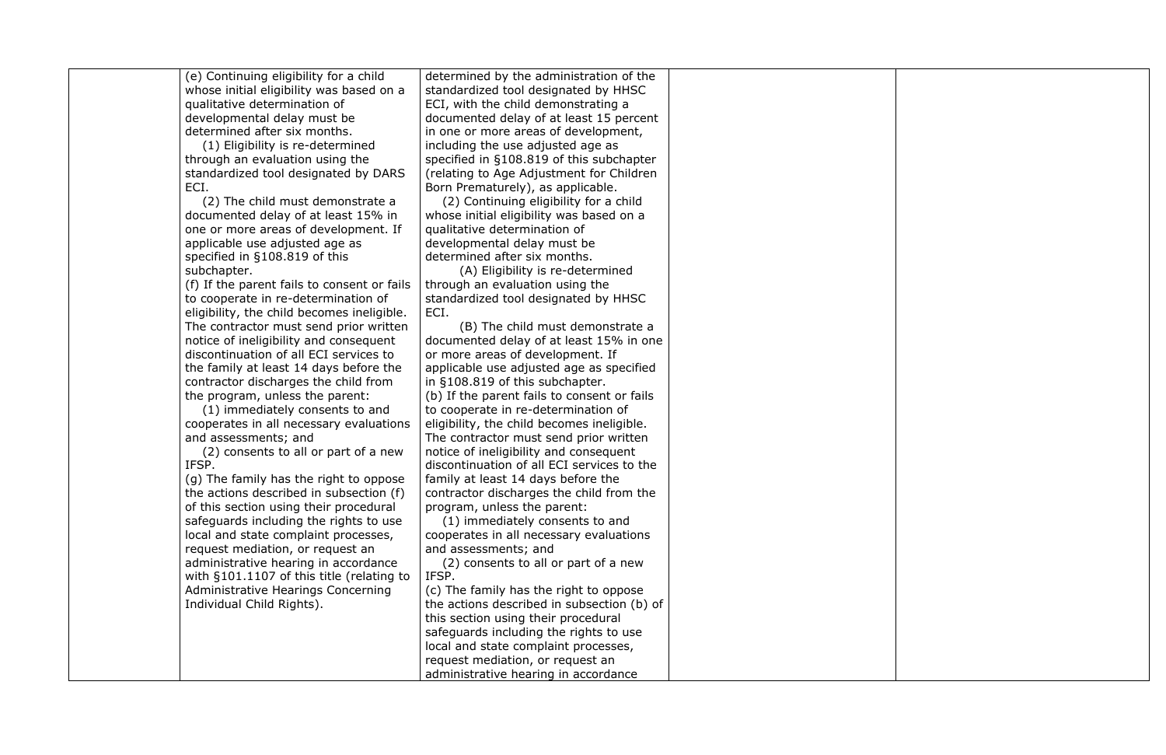(e) Continuing eligibility for a child whose initial eligibility was based on a qualitative determination of developmental delay must be determined after six months.

(1) Eligibility is re-determined through an evaluation using the standardized tool designated by DARS ECI.

(2) The child must demonstrate a documented delay of at least 15% in one or more areas of development. If applicable use adjusted age as specified in §108.819 of this subchapter.

(f) If the parent fails to consent or fails to cooperate in re-determination of eligibility, the child becomes ineligible. The contractor must send prior written notice of ineligibility and consequent discontinuation of all ECI services to the family at least 14 days before the contractor discharges the child from the program, unless the parent:

(1) immediately consents to and cooperates in all necessary evaluations and assessments; and

(2) consents to all or part of a new IFSP.

(g) The family has the right to oppose the actions described in subsection (f) of this section using their procedural safeguards including the rights to use local and state complaint processes, request mediation, or request an administrative hearing in accordance with §101.1107 of this title (relating to Administrative Hearings Concerning Individual Child Rights).

determined by the administration of the standardized tool designated by HHSC ECI, with the child demonstrating a documented delay of at least 15 percent in one or more areas of development, including the use adjusted age as specified in §108.819 of this subchapter (relating to Age Adjustment for Children Born Prematurely), as applicable.

(2) Continuing eligibility for a child whose initial eligibility was based on a qualitative determination of developmental delay must be determined after six months.

(A) Eligibility is re-determined through an evaluation using the standardized tool designated by HHSC ECI.

(B) The child must demonstrate a documented delay of at least 15% in one or more areas of development. If applicable use adjusted age as specified in §108.819 of this subchapter. (b) If the parent fails to consent or fails to cooperate in re-determination of eligibility, the child becomes ineligible. The contractor must send prior written notice of ineligibility and consequent discontinuation of all ECI services to the family at least 14 days before the contractor discharges the child from the program, unless the parent:

(1) immediately consents to and cooperates in all necessary evaluations and assessments; and

(2) consents to all or part of a new IFSP.

(c) The family has the right to oppose the actions described in subsection (b) of this section using their procedural safeguards including the rights to use local and state complaint processes, request mediation, or request an administrative hearing in accordance

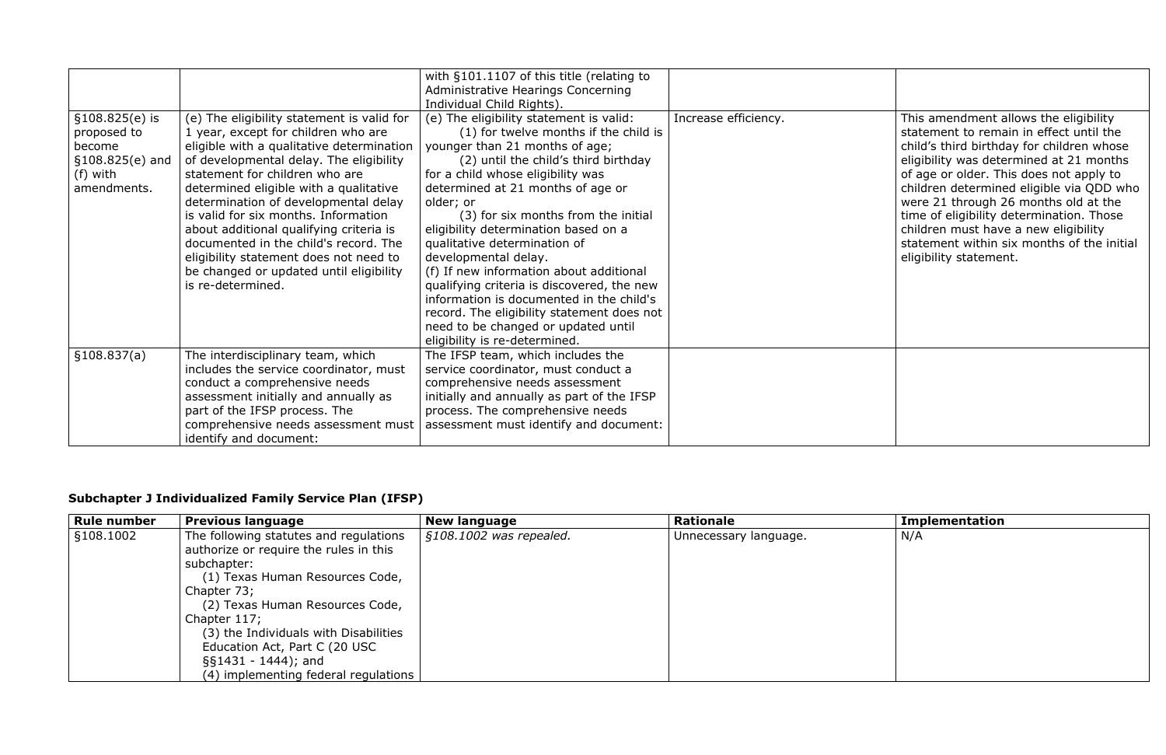|                                                                                           |                                                                                                                                                                                                                                                                                                                                                                                                                                                                                                                                     | with §101.1107 of this title (relating to<br>Administrative Hearings Concerning<br>Individual Child Rights).                                                                                                                                                                                                                                                                                                                                                                                                                                                                                                                                        |                      |                                                                                                                                                                                                                                                                                                                                                                                                                                                                     |
|-------------------------------------------------------------------------------------------|-------------------------------------------------------------------------------------------------------------------------------------------------------------------------------------------------------------------------------------------------------------------------------------------------------------------------------------------------------------------------------------------------------------------------------------------------------------------------------------------------------------------------------------|-----------------------------------------------------------------------------------------------------------------------------------------------------------------------------------------------------------------------------------------------------------------------------------------------------------------------------------------------------------------------------------------------------------------------------------------------------------------------------------------------------------------------------------------------------------------------------------------------------------------------------------------------------|----------------------|---------------------------------------------------------------------------------------------------------------------------------------------------------------------------------------------------------------------------------------------------------------------------------------------------------------------------------------------------------------------------------------------------------------------------------------------------------------------|
| $$108.825(e)$ is<br>proposed to<br>become<br>$$108.825(e)$ and<br>(f) with<br>amendments. | (e) The eligibility statement is valid for<br>1 year, except for children who are<br>eligible with a qualitative determination<br>of developmental delay. The eligibility<br>statement for children who are<br>determined eligible with a qualitative<br>determination of developmental delay<br>is valid for six months. Information<br>about additional qualifying criteria is<br>documented in the child's record. The<br>eligibility statement does not need to<br>be changed or updated until eligibility<br>is re-determined. | (e) The eligibility statement is valid:<br>(1) for twelve months if the child is<br>younger than 21 months of age;<br>(2) until the child's third birthday<br>for a child whose eligibility was<br>determined at 21 months of age or<br>older; or<br>(3) for six months from the initial<br>eligibility determination based on a<br>qualitative determination of<br>developmental delay.<br>(f) If new information about additional<br>qualifying criteria is discovered, the new<br>information is documented in the child's<br>record. The eligibility statement does not<br>need to be changed or updated until<br>eligibility is re-determined. | Increase efficiency. | This amendment allows the eligibility<br>statement to remain in effect until the<br>child's third birthday for children whose<br>eligibility was determined at 21 months<br>of age or older. This does not apply to<br>children determined eligible via QDD who<br>were 21 through 26 months old at the<br>time of eligibility determination. Those<br>children must have a new eligibility<br>statement within six months of the initial<br>eligibility statement. |
| \$108.837(a)                                                                              | The interdisciplinary team, which<br>includes the service coordinator, must<br>conduct a comprehensive needs<br>assessment initially and annually as<br>part of the IFSP process. The<br>comprehensive needs assessment must<br>identify and document:                                                                                                                                                                                                                                                                              | The IFSP team, which includes the<br>service coordinator, must conduct a<br>comprehensive needs assessment<br>initially and annually as part of the IFSP<br>process. The comprehensive needs<br>assessment must identify and document:                                                                                                                                                                                                                                                                                                                                                                                                              |                      |                                                                                                                                                                                                                                                                                                                                                                                                                                                                     |

# **Subchapter J Individualized Family Service Plan (IFSP)**

| <b>Rule number</b> | <b>Previous language</b>                                                                                                                                                                                                                                                                                                                           | <b>New language</b>     | <b>Rationale</b>      | <b>Implementation</b> |
|--------------------|----------------------------------------------------------------------------------------------------------------------------------------------------------------------------------------------------------------------------------------------------------------------------------------------------------------------------------------------------|-------------------------|-----------------------|-----------------------|
| §108.1002          | The following statutes and regulations<br>authorize or require the rules in this<br>subchapter:<br>(1) Texas Human Resources Code,<br>Chapter 73;<br>(2) Texas Human Resources Code,<br>Chapter 117;<br>(3) the Individuals with Disabilities<br>Education Act, Part C (20 USC<br>$\S$ [51431 - 1444]; and<br>(4) implementing federal regulations | §108.1002 was repealed. | Unnecessary language. | N/A                   |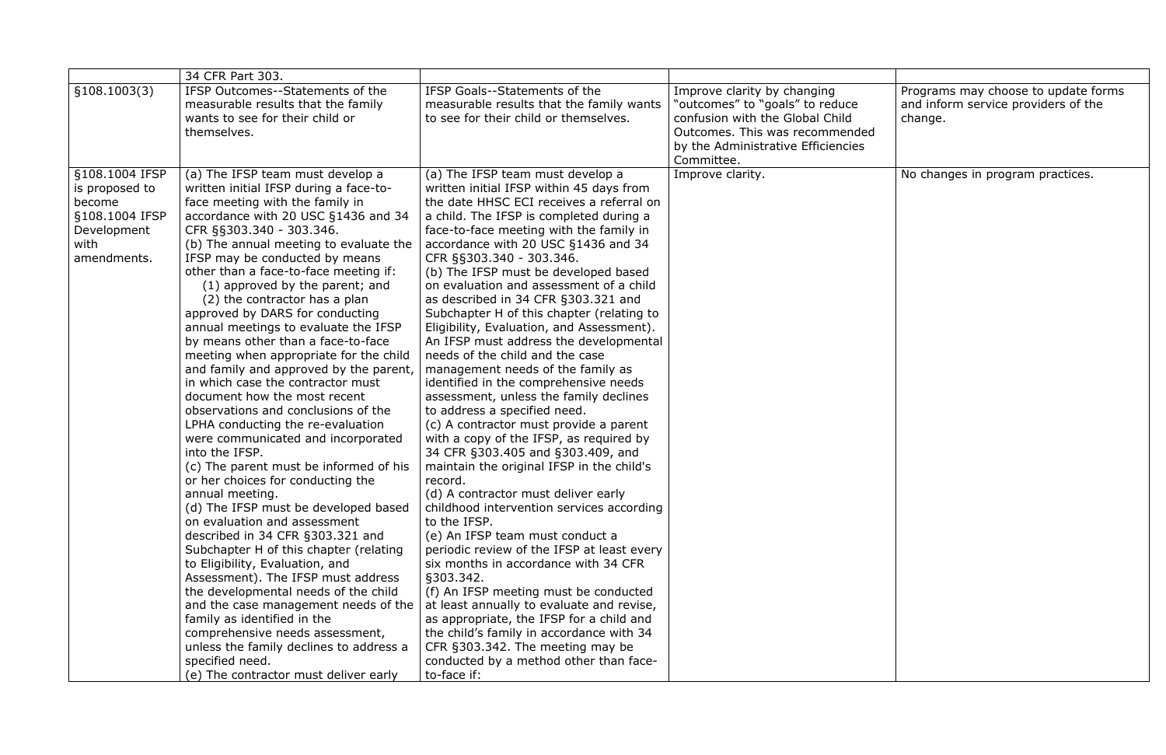|                                                                                                    | 34 CFR Part 303.                                                                                                                                                                                                                                                                                                                                                                                                                                                                                                                                                                                                                                                                                                                                                                                                                                                                                                                                                                                                                                                                                                                                                                                                                                                                                                                                                                  |                                                                                                                                                                                                                                                                                                                                                                                                                                                                                                                                                                                                                                                                                                                                                                                                                                                                                                                                                                                                                                                                                                                                                                                                                                                                                                                                                                                                                                                   |                                                                                                                                                                                         |
|----------------------------------------------------------------------------------------------------|-----------------------------------------------------------------------------------------------------------------------------------------------------------------------------------------------------------------------------------------------------------------------------------------------------------------------------------------------------------------------------------------------------------------------------------------------------------------------------------------------------------------------------------------------------------------------------------------------------------------------------------------------------------------------------------------------------------------------------------------------------------------------------------------------------------------------------------------------------------------------------------------------------------------------------------------------------------------------------------------------------------------------------------------------------------------------------------------------------------------------------------------------------------------------------------------------------------------------------------------------------------------------------------------------------------------------------------------------------------------------------------|---------------------------------------------------------------------------------------------------------------------------------------------------------------------------------------------------------------------------------------------------------------------------------------------------------------------------------------------------------------------------------------------------------------------------------------------------------------------------------------------------------------------------------------------------------------------------------------------------------------------------------------------------------------------------------------------------------------------------------------------------------------------------------------------------------------------------------------------------------------------------------------------------------------------------------------------------------------------------------------------------------------------------------------------------------------------------------------------------------------------------------------------------------------------------------------------------------------------------------------------------------------------------------------------------------------------------------------------------------------------------------------------------------------------------------------------------|-----------------------------------------------------------------------------------------------------------------------------------------------------------------------------------------|
| \$108.1003(3)                                                                                      | IFSP Outcomes--Statements of the<br>measurable results that the family<br>wants to see for their child or<br>themselves.                                                                                                                                                                                                                                                                                                                                                                                                                                                                                                                                                                                                                                                                                                                                                                                                                                                                                                                                                                                                                                                                                                                                                                                                                                                          | IFSP Goals--Statements of the<br>measurable results that the family wants<br>to see for their child or themselves.                                                                                                                                                                                                                                                                                                                                                                                                                                                                                                                                                                                                                                                                                                                                                                                                                                                                                                                                                                                                                                                                                                                                                                                                                                                                                                                                | Improve clarity by changing<br>"outcomes" to "goals" to reduce<br>confusion with the Global Child<br>Outcomes. This was recommended<br>by the Administrative Efficiencies<br>Committee. |
| §108.1004 IFSP<br>is proposed to<br>become<br>§108.1004 IFSP<br>Development<br>with<br>amendments. | (a) The IFSP team must develop a<br>written initial IFSP during a face-to-<br>face meeting with the family in<br>accordance with 20 USC §1436 and 34<br>CFR §§303.340 - 303.346.<br>(b) The annual meeting to evaluate the<br>IFSP may be conducted by means<br>other than a face-to-face meeting if:<br>(1) approved by the parent; and<br>(2) the contractor has a plan<br>approved by DARS for conducting<br>annual meetings to evaluate the IFSP<br>by means other than a face-to-face<br>meeting when appropriate for the child<br>and family and approved by the parent,<br>in which case the contractor must<br>document how the most recent<br>observations and conclusions of the<br>LPHA conducting the re-evaluation<br>were communicated and incorporated<br>into the IFSP.<br>(c) The parent must be informed of his<br>or her choices for conducting the<br>annual meeting.<br>(d) The IFSP must be developed based<br>on evaluation and assessment<br>described in 34 CFR §303.321 and<br>Subchapter H of this chapter (relating<br>to Eligibility, Evaluation, and<br>Assessment). The IFSP must address<br>the developmental needs of the child<br>and the case management needs of the<br>family as identified in the<br>comprehensive needs assessment,<br>unless the family declines to address a<br>specified need.<br>(e) The contractor must deliver early | (a) The IFSP team must develop a<br>written initial IFSP within 45 days from<br>the date HHSC ECI receives a referral on<br>a child. The IFSP is completed during a<br>face-to-face meeting with the family in<br>accordance with 20 USC §1436 and 34<br>CFR §§303.340 - 303.346.<br>(b) The IFSP must be developed based<br>on evaluation and assessment of a child<br>as described in 34 CFR §303.321 and<br>Subchapter H of this chapter (relating to<br>Eligibility, Evaluation, and Assessment).<br>An IFSP must address the developmental<br>needs of the child and the case<br>management needs of the family as<br>identified in the comprehensive needs<br>assessment, unless the family declines<br>to address a specified need.<br>(c) A contractor must provide a parent<br>with a copy of the IFSP, as required by<br>34 CFR §303.405 and §303.409, and<br>maintain the original IFSP in the child's<br>record.<br>(d) A contractor must deliver early<br>childhood intervention services according<br>to the IFSP.<br>(e) An IFSP team must conduct a<br>periodic review of the IFSP at least every<br>six months in accordance with 34 CFR<br>§303.342.<br>(f) An IFSP meeting must be conducted<br>at least annually to evaluate and revise,<br>as appropriate, the IFSP for a child and<br>the child's family in accordance with 34<br>CFR §303.342. The meeting may be<br>conducted by a method other than face-<br>to-face if: | Improve clarity.                                                                                                                                                                        |

| Improve clarity by changing<br>"outcomes" to "goals" to reduce<br>confusion with the Global Child<br>Outcomes. This was recommended<br>by the Administrative Efficiencies<br>Committee. | Programs may choose to update forms<br>and inform service providers of the<br>change. |
|-----------------------------------------------------------------------------------------------------------------------------------------------------------------------------------------|---------------------------------------------------------------------------------------|
| Improve clarity.                                                                                                                                                                        | No changes in program practices.                                                      |
|                                                                                                                                                                                         |                                                                                       |
|                                                                                                                                                                                         |                                                                                       |
|                                                                                                                                                                                         |                                                                                       |
|                                                                                                                                                                                         |                                                                                       |
|                                                                                                                                                                                         |                                                                                       |
|                                                                                                                                                                                         |                                                                                       |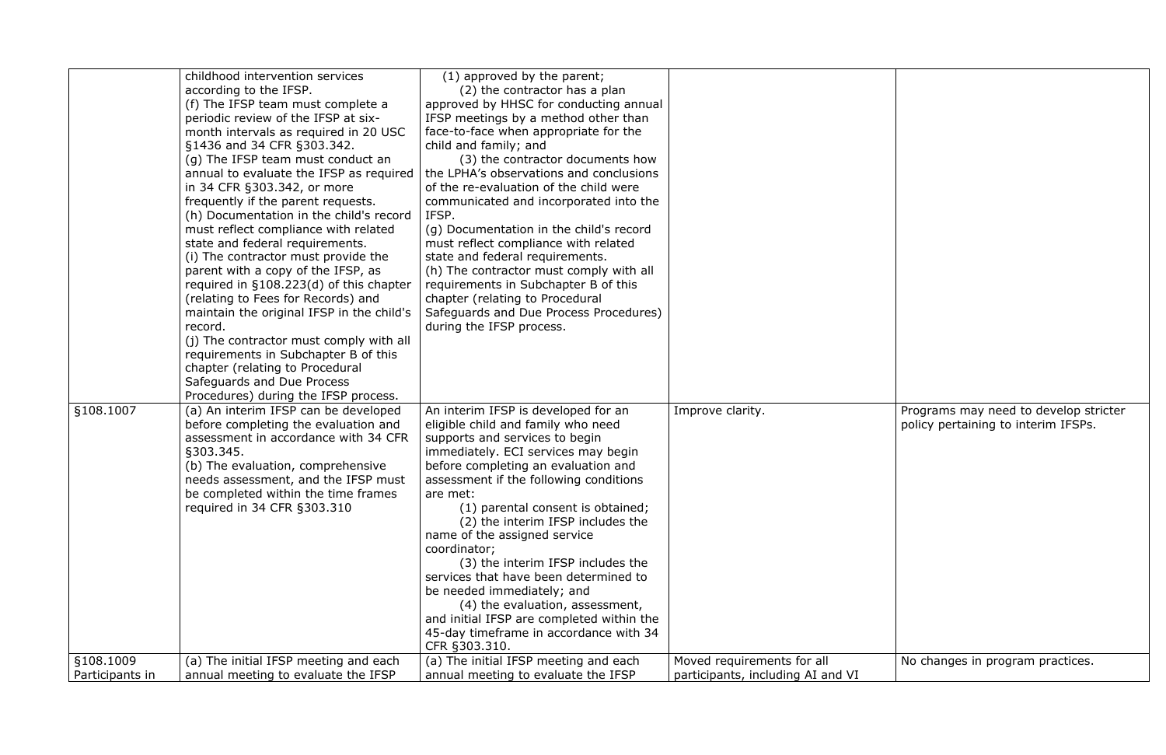|                 | childhood intervention services           | (1) approved by the parent;               |                                   |
|-----------------|-------------------------------------------|-------------------------------------------|-----------------------------------|
|                 | according to the IFSP.                    | (2) the contractor has a plan             |                                   |
|                 | (f) The IFSP team must complete a         | approved by HHSC for conducting annual    |                                   |
|                 | periodic review of the IFSP at six-       | IFSP meetings by a method other than      |                                   |
|                 | month intervals as required in 20 USC     | face-to-face when appropriate for the     |                                   |
|                 | §1436 and 34 CFR §303.342.                | child and family; and                     |                                   |
|                 | (g) The IFSP team must conduct an         | (3) the contractor documents how          |                                   |
|                 | annual to evaluate the IFSP as required   | the LPHA's observations and conclusions   |                                   |
|                 | in 34 CFR §303.342, or more               | of the re-evaluation of the child were    |                                   |
|                 | frequently if the parent requests.        | communicated and incorporated into the    |                                   |
|                 | (h) Documentation in the child's record   | IFSP.                                     |                                   |
|                 | must reflect compliance with related      | (g) Documentation in the child's record   |                                   |
|                 | state and federal requirements.           | must reflect compliance with related      |                                   |
|                 | (i) The contractor must provide the       | state and federal requirements.           |                                   |
|                 | parent with a copy of the IFSP, as        | (h) The contractor must comply with all   |                                   |
|                 | required in $§108.223(d)$ of this chapter | requirements in Subchapter B of this      |                                   |
|                 | (relating to Fees for Records) and        | chapter (relating to Procedural           |                                   |
|                 | maintain the original IFSP in the child's | Safeguards and Due Process Procedures)    |                                   |
|                 | record.                                   | during the IFSP process.                  |                                   |
|                 | (j) The contractor must comply with all   |                                           |                                   |
|                 | requirements in Subchapter B of this      |                                           |                                   |
|                 | chapter (relating to Procedural           |                                           |                                   |
|                 | Safeguards and Due Process                |                                           |                                   |
|                 | Procedures) during the IFSP process.      |                                           |                                   |
| §108.1007       | (a) An interim IFSP can be developed      | An interim IFSP is developed for an       | Improve clarity.                  |
|                 | before completing the evaluation and      | eligible child and family who need        |                                   |
|                 | assessment in accordance with 34 CFR      | supports and services to begin            |                                   |
|                 | §303.345.                                 | immediately. ECI services may begin       |                                   |
|                 | (b) The evaluation, comprehensive         | before completing an evaluation and       |                                   |
|                 | needs assessment, and the IFSP must       | assessment if the following conditions    |                                   |
|                 | be completed within the time frames       | are met:                                  |                                   |
|                 | required in 34 CFR §303.310               | (1) parental consent is obtained;         |                                   |
|                 |                                           | (2) the interim IFSP includes the         |                                   |
|                 |                                           | name of the assigned service              |                                   |
|                 |                                           | coordinator;                              |                                   |
|                 |                                           | (3) the interim IFSP includes the         |                                   |
|                 |                                           | services that have been determined to     |                                   |
|                 |                                           | be needed immediately; and                |                                   |
|                 |                                           | (4) the evaluation, assessment,           |                                   |
|                 |                                           | and initial IFSP are completed within the |                                   |
|                 |                                           | 45-day timeframe in accordance with 34    |                                   |
|                 |                                           | CFR §303.310.                             |                                   |
| §108.1009       | (a) The initial IFSP meeting and each     | (a) The initial IFSP meeting and each     | Moved requirements for all        |
| Participants in | annual meeting to evaluate the IFSP       | annual meeting to evaluate the IFSP       | participants, including AI and VI |

| Improve clarity.                                                | Programs may need to develop stricter<br>policy pertaining to interim IFSPs. |
|-----------------------------------------------------------------|------------------------------------------------------------------------------|
| Moved requirements for all<br>participants, including AI and VI | No changes in program practices.                                             |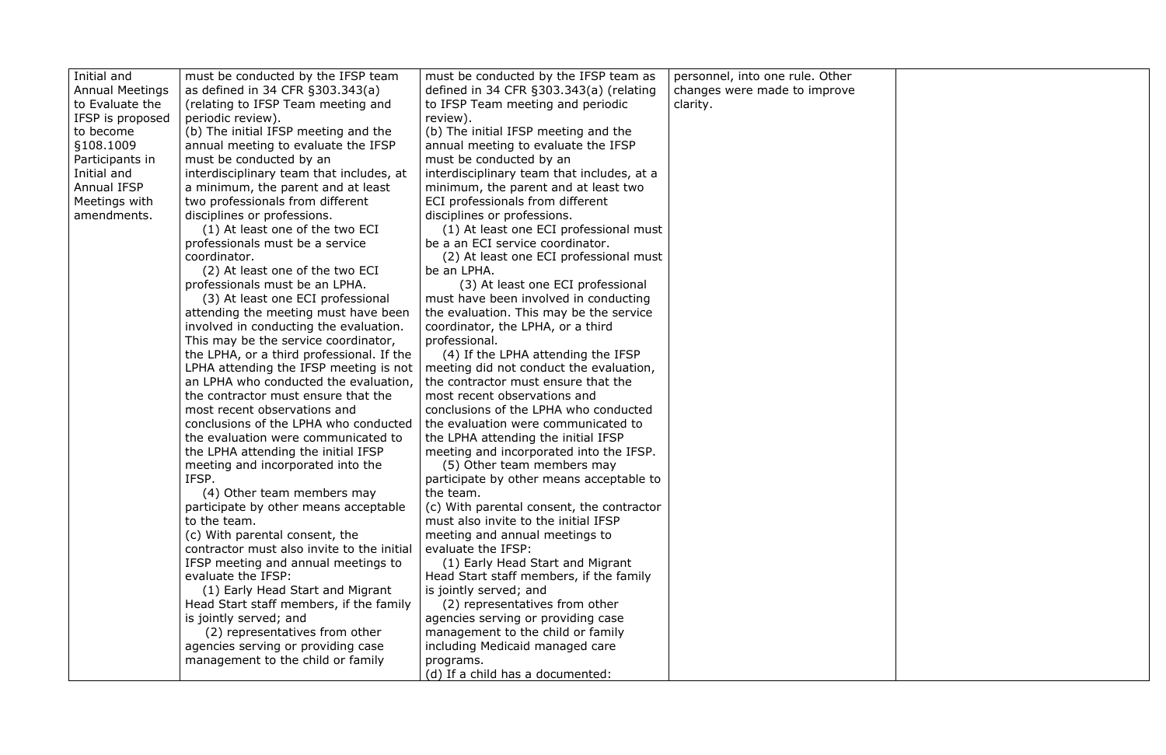| Initial and            | must be conducted by the IFSP team         | must be conducted by the IFSP team as      | personnel, into one rule. Other |
|------------------------|--------------------------------------------|--------------------------------------------|---------------------------------|
| <b>Annual Meetings</b> | as defined in 34 CFR §303.343(a)           | defined in 34 CFR §303.343(a) (relating    | changes were made to improve    |
| to Evaluate the        | (relating to IFSP Team meeting and         | to IFSP Team meeting and periodic          | clarity.                        |
| IFSP is proposed       | periodic review).                          | review).                                   |                                 |
| to become              | (b) The initial IFSP meeting and the       | (b) The initial IFSP meeting and the       |                                 |
| §108.1009              | annual meeting to evaluate the IFSP        | annual meeting to evaluate the IFSP        |                                 |
| Participants in        | must be conducted by an                    | must be conducted by an                    |                                 |
| Initial and            | interdisciplinary team that includes, at   | interdisciplinary team that includes, at a |                                 |
| <b>Annual IFSP</b>     | a minimum, the parent and at least         | minimum, the parent and at least two       |                                 |
| Meetings with          | two professionals from different           | ECI professionals from different           |                                 |
| amendments.            | disciplines or professions.                | disciplines or professions.                |                                 |
|                        | (1) At least one of the two ECI            | (1) At least one ECI professional must     |                                 |
|                        | professionals must be a service            | be a an ECI service coordinator.           |                                 |
|                        | coordinator.                               | (2) At least one ECI professional must     |                                 |
|                        | (2) At least one of the two ECI            | be an LPHA.                                |                                 |
|                        | professionals must be an LPHA.             | (3) At least one ECI professional          |                                 |
|                        | (3) At least one ECI professional          | must have been involved in conducting      |                                 |
|                        | attending the meeting must have been       | the evaluation. This may be the service    |                                 |
|                        | involved in conducting the evaluation.     | coordinator, the LPHA, or a third          |                                 |
|                        | This may be the service coordinator,       | professional.                              |                                 |
|                        | the LPHA, or a third professional. If the  | (4) If the LPHA attending the IFSP         |                                 |
|                        | LPHA attending the IFSP meeting is not     | meeting did not conduct the evaluation,    |                                 |
|                        | an LPHA who conducted the evaluation,      | the contractor must ensure that the        |                                 |
|                        | the contractor must ensure that the        | most recent observations and               |                                 |
|                        | most recent observations and               | conclusions of the LPHA who conducted      |                                 |
|                        | conclusions of the LPHA who conducted      | the evaluation were communicated to        |                                 |
|                        | the evaluation were communicated to        | the LPHA attending the initial IFSP        |                                 |
|                        | the LPHA attending the initial IFSP        | meeting and incorporated into the IFSP.    |                                 |
|                        | meeting and incorporated into the          | (5) Other team members may                 |                                 |
|                        | IFSP.                                      | participate by other means acceptable to   |                                 |
|                        | (4) Other team members may                 | the team.                                  |                                 |
|                        | participate by other means acceptable      | (c) With parental consent, the contractor  |                                 |
|                        | to the team.                               | must also invite to the initial IFSP       |                                 |
|                        | (c) With parental consent, the             | meeting and annual meetings to             |                                 |
|                        | contractor must also invite to the initial | evaluate the IFSP:                         |                                 |
|                        | IFSP meeting and annual meetings to        | (1) Early Head Start and Migrant           |                                 |
|                        | evaluate the IFSP:                         | Head Start staff members, if the family    |                                 |
|                        | (1) Early Head Start and Migrant           | is jointly served; and                     |                                 |
|                        | Head Start staff members, if the family    | (2) representatives from other             |                                 |
|                        | is jointly served; and                     | agencies serving or providing case         |                                 |
|                        | (2) representatives from other             | management to the child or family          |                                 |
|                        | agencies serving or providing case         | including Medicaid managed care            |                                 |
|                        | management to the child or family          | programs.                                  |                                 |
|                        |                                            | (d) If a child has a documented:           |                                 |
|                        |                                            |                                            |                                 |

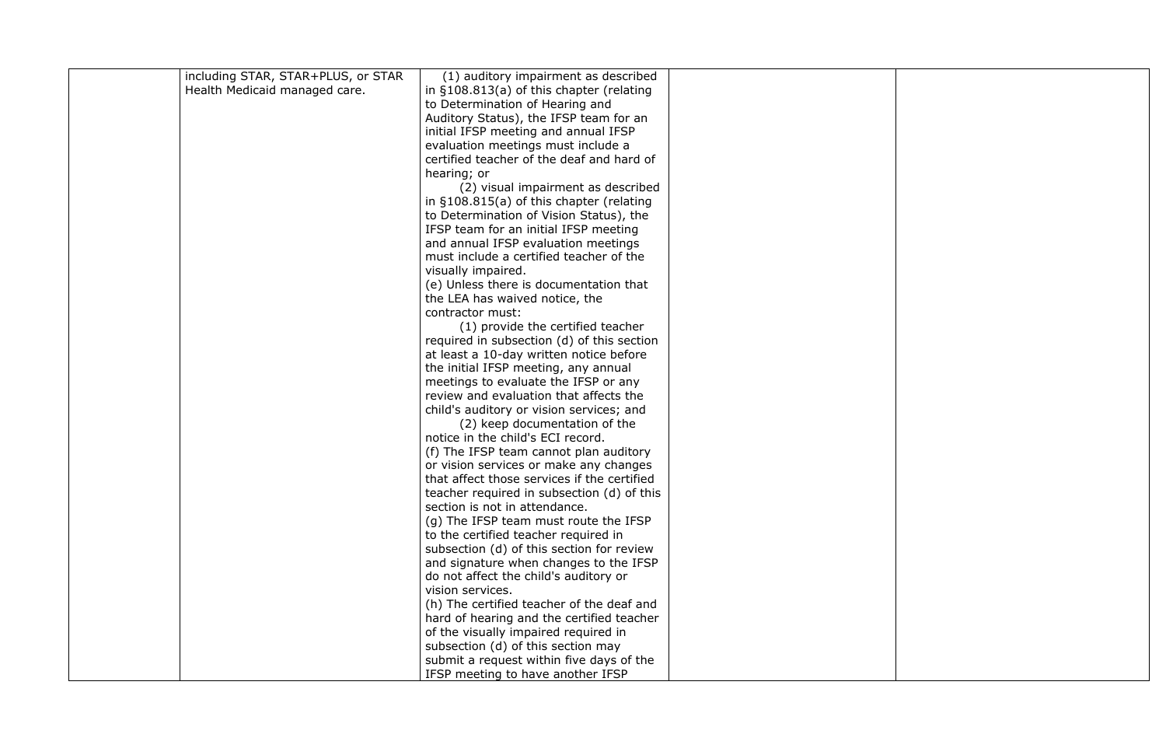| including STAR, STAR+PLUS, or STAR | (1) auditory impairment as described                                                  |  |
|------------------------------------|---------------------------------------------------------------------------------------|--|
| Health Medicaid managed care.      | in §108.813(a) of this chapter (relating                                              |  |
|                                    | to Determination of Hearing and                                                       |  |
|                                    | Auditory Status), the IFSP team for an                                                |  |
|                                    | initial IFSP meeting and annual IFSP                                                  |  |
|                                    | evaluation meetings must include a                                                    |  |
|                                    | certified teacher of the deaf and hard of                                             |  |
|                                    | hearing; or                                                                           |  |
|                                    | (2) visual impairment as described                                                    |  |
|                                    | in $\S108.815(a)$ of this chapter (relating                                           |  |
|                                    | to Determination of Vision Status), the                                               |  |
|                                    | IFSP team for an initial IFSP meeting                                                 |  |
|                                    | and annual IFSP evaluation meetings                                                   |  |
|                                    | must include a certified teacher of the                                               |  |
|                                    | visually impaired.                                                                    |  |
|                                    | (e) Unless there is documentation that                                                |  |
|                                    | the LEA has waived notice, the                                                        |  |
|                                    | contractor must:                                                                      |  |
|                                    | (1) provide the certified teacher                                                     |  |
|                                    | required in subsection (d) of this section                                            |  |
|                                    | at least a 10-day written notice before                                               |  |
|                                    | the initial IFSP meeting, any annual                                                  |  |
|                                    | meetings to evaluate the IFSP or any                                                  |  |
|                                    | review and evaluation that affects the                                                |  |
|                                    | child's auditory or vision services; and                                              |  |
|                                    | (2) keep documentation of the                                                         |  |
|                                    | notice in the child's ECI record.                                                     |  |
|                                    | (f) The IFSP team cannot plan auditory                                                |  |
|                                    | or vision services or make any changes<br>that affect those services if the certified |  |
|                                    | teacher required in subsection (d) of this                                            |  |
|                                    | section is not in attendance.                                                         |  |
|                                    | (g) The IFSP team must route the IFSP                                                 |  |
|                                    | to the certified teacher required in                                                  |  |
|                                    | subsection (d) of this section for review                                             |  |
|                                    | and signature when changes to the IFSP                                                |  |
|                                    | do not affect the child's auditory or                                                 |  |
|                                    | vision services.                                                                      |  |
|                                    | (h) The certified teacher of the deaf and                                             |  |
|                                    | hard of hearing and the certified teacher                                             |  |
|                                    | of the visually impaired required in                                                  |  |
|                                    | subsection (d) of this section may                                                    |  |
|                                    | submit a request within five days of the                                              |  |
|                                    | IFSP meeting to have another IFSP                                                     |  |
|                                    |                                                                                       |  |

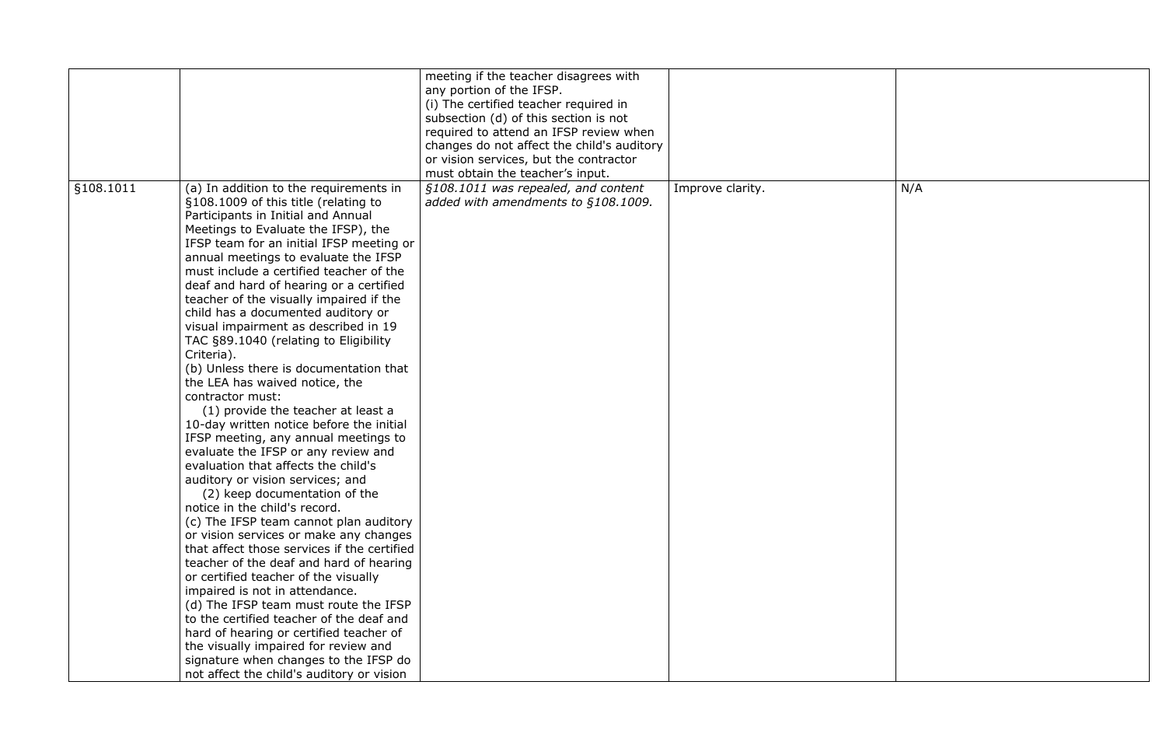|           |                                                                                                                                                                                                                                                                                                                                                                                                                                                                                                                                                                                                                                                                                                                                                                                                                                                                                                                                                                                                                                                                                                                                                                                                                                                                                                                                                                                                              | meeting if the teacher disagrees with<br>any portion of the IFSP.<br>(i) The certified teacher required in<br>subsection (d) of this section is not<br>required to attend an IFSP review when<br>changes do not affect the child's auditory<br>or vision services, but the contractor |                  |     |
|-----------|--------------------------------------------------------------------------------------------------------------------------------------------------------------------------------------------------------------------------------------------------------------------------------------------------------------------------------------------------------------------------------------------------------------------------------------------------------------------------------------------------------------------------------------------------------------------------------------------------------------------------------------------------------------------------------------------------------------------------------------------------------------------------------------------------------------------------------------------------------------------------------------------------------------------------------------------------------------------------------------------------------------------------------------------------------------------------------------------------------------------------------------------------------------------------------------------------------------------------------------------------------------------------------------------------------------------------------------------------------------------------------------------------------------|---------------------------------------------------------------------------------------------------------------------------------------------------------------------------------------------------------------------------------------------------------------------------------------|------------------|-----|
| §108.1011 | (a) In addition to the requirements in<br>§108.1009 of this title (relating to<br>Participants in Initial and Annual<br>Meetings to Evaluate the IFSP), the<br>IFSP team for an initial IFSP meeting or<br>annual meetings to evaluate the IFSP<br>must include a certified teacher of the<br>deaf and hard of hearing or a certified<br>teacher of the visually impaired if the<br>child has a documented auditory or<br>visual impairment as described in 19<br>TAC §89.1040 (relating to Eligibility<br>Criteria).<br>(b) Unless there is documentation that<br>the LEA has waived notice, the<br>contractor must:<br>(1) provide the teacher at least a<br>10-day written notice before the initial<br>IFSP meeting, any annual meetings to<br>evaluate the IFSP or any review and<br>evaluation that affects the child's<br>auditory or vision services; and<br>(2) keep documentation of the<br>notice in the child's record.<br>(c) The IFSP team cannot plan auditory<br>or vision services or make any changes<br>that affect those services if the certified<br>teacher of the deaf and hard of hearing<br>or certified teacher of the visually<br>impaired is not in attendance.<br>(d) The IFSP team must route the IFSP<br>to the certified teacher of the deaf and<br>hard of hearing or certified teacher of<br>the visually impaired for review and<br>signature when changes to the IFSP do | must obtain the teacher's input.<br>§108.1011 was repealed, and content<br>added with amendments to §108.1009.                                                                                                                                                                        | Improve clarity. | N/A |
|           | not affect the child's auditory or vision                                                                                                                                                                                                                                                                                                                                                                                                                                                                                                                                                                                                                                                                                                                                                                                                                                                                                                                                                                                                                                                                                                                                                                                                                                                                                                                                                                    |                                                                                                                                                                                                                                                                                       |                  |     |

| N/A |
|-----|
|     |
|     |
|     |
|     |
|     |
|     |
|     |
|     |
|     |
|     |
|     |
|     |
|     |
|     |
|     |
|     |
|     |
|     |
|     |
|     |
|     |
|     |
|     |
|     |
|     |
|     |
|     |
|     |
|     |
|     |
|     |
|     |
|     |
|     |
|     |
|     |
|     |
|     |
|     |
|     |
|     |
|     |
|     |
|     |
|     |
|     |
|     |
|     |
|     |
|     |
|     |
|     |
|     |
|     |
|     |
|     |
|     |
|     |
|     |
|     |
|     |
|     |
|     |
|     |
|     |
|     |
|     |
|     |
|     |
|     |
|     |
|     |
|     |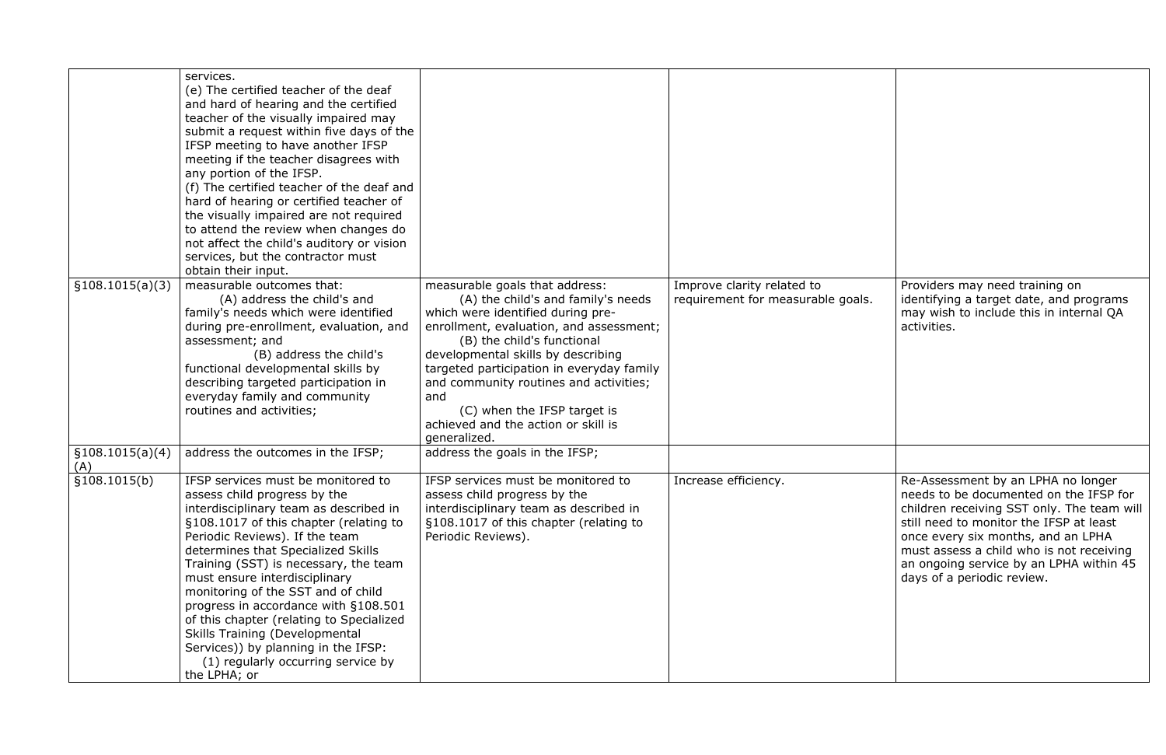| §108.1015(a)(3)         | services.<br>(e) The certified teacher of the deaf<br>and hard of hearing and the certified<br>teacher of the visually impaired may<br>submit a request within five days of the<br>IFSP meeting to have another IFSP<br>meeting if the teacher disagrees with<br>any portion of the IFSP.<br>(f) The certified teacher of the deaf and<br>hard of hearing or certified teacher of<br>the visually impaired are not required<br>to attend the review when changes do<br>not affect the child's auditory or vision<br>services, but the contractor must<br>obtain their input.<br>measurable outcomes that:<br>(A) address the child's and<br>family's needs which were identified<br>during pre-enrollment, evaluation, and<br>assessment; and<br>(B) address the child's<br>functional developmental skills by<br>describing targeted participation in<br>everyday family and community<br>routines and activities; | measurable goals that address:<br>(A) the child's and family's needs<br>which were identified during pre-<br>enrollment, evaluation, and assessment;<br>(B) the child's functional<br>developmental skills by describing<br>targeted participation in everyday family<br>and community routines and activities;<br>and<br>(C) when the IFSP target is<br>achieved and the action or skill is<br>generalized. | Improve clarity related to<br>requirement for measurable go |
|-------------------------|---------------------------------------------------------------------------------------------------------------------------------------------------------------------------------------------------------------------------------------------------------------------------------------------------------------------------------------------------------------------------------------------------------------------------------------------------------------------------------------------------------------------------------------------------------------------------------------------------------------------------------------------------------------------------------------------------------------------------------------------------------------------------------------------------------------------------------------------------------------------------------------------------------------------|--------------------------------------------------------------------------------------------------------------------------------------------------------------------------------------------------------------------------------------------------------------------------------------------------------------------------------------------------------------------------------------------------------------|-------------------------------------------------------------|
| \$108.1015(a)(4)<br>(A) | address the outcomes in the IFSP;                                                                                                                                                                                                                                                                                                                                                                                                                                                                                                                                                                                                                                                                                                                                                                                                                                                                                   | address the goals in the IFSP;                                                                                                                                                                                                                                                                                                                                                                               |                                                             |
| \$108.1015(b)           | IFSP services must be monitored to<br>assess child progress by the<br>interdisciplinary team as described in<br>§108.1017 of this chapter (relating to<br>Periodic Reviews). If the team<br>determines that Specialized Skills<br>Training (SST) is necessary, the team<br>must ensure interdisciplinary<br>monitoring of the SST and of child<br>progress in accordance with §108.501<br>of this chapter (relating to Specialized<br><b>Skills Training (Developmental</b><br>Services)) by planning in the IFSP:<br>(1) regularly occurring service by<br>the LPHA; or                                                                                                                                                                                                                                                                                                                                            | IFSP services must be monitored to<br>assess child progress by the<br>interdisciplinary team as described in<br>§108.1017 of this chapter (relating to<br>Periodic Reviews).                                                                                                                                                                                                                                 | Increase efficiency.                                        |

| Improve clarity related to<br>requirement for measurable goals. | Providers may need training on<br>identifying a target date, and programs<br>may wish to include this in internal QA<br>activities.                                                                                                                                                                                              |
|-----------------------------------------------------------------|----------------------------------------------------------------------------------------------------------------------------------------------------------------------------------------------------------------------------------------------------------------------------------------------------------------------------------|
| Increase efficiency.                                            | Re-Assessment by an LPHA no longer<br>needs to be documented on the IFSP for<br>children receiving SST only. The team will<br>still need to monitor the IFSP at least<br>once every six months, and an LPHA<br>must assess a child who is not receiving<br>an ongoing service by an LPHA within 45<br>days of a periodic review. |
|                                                                 |                                                                                                                                                                                                                                                                                                                                  |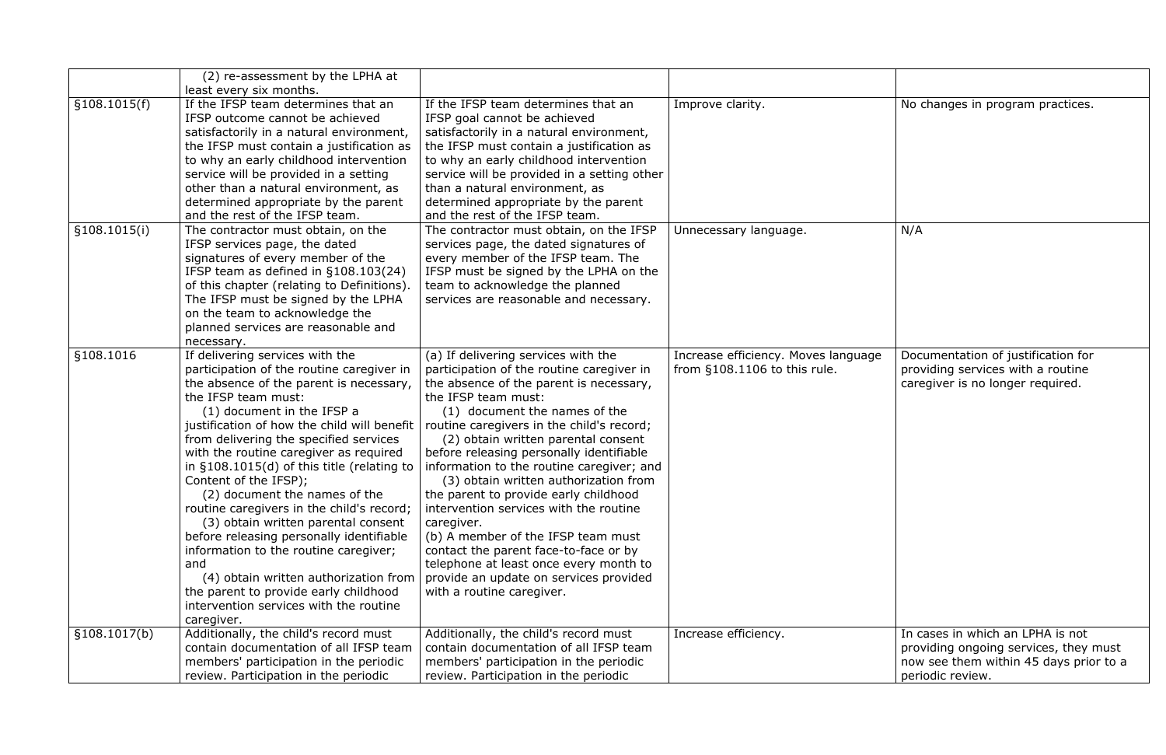| Improve clarity.                                                      | No changes in program practices.                                                                                                        |
|-----------------------------------------------------------------------|-----------------------------------------------------------------------------------------------------------------------------------------|
| Unnecessary language.                                                 | N/A                                                                                                                                     |
| Increase efficiency. Moves language<br>from $§108.1106$ to this rule. | Documentation of justification for<br>providing services with a routine<br>caregiver is no longer required.                             |
| Increase efficiency.                                                  | In cases in which an LPHA is not<br>providing ongoing services, they must<br>now see them within 45 days prior to a<br>periodic review. |

|              | (2) re-assessment by the LPHA at<br>least every six months.                                                                                                                                                                                                                                                                                                                                                                                                                                                                                                                                                                                                                                                                                         |                                                                                                                                                                                                                                                                                                                                                                                                                                                                                                                                                                                                                                                                                                            |                                                                     |                                                                    |
|--------------|-----------------------------------------------------------------------------------------------------------------------------------------------------------------------------------------------------------------------------------------------------------------------------------------------------------------------------------------------------------------------------------------------------------------------------------------------------------------------------------------------------------------------------------------------------------------------------------------------------------------------------------------------------------------------------------------------------------------------------------------------------|------------------------------------------------------------------------------------------------------------------------------------------------------------------------------------------------------------------------------------------------------------------------------------------------------------------------------------------------------------------------------------------------------------------------------------------------------------------------------------------------------------------------------------------------------------------------------------------------------------------------------------------------------------------------------------------------------------|---------------------------------------------------------------------|--------------------------------------------------------------------|
| §108.1015(f) | If the IFSP team determines that an<br>IFSP outcome cannot be achieved<br>satisfactorily in a natural environment,<br>the IFSP must contain a justification as<br>to why an early childhood intervention<br>service will be provided in a setting<br>other than a natural environment, as<br>determined appropriate by the parent<br>and the rest of the IFSP team.                                                                                                                                                                                                                                                                                                                                                                                 | If the IFSP team determines that an<br>IFSP goal cannot be achieved<br>satisfactorily in a natural environment,<br>the IFSP must contain a justification as<br>to why an early childhood intervention<br>service will be provided in a setting other<br>than a natural environment, as<br>determined appropriate by the parent<br>and the rest of the IFSP team.                                                                                                                                                                                                                                                                                                                                           | Improve clarity.                                                    | No changes in                                                      |
| §108.1015(i) | The contractor must obtain, on the<br>IFSP services page, the dated<br>signatures of every member of the<br>IFSP team as defined in §108.103(24)<br>of this chapter (relating to Definitions).<br>The IFSP must be signed by the LPHA<br>on the team to acknowledge the<br>planned services are reasonable and<br>necessary.                                                                                                                                                                                                                                                                                                                                                                                                                        | The contractor must obtain, on the IFSP<br>services page, the dated signatures of<br>every member of the IFSP team. The<br>IFSP must be signed by the LPHA on the<br>team to acknowledge the planned<br>services are reasonable and necessary.                                                                                                                                                                                                                                                                                                                                                                                                                                                             | Unnecessary language.                                               | N/A                                                                |
| §108.1016    | If delivering services with the<br>participation of the routine caregiver in<br>the absence of the parent is necessary,<br>the IFSP team must:<br>(1) document in the IFSP a<br>justification of how the child will benefit<br>from delivering the specified services<br>with the routine caregiver as required<br>in $§108.1015(d)$ of this title (relating to<br>Content of the IFSP);<br>(2) document the names of the<br>routine caregivers in the child's record;<br>(3) obtain written parental consent<br>before releasing personally identifiable<br>information to the routine caregiver;<br>and<br>(4) obtain written authorization from<br>the parent to provide early childhood<br>intervention services with the routine<br>caregiver. | (a) If delivering services with the<br>participation of the routine caregiver in<br>the absence of the parent is necessary,<br>the IFSP team must:<br>(1) document the names of the<br>routine caregivers in the child's record;<br>(2) obtain written parental consent<br>before releasing personally identifiable<br>information to the routine caregiver; and<br>(3) obtain written authorization from<br>the parent to provide early childhood<br>intervention services with the routine<br>caregiver.<br>(b) A member of the IFSP team must<br>contact the parent face-to-face or by<br>telephone at least once every month to<br>provide an update on services provided<br>with a routine caregiver. | Increase efficiency. Moves language<br>from §108.1106 to this rule. | Documentatio<br>providing serv<br>caregiver is no                  |
| §108.1017(b) | Additionally, the child's record must<br>contain documentation of all IFSP team<br>members' participation in the periodic<br>review. Participation in the periodic                                                                                                                                                                                                                                                                                                                                                                                                                                                                                                                                                                                  | Additionally, the child's record must<br>contain documentation of all IFSP team<br>members' participation in the periodic<br>review. Participation in the periodic                                                                                                                                                                                                                                                                                                                                                                                                                                                                                                                                         | Increase efficiency.                                                | In cases in wh<br>providing ong<br>now see them<br>periodic review |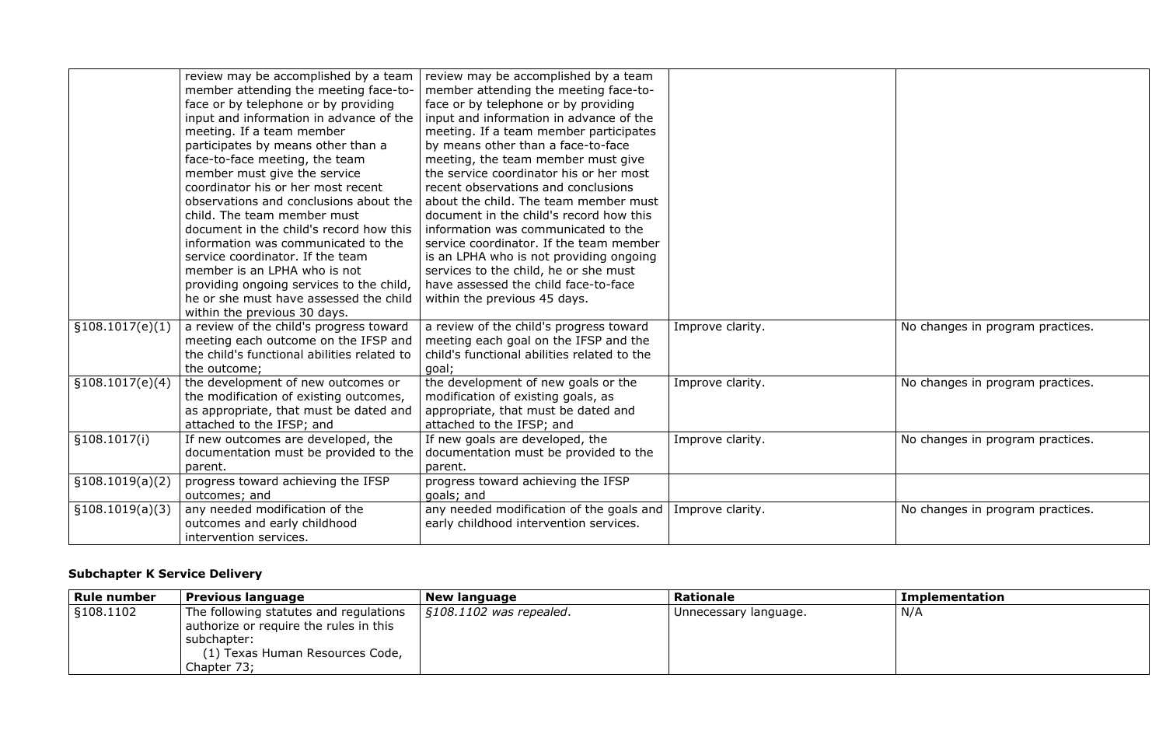|                  | review may be accomplished by a team<br>member attending the meeting face-to-<br>face or by telephone or by providing<br>input and information in advance of the<br>meeting. If a team member<br>participates by means other than a<br>face-to-face meeting, the team<br>member must give the service<br>coordinator his or her most recent<br>observations and conclusions about the<br>child. The team member must<br>document in the child's record how this<br>information was communicated to the<br>service coordinator. If the team<br>member is an LPHA who is not<br>providing ongoing services to the child,<br>he or she must have assessed the child | review may be accomplished by a team<br>member attending the meeting face-to-<br>face or by telephone or by providing<br>input and information in advance of the<br>meeting. If a team member participates<br>by means other than a face-to-face<br>meeting, the team member must give<br>the service coordinator his or her most<br>recent observations and conclusions<br>about the child. The team member must<br>document in the child's record how this<br>information was communicated to the<br>service coordinator. If the team member<br>is an LPHA who is not providing ongoing<br>services to the child, he or she must<br>have assessed the child face-to-face<br>within the previous 45 days. |                  |
|------------------|------------------------------------------------------------------------------------------------------------------------------------------------------------------------------------------------------------------------------------------------------------------------------------------------------------------------------------------------------------------------------------------------------------------------------------------------------------------------------------------------------------------------------------------------------------------------------------------------------------------------------------------------------------------|------------------------------------------------------------------------------------------------------------------------------------------------------------------------------------------------------------------------------------------------------------------------------------------------------------------------------------------------------------------------------------------------------------------------------------------------------------------------------------------------------------------------------------------------------------------------------------------------------------------------------------------------------------------------------------------------------------|------------------|
|                  | within the previous 30 days.                                                                                                                                                                                                                                                                                                                                                                                                                                                                                                                                                                                                                                     |                                                                                                                                                                                                                                                                                                                                                                                                                                                                                                                                                                                                                                                                                                            |                  |
| §108.1017(e)(1)  | a review of the child's progress toward<br>meeting each outcome on the IFSP and<br>the child's functional abilities related to<br>the outcome;                                                                                                                                                                                                                                                                                                                                                                                                                                                                                                                   | a review of the child's progress toward<br>meeting each goal on the IFSP and the<br>child's functional abilities related to the<br>qoal;                                                                                                                                                                                                                                                                                                                                                                                                                                                                                                                                                                   | Improve clarity. |
| \$108.1017(e)(4) | the development of new outcomes or<br>the modification of existing outcomes,<br>as appropriate, that must be dated and<br>attached to the IFSP; and                                                                                                                                                                                                                                                                                                                                                                                                                                                                                                              | the development of new goals or the<br>modification of existing goals, as<br>appropriate, that must be dated and<br>attached to the IFSP; and                                                                                                                                                                                                                                                                                                                                                                                                                                                                                                                                                              | Improve clarity. |
| §108.1017(i)     | If new outcomes are developed, the<br>documentation must be provided to the<br>parent.                                                                                                                                                                                                                                                                                                                                                                                                                                                                                                                                                                           | If new goals are developed, the<br>documentation must be provided to the<br>parent.                                                                                                                                                                                                                                                                                                                                                                                                                                                                                                                                                                                                                        | Improve clarity. |
| §108.1019(a)(2)  | progress toward achieving the IFSP<br>outcomes; and                                                                                                                                                                                                                                                                                                                                                                                                                                                                                                                                                                                                              | progress toward achieving the IFSP<br>goals; and                                                                                                                                                                                                                                                                                                                                                                                                                                                                                                                                                                                                                                                           |                  |
| §108.1019(a)(3)  | any needed modification of the<br>outcomes and early childhood<br>intervention services.                                                                                                                                                                                                                                                                                                                                                                                                                                                                                                                                                                         | any needed modification of the goals and<br>early childhood intervention services.                                                                                                                                                                                                                                                                                                                                                                                                                                                                                                                                                                                                                         | Improve clarity. |

# **Subchapter K Service Delivery**

| <b>Rule number</b> | <b>Previous language</b>               | <b>New language</b>       | <b>Rationale</b>      | Implementation |
|--------------------|----------------------------------------|---------------------------|-----------------------|----------------|
| §108.1102          | The following statutes and regulations | $$108.1102$ was repealed. | Unnecessary language. | N/A            |
|                    | authorize or require the rules in this |                           |                       |                |
|                    | subchapter:                            |                           |                       |                |
|                    | (1) Texas Human Resources Code,        |                           |                       |                |
|                    | Chapter 73;                            |                           |                       |                |

| Improve clarity. | No changes in program practices. |
|------------------|----------------------------------|
| Improve clarity. | No changes in program practices. |
| Improve clarity. | No changes in program practices. |
| Improve clarity. | No changes in program practices. |

| <b>Implementation</b> |
|-----------------------|
| N/A                   |
|                       |
|                       |
|                       |
|                       |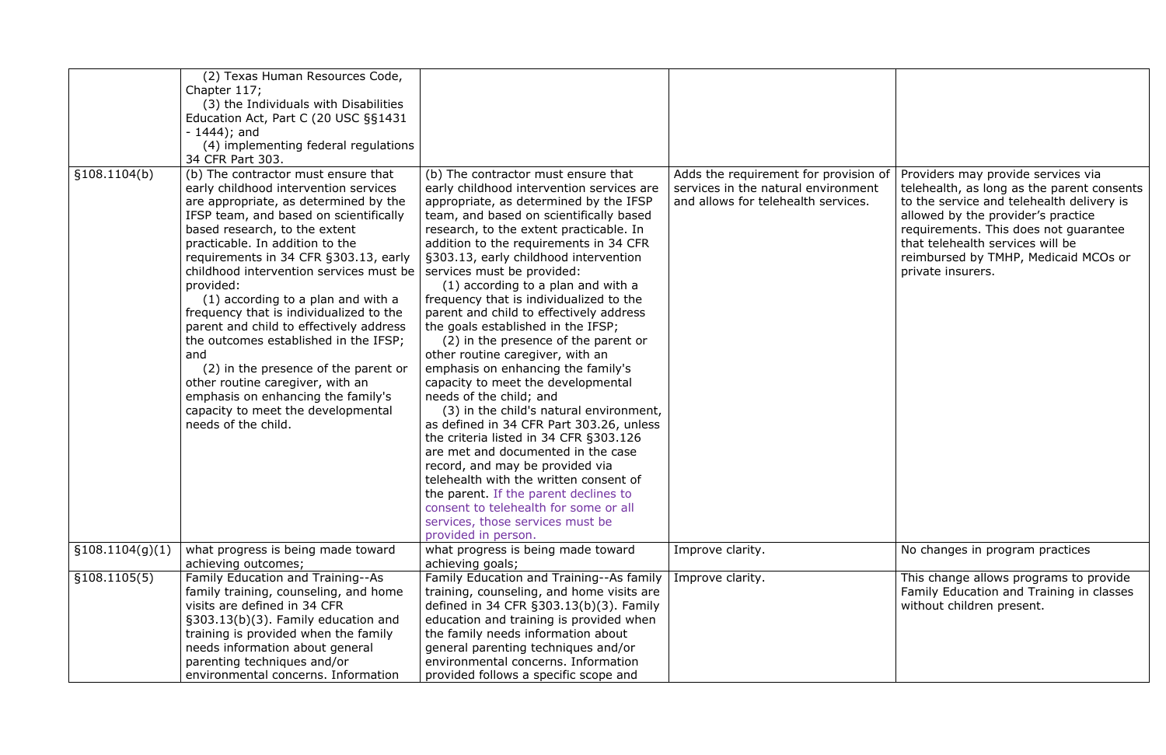|                  | (2) Texas Human Resources Code,                                                                                                                                                                                                                                                                                                                                                                                                                                                                                                                                                                                                                                                                 |                                                                                                                                                                                                                                                                                                                                                                                                                                                                                                                                                                                                                                                                                                                                                                                                                                                                                                                                            |                                                                                                                     |                                                                                                                                                                                                                                                                                                               |
|------------------|-------------------------------------------------------------------------------------------------------------------------------------------------------------------------------------------------------------------------------------------------------------------------------------------------------------------------------------------------------------------------------------------------------------------------------------------------------------------------------------------------------------------------------------------------------------------------------------------------------------------------------------------------------------------------------------------------|--------------------------------------------------------------------------------------------------------------------------------------------------------------------------------------------------------------------------------------------------------------------------------------------------------------------------------------------------------------------------------------------------------------------------------------------------------------------------------------------------------------------------------------------------------------------------------------------------------------------------------------------------------------------------------------------------------------------------------------------------------------------------------------------------------------------------------------------------------------------------------------------------------------------------------------------|---------------------------------------------------------------------------------------------------------------------|---------------------------------------------------------------------------------------------------------------------------------------------------------------------------------------------------------------------------------------------------------------------------------------------------------------|
|                  | Chapter 117;                                                                                                                                                                                                                                                                                                                                                                                                                                                                                                                                                                                                                                                                                    |                                                                                                                                                                                                                                                                                                                                                                                                                                                                                                                                                                                                                                                                                                                                                                                                                                                                                                                                            |                                                                                                                     |                                                                                                                                                                                                                                                                                                               |
|                  | (3) the Individuals with Disabilities                                                                                                                                                                                                                                                                                                                                                                                                                                                                                                                                                                                                                                                           |                                                                                                                                                                                                                                                                                                                                                                                                                                                                                                                                                                                                                                                                                                                                                                                                                                                                                                                                            |                                                                                                                     |                                                                                                                                                                                                                                                                                                               |
|                  | Education Act, Part C (20 USC §§1431                                                                                                                                                                                                                                                                                                                                                                                                                                                                                                                                                                                                                                                            |                                                                                                                                                                                                                                                                                                                                                                                                                                                                                                                                                                                                                                                                                                                                                                                                                                                                                                                                            |                                                                                                                     |                                                                                                                                                                                                                                                                                                               |
|                  | $-1444$ ; and                                                                                                                                                                                                                                                                                                                                                                                                                                                                                                                                                                                                                                                                                   |                                                                                                                                                                                                                                                                                                                                                                                                                                                                                                                                                                                                                                                                                                                                                                                                                                                                                                                                            |                                                                                                                     |                                                                                                                                                                                                                                                                                                               |
|                  | (4) implementing federal regulations                                                                                                                                                                                                                                                                                                                                                                                                                                                                                                                                                                                                                                                            |                                                                                                                                                                                                                                                                                                                                                                                                                                                                                                                                                                                                                                                                                                                                                                                                                                                                                                                                            |                                                                                                                     |                                                                                                                                                                                                                                                                                                               |
|                  | 34 CFR Part 303.                                                                                                                                                                                                                                                                                                                                                                                                                                                                                                                                                                                                                                                                                |                                                                                                                                                                                                                                                                                                                                                                                                                                                                                                                                                                                                                                                                                                                                                                                                                                                                                                                                            |                                                                                                                     |                                                                                                                                                                                                                                                                                                               |
| \$108.1104(b)    | (b) The contractor must ensure that<br>early childhood intervention services<br>are appropriate, as determined by the<br>IFSP team, and based on scientifically<br>based research, to the extent<br>practicable. In addition to the<br>requirements in 34 CFR §303.13, early<br>childhood intervention services must be<br>provided:<br>(1) according to a plan and with a<br>frequency that is individualized to the<br>parent and child to effectively address<br>the outcomes established in the IFSP;<br>and<br>(2) in the presence of the parent or<br>other routine caregiver, with an<br>emphasis on enhancing the family's<br>capacity to meet the developmental<br>needs of the child. | (b) The contractor must ensure that<br>early childhood intervention services are<br>appropriate, as determined by the IFSP<br>team, and based on scientifically based<br>research, to the extent practicable. In<br>addition to the requirements in 34 CFR<br>§303.13, early childhood intervention<br>services must be provided:<br>(1) according to a plan and with a<br>frequency that is individualized to the<br>parent and child to effectively address<br>the goals established in the IFSP;<br>(2) in the presence of the parent or<br>other routine caregiver, with an<br>emphasis on enhancing the family's<br>capacity to meet the developmental<br>needs of the child; and<br>(3) in the child's natural environment,<br>as defined in 34 CFR Part 303.26, unless<br>the criteria listed in 34 CFR §303.126<br>are met and documented in the case<br>record, and may be provided via<br>telehealth with the written consent of | Adds the requirement for provision of<br>services in the natural environment<br>and allows for telehealth services. | Providers may provide services via<br>telehealth, as long as the parent consents<br>to the service and telehealth delivery is<br>allowed by the provider's practice<br>requirements. This does not guarantee<br>that telehealth services will be<br>reimbursed by TMHP, Medicaid MCOs or<br>private insurers. |
|                  |                                                                                                                                                                                                                                                                                                                                                                                                                                                                                                                                                                                                                                                                                                 | the parent. If the parent declines to<br>consent to telehealth for some or all                                                                                                                                                                                                                                                                                                                                                                                                                                                                                                                                                                                                                                                                                                                                                                                                                                                             |                                                                                                                     |                                                                                                                                                                                                                                                                                                               |
|                  |                                                                                                                                                                                                                                                                                                                                                                                                                                                                                                                                                                                                                                                                                                 | services, those services must be                                                                                                                                                                                                                                                                                                                                                                                                                                                                                                                                                                                                                                                                                                                                                                                                                                                                                                           |                                                                                                                     |                                                                                                                                                                                                                                                                                                               |
|                  |                                                                                                                                                                                                                                                                                                                                                                                                                                                                                                                                                                                                                                                                                                 | provided in person.                                                                                                                                                                                                                                                                                                                                                                                                                                                                                                                                                                                                                                                                                                                                                                                                                                                                                                                        |                                                                                                                     |                                                                                                                                                                                                                                                                                                               |
| \$108.1104(g)(1) | what progress is being made toward                                                                                                                                                                                                                                                                                                                                                                                                                                                                                                                                                                                                                                                              | what progress is being made toward                                                                                                                                                                                                                                                                                                                                                                                                                                                                                                                                                                                                                                                                                                                                                                                                                                                                                                         | Improve clarity.                                                                                                    | No changes in program practices                                                                                                                                                                                                                                                                               |
|                  | achieving outcomes;                                                                                                                                                                                                                                                                                                                                                                                                                                                                                                                                                                                                                                                                             | achieving goals;                                                                                                                                                                                                                                                                                                                                                                                                                                                                                                                                                                                                                                                                                                                                                                                                                                                                                                                           |                                                                                                                     |                                                                                                                                                                                                                                                                                                               |
| \$108.1105(5)    | Family Education and Training--As                                                                                                                                                                                                                                                                                                                                                                                                                                                                                                                                                                                                                                                               | Family Education and Training--As family                                                                                                                                                                                                                                                                                                                                                                                                                                                                                                                                                                                                                                                                                                                                                                                                                                                                                                   | Improve clarity.                                                                                                    | This change allows programs to provide                                                                                                                                                                                                                                                                        |
|                  | family training, counseling, and home                                                                                                                                                                                                                                                                                                                                                                                                                                                                                                                                                                                                                                                           | training, counseling, and home visits are                                                                                                                                                                                                                                                                                                                                                                                                                                                                                                                                                                                                                                                                                                                                                                                                                                                                                                  |                                                                                                                     | Family Education and Training in classes                                                                                                                                                                                                                                                                      |
|                  | visits are defined in 34 CFR                                                                                                                                                                                                                                                                                                                                                                                                                                                                                                                                                                                                                                                                    | defined in 34 CFR §303.13(b)(3). Family                                                                                                                                                                                                                                                                                                                                                                                                                                                                                                                                                                                                                                                                                                                                                                                                                                                                                                    |                                                                                                                     | without children present.                                                                                                                                                                                                                                                                                     |
|                  | §303.13(b)(3). Family education and                                                                                                                                                                                                                                                                                                                                                                                                                                                                                                                                                                                                                                                             | education and training is provided when                                                                                                                                                                                                                                                                                                                                                                                                                                                                                                                                                                                                                                                                                                                                                                                                                                                                                                    |                                                                                                                     |                                                                                                                                                                                                                                                                                                               |
|                  | training is provided when the family                                                                                                                                                                                                                                                                                                                                                                                                                                                                                                                                                                                                                                                            | the family needs information about                                                                                                                                                                                                                                                                                                                                                                                                                                                                                                                                                                                                                                                                                                                                                                                                                                                                                                         |                                                                                                                     |                                                                                                                                                                                                                                                                                                               |
|                  | needs information about general                                                                                                                                                                                                                                                                                                                                                                                                                                                                                                                                                                                                                                                                 | general parenting techniques and/or                                                                                                                                                                                                                                                                                                                                                                                                                                                                                                                                                                                                                                                                                                                                                                                                                                                                                                        |                                                                                                                     |                                                                                                                                                                                                                                                                                                               |
|                  | parenting techniques and/or                                                                                                                                                                                                                                                                                                                                                                                                                                                                                                                                                                                                                                                                     | environmental concerns. Information                                                                                                                                                                                                                                                                                                                                                                                                                                                                                                                                                                                                                                                                                                                                                                                                                                                                                                        |                                                                                                                     |                                                                                                                                                                                                                                                                                                               |
|                  | environmental concerns. Information                                                                                                                                                                                                                                                                                                                                                                                                                                                                                                                                                                                                                                                             | provided follows a specific scope and                                                                                                                                                                                                                                                                                                                                                                                                                                                                                                                                                                                                                                                                                                                                                                                                                                                                                                      |                                                                                                                     |                                                                                                                                                                                                                                                                                                               |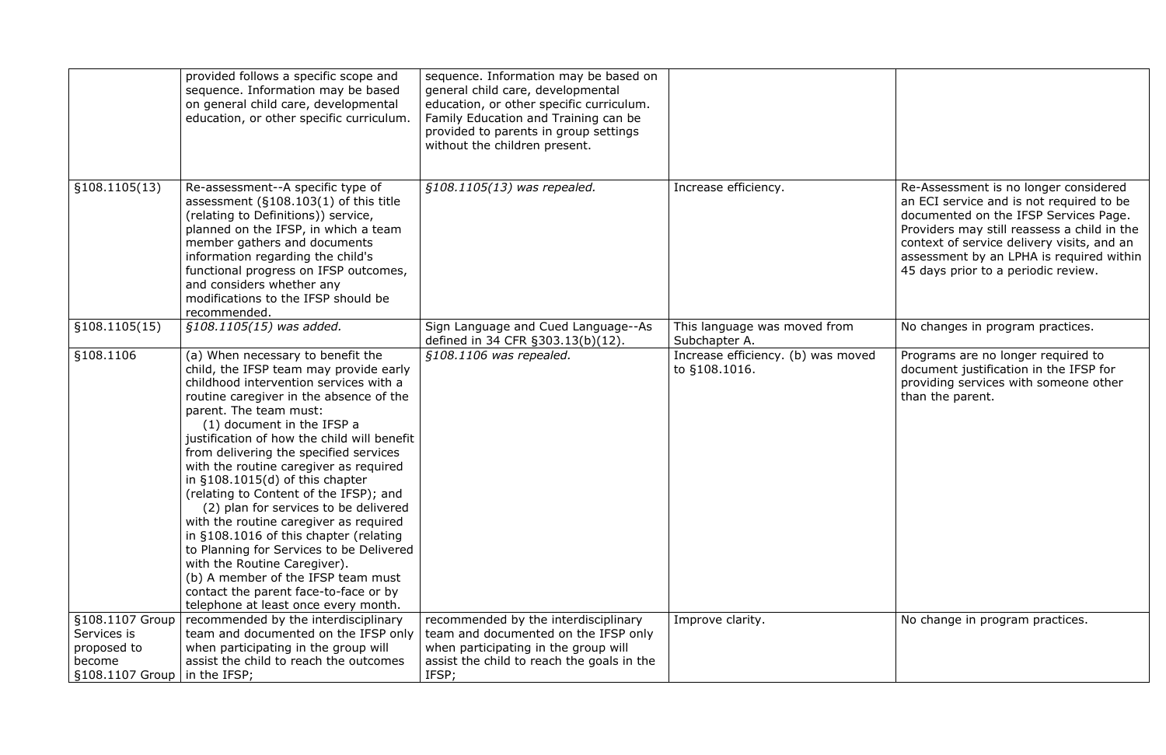|                                                                            | provided follows a specific scope and<br>sequence. Information may be based<br>on general child care, developmental<br>education, or other specific curriculum.                                                                                                                                                                                                                                                                                                                                                                                                                                                                                                                                                                                                            | sequence. Information may be based on<br>general child care, developmental<br>education, or other specific curriculum.<br>Family Education and Training can be<br>provided to parents in group settings<br>without the children present. |                                                     |                                                                                                                                                                                                                                                                                   |
|----------------------------------------------------------------------------|----------------------------------------------------------------------------------------------------------------------------------------------------------------------------------------------------------------------------------------------------------------------------------------------------------------------------------------------------------------------------------------------------------------------------------------------------------------------------------------------------------------------------------------------------------------------------------------------------------------------------------------------------------------------------------------------------------------------------------------------------------------------------|------------------------------------------------------------------------------------------------------------------------------------------------------------------------------------------------------------------------------------------|-----------------------------------------------------|-----------------------------------------------------------------------------------------------------------------------------------------------------------------------------------------------------------------------------------------------------------------------------------|
| §108.1105(13)                                                              | Re-assessment--A specific type of<br>assessment $(S108.103(1)$ of this title<br>(relating to Definitions)) service,<br>planned on the IFSP, in which a team<br>member gathers and documents<br>information regarding the child's<br>functional progress on IFSP outcomes,<br>and considers whether any<br>modifications to the IFSP should be<br>recommended.                                                                                                                                                                                                                                                                                                                                                                                                              | §108.1105(13) was repealed.                                                                                                                                                                                                              | Increase efficiency.                                | Re-Assessment is no longer conside<br>an ECI service and is not required to<br>documented on the IFSP Services Pa<br>Providers may still reassess a child i<br>context of service delivery visits, an<br>assessment by an LPHA is required<br>45 days prior to a periodic review. |
| \$108.1105(15)                                                             | §108.1105(15) was added.                                                                                                                                                                                                                                                                                                                                                                                                                                                                                                                                                                                                                                                                                                                                                   | Sign Language and Cued Language--As<br>defined in 34 CFR §303.13(b)(12).                                                                                                                                                                 | This language was moved from<br>Subchapter A.       | No changes in program practices.                                                                                                                                                                                                                                                  |
| §108.1106                                                                  | (a) When necessary to benefit the<br>child, the IFSP team may provide early<br>childhood intervention services with a<br>routine caregiver in the absence of the<br>parent. The team must:<br>(1) document in the IFSP a<br>justification of how the child will benefit<br>from delivering the specified services<br>with the routine caregiver as required<br>in $§108.1015(d)$ of this chapter<br>(relating to Content of the IFSP); and<br>(2) plan for services to be delivered<br>with the routine caregiver as required<br>in §108.1016 of this chapter (relating<br>to Planning for Services to be Delivered<br>with the Routine Caregiver).<br>(b) A member of the IFSP team must<br>contact the parent face-to-face or by<br>telephone at least once every month. | §108.1106 was repealed.                                                                                                                                                                                                                  | Increase efficiency. (b) was moved<br>to §108.1016. | Programs are no longer required to<br>document justification in the IFSP fo<br>providing services with someone oth<br>than the parent.                                                                                                                                            |
| §108.1107 Group<br>Services is<br>proposed to<br>become<br>§108.1107 Group | recommended by the interdisciplinary<br>team and documented on the IFSP only<br>when participating in the group will<br>assist the child to reach the outcomes<br>in the IFSP;                                                                                                                                                                                                                                                                                                                                                                                                                                                                                                                                                                                             | recommended by the interdisciplinary<br>team and documented on the IFSP only<br>when participating in the group will<br>assist the child to reach the goals in the<br>IFSP;                                                              | Improve clarity.                                    | No change in program practices.                                                                                                                                                                                                                                                   |

| Increase efficiency.                                | Re-Assessment is no longer considered<br>an ECI service and is not required to be<br>documented on the IFSP Services Page.<br>Providers may still reassess a child in the<br>context of service delivery visits, and an<br>assessment by an LPHA is required within<br>45 days prior to a periodic review. |
|-----------------------------------------------------|------------------------------------------------------------------------------------------------------------------------------------------------------------------------------------------------------------------------------------------------------------------------------------------------------------|
| This language was moved from<br>Subchapter A.       | No changes in program practices.                                                                                                                                                                                                                                                                           |
| Increase efficiency. (b) was moved<br>to §108.1016. | Programs are no longer required to<br>document justification in the IFSP for<br>providing services with someone other<br>than the parent.                                                                                                                                                                  |
| Improve clarity.                                    | No change in program practices.                                                                                                                                                                                                                                                                            |
|                                                     |                                                                                                                                                                                                                                                                                                            |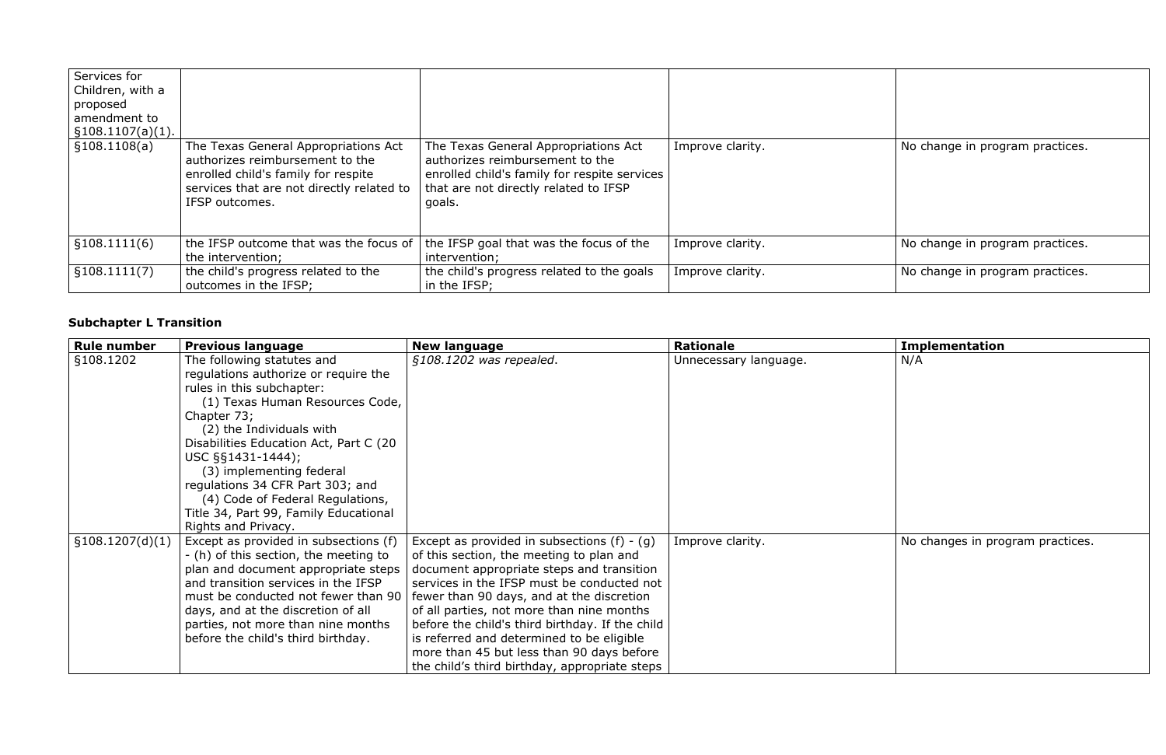| Services for<br>Children, with a<br>proposed<br>amendment to<br>$\S 108.1107(a)(1)$ . |                                                                                                                                                                               |                                                                                                                                                                            |                  |
|---------------------------------------------------------------------------------------|-------------------------------------------------------------------------------------------------------------------------------------------------------------------------------|----------------------------------------------------------------------------------------------------------------------------------------------------------------------------|------------------|
| \$108.1108(a)                                                                         | The Texas General Appropriations Act<br>authorizes reimbursement to the<br>enrolled child's family for respite<br>services that are not directly related to<br>IFSP outcomes. | The Texas General Appropriations Act<br>authorizes reimbursement to the<br>enrolled child's family for respite services<br>that are not directly related to IFSP<br>goals. | Improve clarity. |
| \$108.1111(6)                                                                         | the IFSP outcome that was the focus of<br>the intervention;                                                                                                                   | the IFSP goal that was the focus of the<br>intervention;                                                                                                                   | Improve clarity. |
| \$108.1111(7)                                                                         | the child's progress related to the<br>outcomes in the IFSP;                                                                                                                  | the child's progress related to the goals<br>in the IFSP;                                                                                                                  | Improve clarity. |

# **Subchapter L Transition**

| <b>Rule number</b> | <b>Previous language</b>               | <b>New language</b>                             | <b>Rationale</b>      | <b>Implementation</b>            |
|--------------------|----------------------------------------|-------------------------------------------------|-----------------------|----------------------------------|
| §108.1202          | The following statutes and             | §108.1202 was repealed.                         | Unnecessary language. | N/A                              |
|                    | regulations authorize or require the   |                                                 |                       |                                  |
|                    | rules in this subchapter:              |                                                 |                       |                                  |
|                    | (1) Texas Human Resources Code,        |                                                 |                       |                                  |
|                    | Chapter 73;                            |                                                 |                       |                                  |
|                    | (2) the Individuals with               |                                                 |                       |                                  |
|                    | Disabilities Education Act, Part C (20 |                                                 |                       |                                  |
|                    | $USC$ §§1431-1444);                    |                                                 |                       |                                  |
|                    | (3) implementing federal               |                                                 |                       |                                  |
|                    | regulations 34 CFR Part 303; and       |                                                 |                       |                                  |
|                    | (4) Code of Federal Regulations,       |                                                 |                       |                                  |
|                    | Title 34, Part 99, Family Educational  |                                                 |                       |                                  |
|                    | Rights and Privacy.                    |                                                 |                       |                                  |
| \$108.1207(d)(1)   | Except as provided in subsections (f)  | Except as provided in subsections $(f) - (g)$   | Improve clarity.      | No changes in program practices. |
|                    | - (h) of this section, the meeting to  | of this section, the meeting to plan and        |                       |                                  |
|                    | plan and document appropriate steps    | document appropriate steps and transition       |                       |                                  |
|                    | and transition services in the IFSP    | services in the IFSP must be conducted not      |                       |                                  |
|                    | must be conducted not fewer than 90    | fewer than 90 days, and at the discretion       |                       |                                  |
|                    | days, and at the discretion of all     | of all parties, not more than nine months       |                       |                                  |
|                    | parties, not more than nine months     | before the child's third birthday. If the child |                       |                                  |
|                    | before the child's third birthday.     | is referred and determined to be eligible       |                       |                                  |
|                    |                                        | more than 45 but less than 90 days before       |                       |                                  |
|                    |                                        | the child's third birthday, appropriate steps   |                       |                                  |

| Improve clarity. | No change in program practices. |
|------------------|---------------------------------|
| Improve clarity. | No change in program practices. |
| Improve clarity. | No change in program practices. |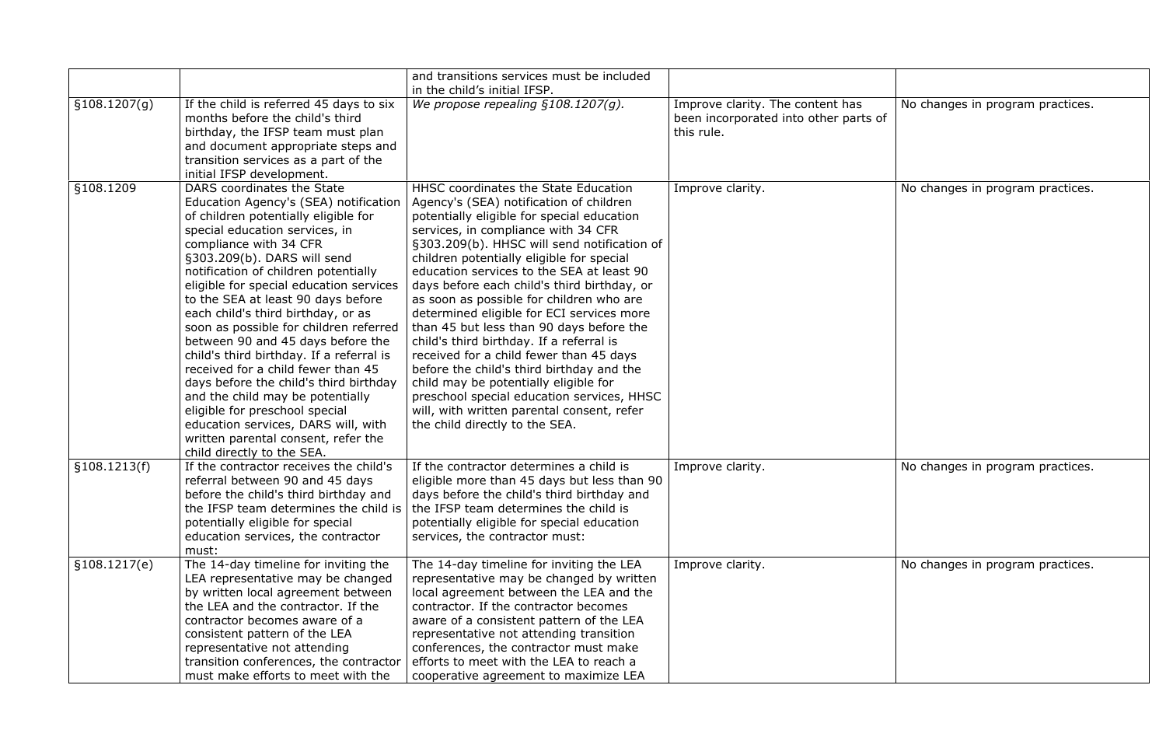|               |                                                                                                                                                                                                                                                                                                                                                                                                                                                                                                                                                                                                                                                                                                                                                                    | and transitions services must be included<br>in the child's initial IFSP.                                                                                                                                                                                                                                                                                                                                                                                                                                                                                                                                                                                                                                                                                                                                    |                                                                                         |                                  |
|---------------|--------------------------------------------------------------------------------------------------------------------------------------------------------------------------------------------------------------------------------------------------------------------------------------------------------------------------------------------------------------------------------------------------------------------------------------------------------------------------------------------------------------------------------------------------------------------------------------------------------------------------------------------------------------------------------------------------------------------------------------------------------------------|--------------------------------------------------------------------------------------------------------------------------------------------------------------------------------------------------------------------------------------------------------------------------------------------------------------------------------------------------------------------------------------------------------------------------------------------------------------------------------------------------------------------------------------------------------------------------------------------------------------------------------------------------------------------------------------------------------------------------------------------------------------------------------------------------------------|-----------------------------------------------------------------------------------------|----------------------------------|
| \$108.1207(g) | If the child is referred 45 days to six<br>months before the child's third<br>birthday, the IFSP team must plan<br>and document appropriate steps and<br>transition services as a part of the<br>initial IFSP development.                                                                                                                                                                                                                                                                                                                                                                                                                                                                                                                                         | We propose repealing $§108.1207(g)$ .                                                                                                                                                                                                                                                                                                                                                                                                                                                                                                                                                                                                                                                                                                                                                                        | Improve clarity. The content has<br>been incorporated into other parts of<br>this rule. | No changes in program practices. |
| §108.1209     | DARS coordinates the State<br>Education Agency's (SEA) notification<br>of children potentially eligible for<br>special education services, in<br>compliance with 34 CFR<br>§303.209(b). DARS will send<br>notification of children potentially<br>eligible for special education services<br>to the SEA at least 90 days before<br>each child's third birthday, or as<br>soon as possible for children referred<br>between 90 and 45 days before the<br>child's third birthday. If a referral is<br>received for a child fewer than 45<br>days before the child's third birthday<br>and the child may be potentially<br>eligible for preschool special<br>education services, DARS will, with<br>written parental consent, refer the<br>child directly to the SEA. | HHSC coordinates the State Education<br>Agency's (SEA) notification of children<br>potentially eligible for special education<br>services, in compliance with 34 CFR<br>§303.209(b). HHSC will send notification of<br>children potentially eligible for special<br>education services to the SEA at least 90<br>days before each child's third birthday, or<br>as soon as possible for children who are<br>determined eligible for ECI services more<br>than 45 but less than 90 days before the<br>child's third birthday. If a referral is<br>received for a child fewer than 45 days<br>before the child's third birthday and the<br>child may be potentially eligible for<br>preschool special education services, HHSC<br>will, with written parental consent, refer<br>the child directly to the SEA. | Improve clarity.                                                                        | No changes in program practices. |
| \$108.1213(f) | If the contractor receives the child's<br>referral between 90 and 45 days<br>before the child's third birthday and<br>the IFSP team determines the child is<br>potentially eligible for special<br>education services, the contractor<br>must:                                                                                                                                                                                                                                                                                                                                                                                                                                                                                                                     | If the contractor determines a child is<br>eligible more than 45 days but less than 90<br>days before the child's third birthday and<br>the IFSP team determines the child is<br>potentially eligible for special education<br>services, the contractor must:                                                                                                                                                                                                                                                                                                                                                                                                                                                                                                                                                | Improve clarity.                                                                        | No changes in program practices. |
| \$108.1217(e) | The 14-day timeline for inviting the<br>LEA representative may be changed<br>by written local agreement between<br>the LEA and the contractor. If the<br>contractor becomes aware of a<br>consistent pattern of the LEA<br>representative not attending<br>transition conferences, the contractor<br>must make efforts to meet with the                                                                                                                                                                                                                                                                                                                                                                                                                            | The 14-day timeline for inviting the LEA<br>representative may be changed by written<br>local agreement between the LEA and the<br>contractor. If the contractor becomes<br>aware of a consistent pattern of the LEA<br>representative not attending transition<br>conferences, the contractor must make<br>efforts to meet with the LEA to reach a<br>cooperative agreement to maximize LEA                                                                                                                                                                                                                                                                                                                                                                                                                 | Improve clarity.                                                                        | No changes in program practices. |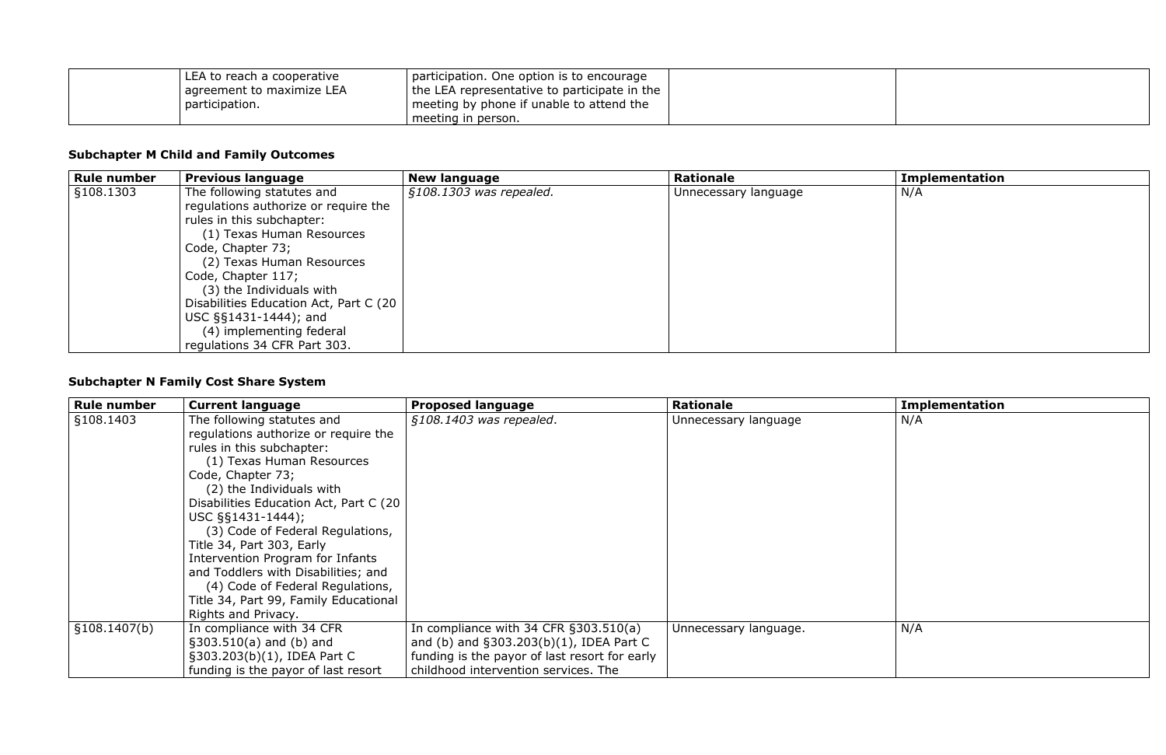| LEA to reach a cooperative | participation. One option is to encourage    |  |
|----------------------------|----------------------------------------------|--|
| agreement to maximize LEA  | the LEA representative to participate in the |  |
| participation.             | meeting by phone if unable to attend the     |  |
|                            | meeting in person.                           |  |

### **Subchapter M Child and Family Outcomes**

| <b>Rule number</b> | <b>Previous language</b>               | <b>New language</b>     | <b>Rationale</b>     | <b>Implementation</b> |
|--------------------|----------------------------------------|-------------------------|----------------------|-----------------------|
| §108.1303          | The following statutes and             | §108.1303 was repealed. | Unnecessary language | N/A                   |
|                    | regulations authorize or require the   |                         |                      |                       |
|                    | rules in this subchapter:              |                         |                      |                       |
|                    | (1) Texas Human Resources              |                         |                      |                       |
|                    | Code, Chapter 73;                      |                         |                      |                       |
|                    | (2) Texas Human Resources              |                         |                      |                       |
|                    | Code, Chapter 117;                     |                         |                      |                       |
|                    | (3) the Individuals with               |                         |                      |                       |
|                    | Disabilities Education Act, Part C (20 |                         |                      |                       |
|                    | $USC$ §§1431-1444); and                |                         |                      |                       |
|                    | (4) implementing federal               |                         |                      |                       |
|                    | regulations 34 CFR Part 303.           |                         |                      |                       |

# **Subchapter N Family Cost Share System**

| <b>Rule number</b> | <b>Current language</b>                | <b>Proposed language</b>                      | <b>Rationale</b>      | <b>Implementation</b> |
|--------------------|----------------------------------------|-----------------------------------------------|-----------------------|-----------------------|
| §108.1403          | The following statutes and             | §108.1403 was repealed.                       | Unnecessary language  | N/A                   |
|                    | regulations authorize or require the   |                                               |                       |                       |
|                    | rules in this subchapter:              |                                               |                       |                       |
|                    | (1) Texas Human Resources              |                                               |                       |                       |
|                    | Code, Chapter 73;                      |                                               |                       |                       |
|                    | (2) the Individuals with               |                                               |                       |                       |
|                    | Disabilities Education Act, Part C (20 |                                               |                       |                       |
|                    | $USC$ §§1431-1444);                    |                                               |                       |                       |
|                    | (3) Code of Federal Regulations,       |                                               |                       |                       |
|                    | Title 34, Part 303, Early              |                                               |                       |                       |
|                    | Intervention Program for Infants       |                                               |                       |                       |
|                    | and Toddlers with Disabilities; and    |                                               |                       |                       |
|                    | (4) Code of Federal Regulations,       |                                               |                       |                       |
|                    | Title 34, Part 99, Family Educational  |                                               |                       |                       |
|                    | Rights and Privacy.                    |                                               |                       |                       |
| §108.1407(b)       | In compliance with 34 CFR              | In compliance with 34 CFR $\S 303.510(a)$     | Unnecessary language. | N/A                   |
|                    | $$303.510(a)$ and (b) and              | and (b) and $\S 303.203(b)(1)$ , IDEA Part C  |                       |                       |
|                    | §303.203(b)(1), IDEA Part C            | funding is the payor of last resort for early |                       |                       |
|                    | funding is the payor of last resort    | childhood intervention services. The          |                       |                       |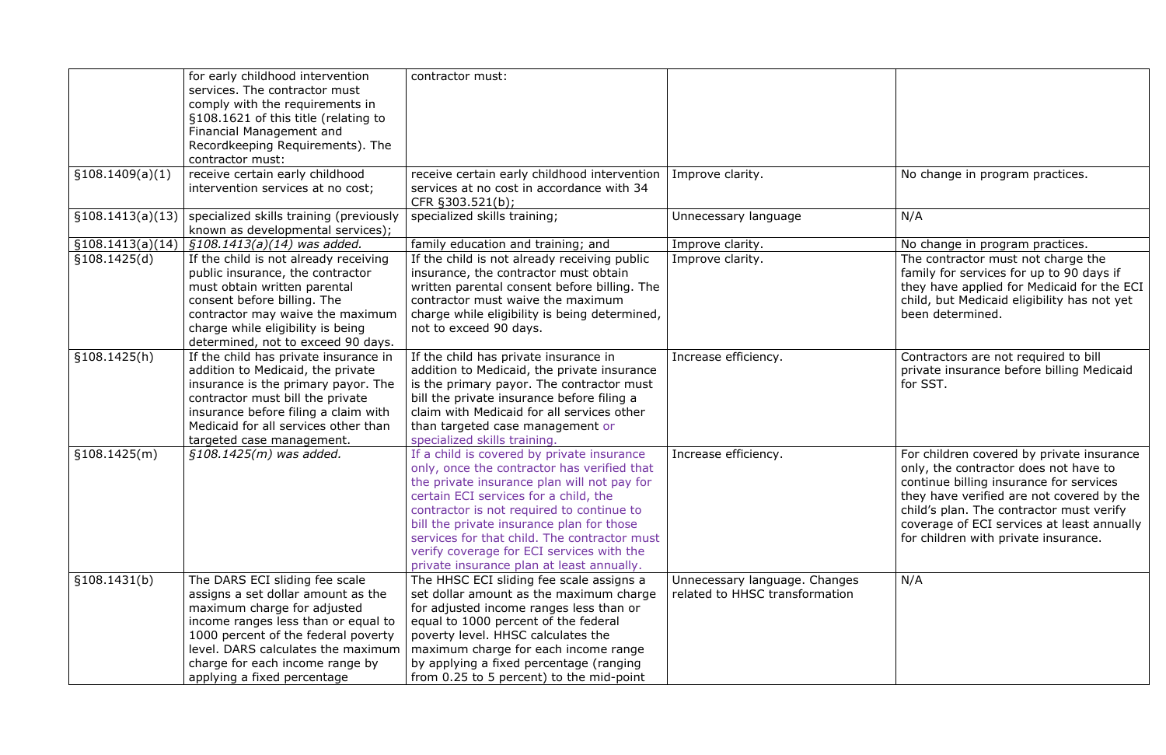|                   | for early childhood intervention<br>services. The contractor must<br>comply with the requirements in<br>§108.1621 of this title (relating to<br>Financial Management and<br>Recordkeeping Requirements). The<br>contractor must:                                                          | contractor must:                                                                                                                                                                                                                                                                                                                                                                                                      |                                                                 |                                                                                                                                                                                                                                                                  |
|-------------------|-------------------------------------------------------------------------------------------------------------------------------------------------------------------------------------------------------------------------------------------------------------------------------------------|-----------------------------------------------------------------------------------------------------------------------------------------------------------------------------------------------------------------------------------------------------------------------------------------------------------------------------------------------------------------------------------------------------------------------|-----------------------------------------------------------------|------------------------------------------------------------------------------------------------------------------------------------------------------------------------------------------------------------------------------------------------------------------|
| \$108.1409(a)(1)  | receive certain early childhood<br>intervention services at no cost;                                                                                                                                                                                                                      | receive certain early childhood intervention<br>services at no cost in accordance with 34<br>CFR §303.521(b);                                                                                                                                                                                                                                                                                                         | Improve clarity.                                                | No change in program practices.                                                                                                                                                                                                                                  |
| \$108.1413(a)(13) | specialized skills training (previously<br>known as developmental services);                                                                                                                                                                                                              | specialized skills training;                                                                                                                                                                                                                                                                                                                                                                                          | Unnecessary language                                            | N/A                                                                                                                                                                                                                                                              |
| \$108.1413(a)(14) | §108.1413(a)(14) was added.                                                                                                                                                                                                                                                               | family education and training; and                                                                                                                                                                                                                                                                                                                                                                                    | Improve clarity.                                                | No change in program practices.                                                                                                                                                                                                                                  |
| \$108.1425(d)     | If the child is not already receiving<br>public insurance, the contractor<br>must obtain written parental<br>consent before billing. The<br>contractor may waive the maximum<br>charge while eligibility is being<br>determined, not to exceed 90 days.                                   | If the child is not already receiving public<br>insurance, the contractor must obtain<br>written parental consent before billing. The<br>contractor must waive the maximum<br>charge while eligibility is being determined,<br>not to exceed 90 days.                                                                                                                                                                 | Improve clarity.                                                | The contractor must not charge<br>family for services for up to 90 c<br>they have applied for Medicaid fo<br>child, but Medicaid eligibility has<br>been determined.                                                                                             |
| \$108.1425(h)     | If the child has private insurance in<br>addition to Medicaid, the private<br>insurance is the primary payor. The<br>contractor must bill the private<br>insurance before filing a claim with<br>Medicaid for all services other than<br>targeted case management.                        | If the child has private insurance in<br>addition to Medicaid, the private insurance<br>is the primary payor. The contractor must<br>bill the private insurance before filing a<br>claim with Medicaid for all services other<br>than targeted case management or<br>specialized skills training.                                                                                                                     | Increase efficiency.                                            | Contractors are not required to b<br>private insurance before billing N<br>for SST.                                                                                                                                                                              |
| \$108.1425(m)     | $$108.1425(m)$ was added.                                                                                                                                                                                                                                                                 | If a child is covered by private insurance<br>only, once the contractor has verified that<br>the private insurance plan will not pay for<br>certain ECI services for a child, the<br>contractor is not required to continue to<br>bill the private insurance plan for those<br>services for that child. The contractor must<br>verify coverage for ECI services with the<br>private insurance plan at least annually. | Increase efficiency.                                            | For children covered by private i<br>only, the contractor does not hat<br>continue billing insurance for ser<br>they have verified are not cover<br>child's plan. The contractor must<br>coverage of ECI services at least<br>for children with private insurand |
| \$108.1431(b)     | The DARS ECI sliding fee scale<br>assigns a set dollar amount as the<br>maximum charge for adjusted<br>income ranges less than or equal to<br>1000 percent of the federal poverty<br>level. DARS calculates the maximum<br>charge for each income range by<br>applying a fixed percentage | The HHSC ECI sliding fee scale assigns a<br>set dollar amount as the maximum charge<br>for adjusted income ranges less than or<br>equal to 1000 percent of the federal<br>poverty level. HHSC calculates the<br>maximum charge for each income range<br>by applying a fixed percentage (ranging<br>from 0.25 to 5 percent) to the mid-point                                                                           | Unnecessary language. Changes<br>related to HHSC transformation | N/A                                                                                                                                                                                                                                                              |

| Improve clarity.                                                | No change in program practices.                                                                                                                                                                                                                                                                              |
|-----------------------------------------------------------------|--------------------------------------------------------------------------------------------------------------------------------------------------------------------------------------------------------------------------------------------------------------------------------------------------------------|
| Unnecessary language                                            | N/A                                                                                                                                                                                                                                                                                                          |
| Improve clarity.<br>Improve clarity.                            | No change in program practices.<br>The contractor must not charge the<br>family for services for up to 90 days if<br>they have applied for Medicaid for the ECI<br>child, but Medicaid eligibility has not yet                                                                                               |
| Increase efficiency.                                            | been determined.<br>Contractors are not required to bill<br>private insurance before billing Medicaid<br>for SST.                                                                                                                                                                                            |
|                                                                 |                                                                                                                                                                                                                                                                                                              |
| Increase efficiency.                                            | For children covered by private insurance<br>only, the contractor does not have to<br>continue billing insurance for services<br>they have verified are not covered by the<br>child's plan. The contractor must verify<br>coverage of ECI services at least annually<br>for children with private insurance. |
| Unnecessary language. Changes<br>related to HHSC transformation | N/A                                                                                                                                                                                                                                                                                                          |